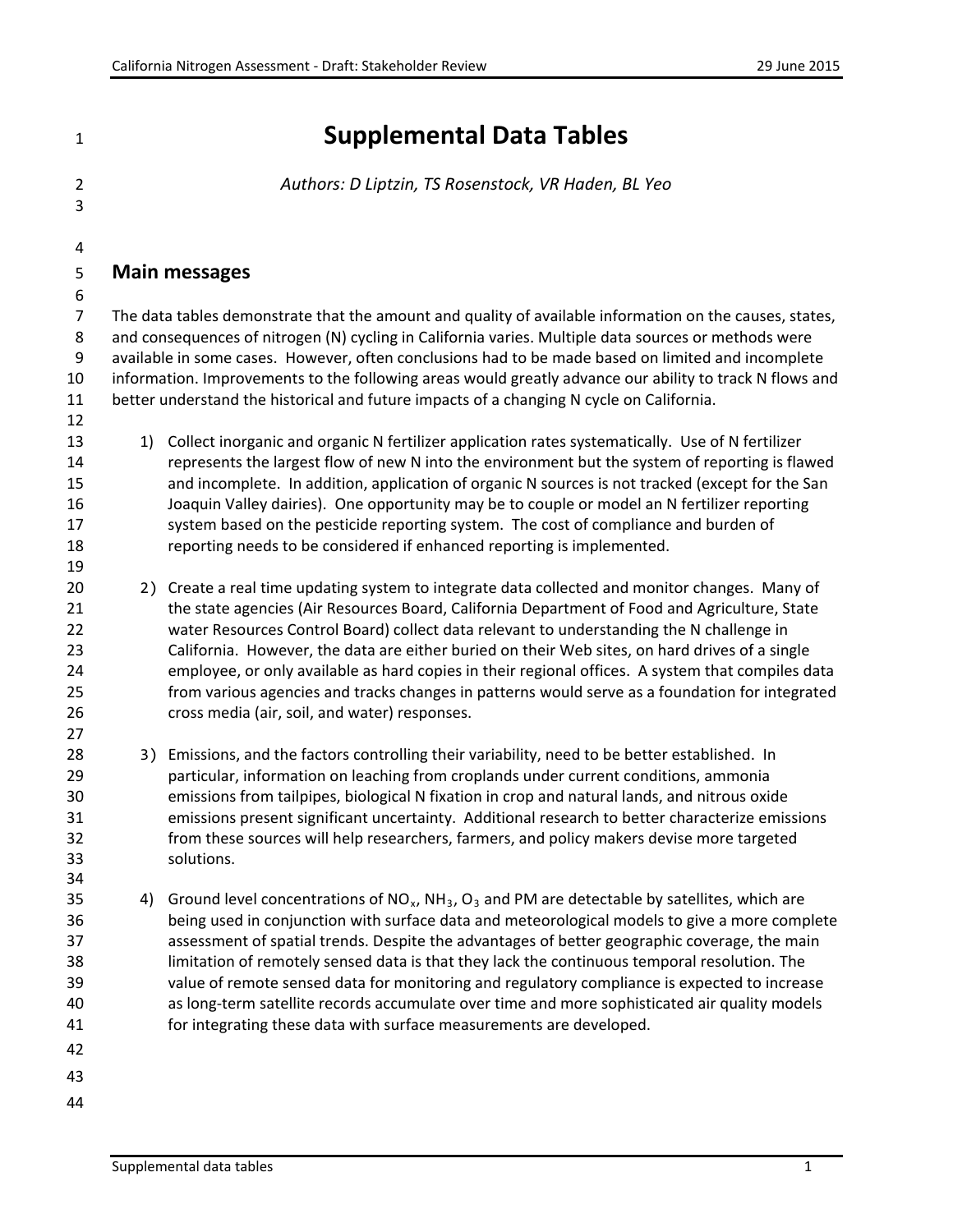**Supplemental Data Tables**

*Authors: D Liptzin, TS Rosenstock, VR Haden, BL Yeo*

## **Main messages**

 The data tables demonstrate that the amount and quality of available information on the causes, states, and consequences of nitrogen (N) cycling in California varies. Multiple data sources or methods were available in some cases. However, often conclusions had to be made based on limited and incomplete information. Improvements to the following areas would greatly advance our ability to track N flows and better understand the historical and future impacts of a changing N cycle on California. 

 1) Collect inorganic and organic N fertilizer application rates systematically. Use of N fertilizer represents the largest flow of new N into the environment but the system of reporting is flawed and incomplete. In addition, application of organic N sources is not tracked (except for the San Joaquin Valley dairies). One opportunity may be to couple or model an N fertilizer reporting 17 system based on the pesticide reporting system. The cost of compliance and burden of reporting needs to be considered if enhanced reporting is implemented.

 2) Create a real time updating system to integrate data collected and monitor changes. Many of the state agencies (Air Resources Board, California Department of Food and Agriculture, State water Resources Control Board) collect data relevant to understanding the N challenge in California. However, the data are either buried on their Web sites, on hard drives of a single employee, or only available as hard copies in their regional offices. A system that compiles data from various agencies and tracks changes in patterns would serve as a foundation for integrated cross media (air, soil, and water) responses.

 3) Emissions, and the factors controlling their variability, need to be better established. In particular, information on leaching from croplands under current conditions, ammonia emissions from tailpipes, biological N fixation in crop and natural lands, and nitrous oxide emissions present significant uncertainty. Additional research to better characterize emissions from these sources will help researchers, farmers, and policy makers devise more targeted solutions.

- 35 4) Ground level concentrations of  $NO_x$ ,  $NH_3$ ,  $O_3$  and PM are detectable by satellites, which are being used in conjunction with surface data and meteorological models to give a more complete assessment of spatial trends. Despite the advantages of better geographic coverage, the main limitation of remotely sensed data is that they lack the continuous temporal resolution. The value of remote sensed data for monitoring and regulatory compliance is expected to increase as long-term satellite records accumulate over time and more sophisticated air quality models for integrating these data with surface measurements are developed.
- 
-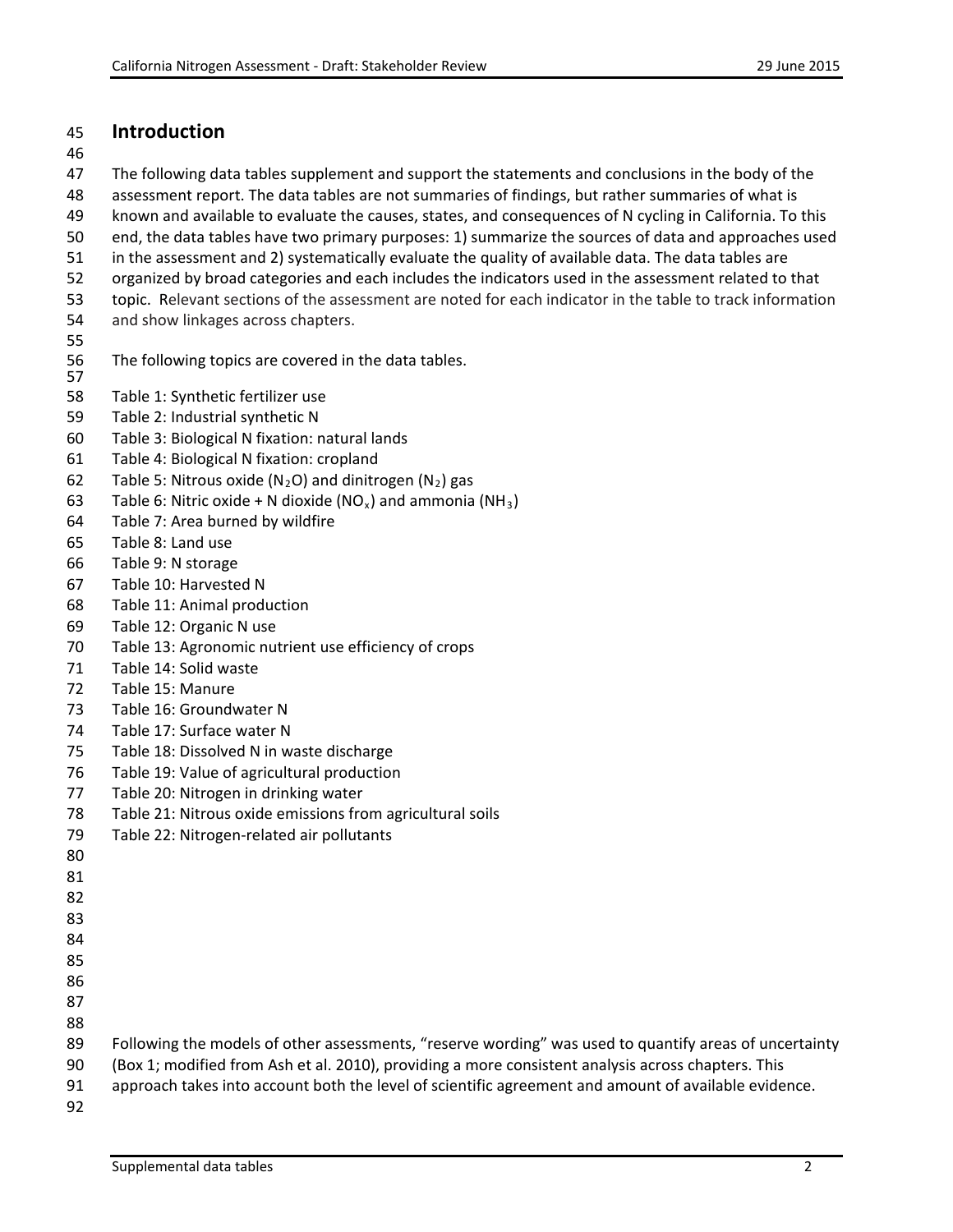## **Introduction**

The following data tables supplement and support the statements and conclusions in the body of the

- assessment report. The data tables are not summaries of findings, but rather summaries of what is
- known and available to evaluate the causes, states, and consequences of N cycling in California. To this
- end, the data tables have two primary purposes: 1) summarize the sources of data and approaches used
- in the assessment and 2) systematically evaluate the quality of available data. The data tables are
- organized by broad categories and each includes the indicators used in the assessment related to that
- topic. Relevant sections of the assessment are noted for each indicator in the table to track information
- and show linkages across chapters.
- 
- The following topics are covered in the data tables.
- Table 1: Synthetic fertilizer use
- Table 2: Industrial synthetic N
- Table 3: Biological N fixation: natural lands
- Table 4: Biological N fixation: cropland
- 62 Table 5: Nitrous oxide (N<sub>2</sub>O) and dinitrogen (N<sub>2</sub>) gas
- 63 Table 6: Nitric oxide + N dioxide (NO<sub>x</sub>) and ammonia (NH<sub>3</sub>)
- Table 7: Area burned by wildfire
- Table 8: Land use
- Table 9: N storage
- Table 10: Harvested N
- Table 11: Animal production
- Table 12: Organic N use
- Table 13: Agronomic nutrient use efficiency of crops
- Table 14: Solid waste
- Table 15: Manure
- Table 16: Groundwater N
- Table 17: Surface water N
- Table 18: Dissolved N in waste discharge
- Table 19: Value of agricultural production
- Table 20: Nitrogen in drinking water
- Table 21: Nitrous oxide emissions from agricultural soils
- Table 22: Nitrogen-related air pollutants
- 
- 
- 
- 
- 
- 
- 
- 
- 
- Following the models of other assessments, "reserve wording" was used to quantify areas of uncertainty
- (Box 1; modified from Ash et al. 2010), providing a more consistent analysis across chapters. This
- approach takes into account both the level of scientific agreement and amount of available evidence.
-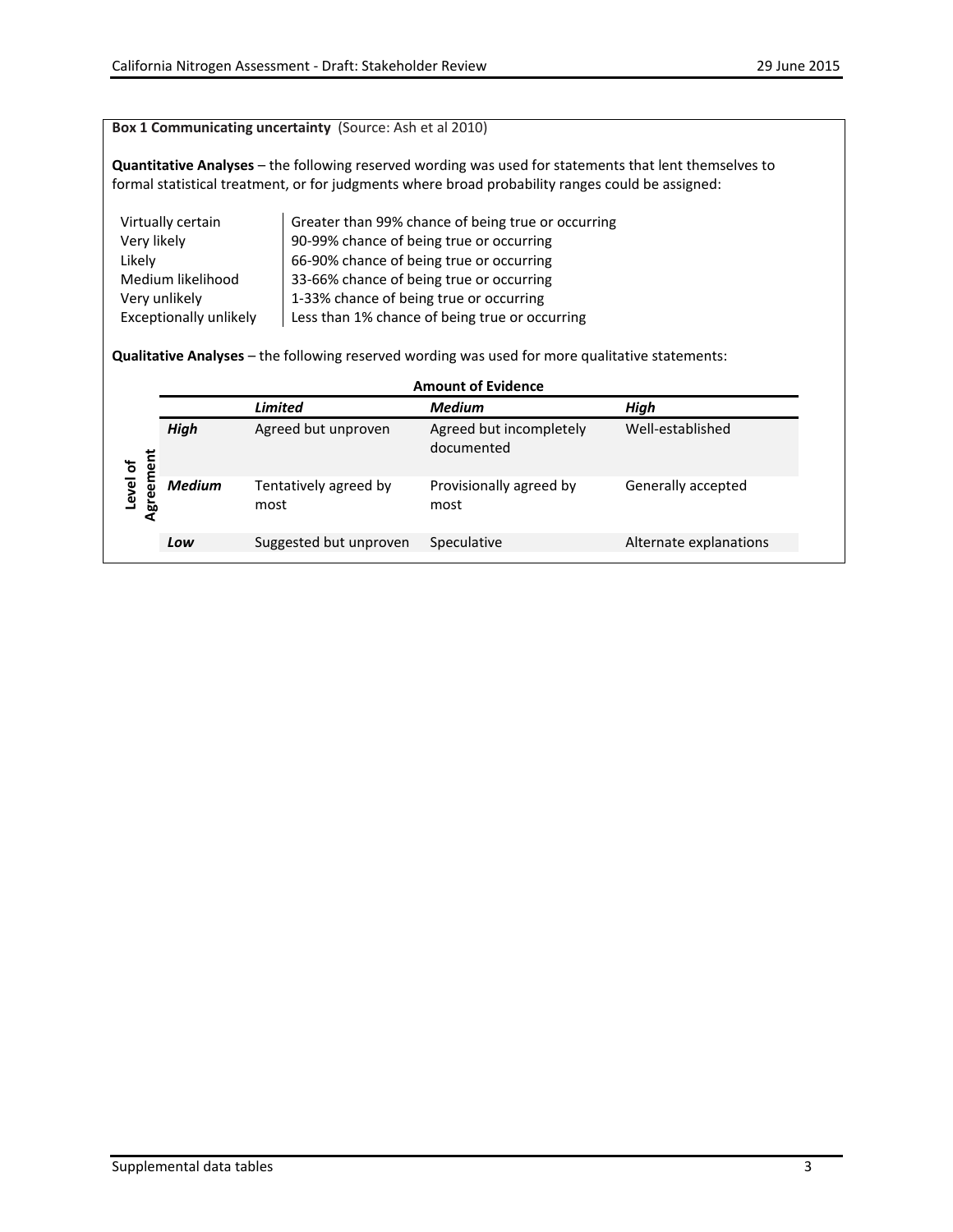#### **Box 1 Communicating uncertainty** (Source: Ash et al 2010)

**Quantitative Analyses** – the following reserved wording was used for statements that lent themselves to formal statistical treatment, or for judgments where broad probability ranges could be assigned:

| Virtually certain      | Greater than 99% chance of being true or occurring |
|------------------------|----------------------------------------------------|
| Very likely            | 90-99% chance of being true or occurring           |
| Likely                 | 66-90% chance of being true or occurring           |
| Medium likelihood      | 33-66% chance of being true or occurring           |
| Very unlikely          | 1-33% chance of being true or occurring            |
| Exceptionally unlikely | Less than 1% chance of being true or occurring     |

**Qualitative Analyses** – the following reserved wording was used for more qualitative statements:

|                    |               |                               | <b>Amount of Evidence</b>             |                        |
|--------------------|---------------|-------------------------------|---------------------------------------|------------------------|
|                    |               | Limited                       | <b>Medium</b>                         | High                   |
| ment               | High          | Agreed but unproven           | Agreed but incompletely<br>documented | Well-established       |
| Level of<br>Agreer | <b>Medium</b> | Tentatively agreed by<br>most | Provisionally agreed by<br>most       | Generally accepted     |
|                    | Low           | Suggested but unproven        | Speculative                           | Alternate explanations |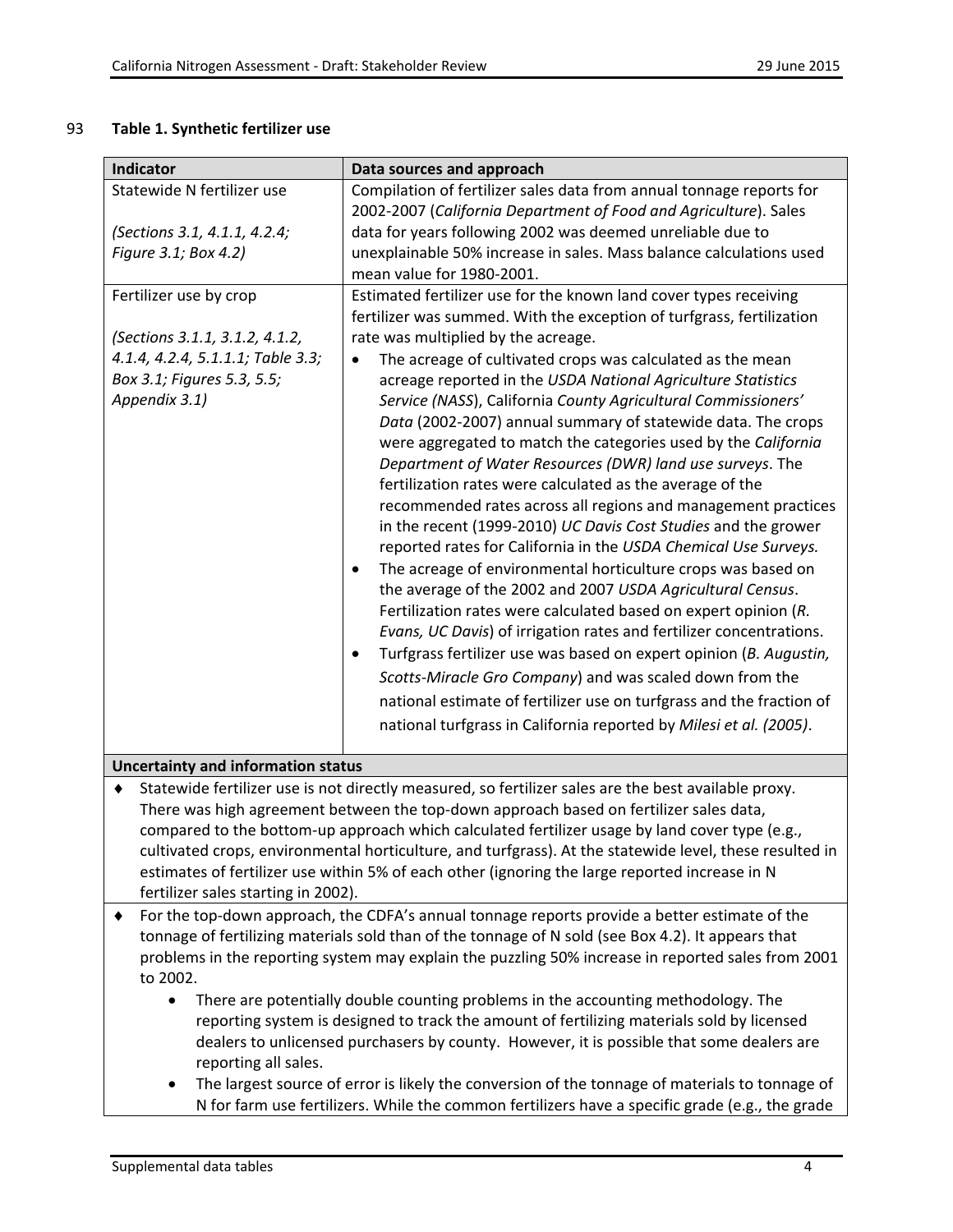#### 93 **Table 1. Synthetic fertilizer use**

| <b>Indicator</b>                                                                                          | Data sources and approach                                                                                                                                                       |  |
|-----------------------------------------------------------------------------------------------------------|---------------------------------------------------------------------------------------------------------------------------------------------------------------------------------|--|
| Statewide N fertilizer use                                                                                | Compilation of fertilizer sales data from annual tonnage reports for                                                                                                            |  |
|                                                                                                           | 2002-2007 (California Department of Food and Agriculture). Sales                                                                                                                |  |
| (Sections 3.1, 4.1.1, 4.2.4;                                                                              | data for years following 2002 was deemed unreliable due to                                                                                                                      |  |
| Figure 3.1; Box 4.2)                                                                                      | unexplainable 50% increase in sales. Mass balance calculations used                                                                                                             |  |
|                                                                                                           | mean value for 1980-2001.                                                                                                                                                       |  |
| Fertilizer use by crop                                                                                    | Estimated fertilizer use for the known land cover types receiving<br>fertilizer was summed. With the exception of turfgrass, fertilization                                      |  |
| (Sections 3.1.1, 3.1.2, 4.1.2,                                                                            | rate was multiplied by the acreage.                                                                                                                                             |  |
| 4.1.4, 4.2.4, 5.1.1.1; Table 3.3;                                                                         | The acreage of cultivated crops was calculated as the mean                                                                                                                      |  |
| Box 3.1; Figures 5.3, 5.5;                                                                                | acreage reported in the USDA National Agriculture Statistics                                                                                                                    |  |
| Appendix 3.1)                                                                                             | Service (NASS), California County Agricultural Commissioners'                                                                                                                   |  |
|                                                                                                           | Data (2002-2007) annual summary of statewide data. The crops                                                                                                                    |  |
|                                                                                                           | were aggregated to match the categories used by the California                                                                                                                  |  |
|                                                                                                           | Department of Water Resources (DWR) land use surveys. The                                                                                                                       |  |
|                                                                                                           | fertilization rates were calculated as the average of the                                                                                                                       |  |
|                                                                                                           | recommended rates across all regions and management practices                                                                                                                   |  |
|                                                                                                           | in the recent (1999-2010) UC Davis Cost Studies and the grower                                                                                                                  |  |
|                                                                                                           | reported rates for California in the USDA Chemical Use Surveys.                                                                                                                 |  |
|                                                                                                           | The acreage of environmental horticulture crops was based on<br>$\bullet$                                                                                                       |  |
|                                                                                                           | the average of the 2002 and 2007 USDA Agricultural Census.                                                                                                                      |  |
|                                                                                                           | Fertilization rates were calculated based on expert opinion (R.                                                                                                                 |  |
|                                                                                                           | Evans, UC Davis) of irrigation rates and fertilizer concentrations.                                                                                                             |  |
|                                                                                                           | Turfgrass fertilizer use was based on expert opinion (B. Augustin,<br>$\bullet$                                                                                                 |  |
|                                                                                                           | Scotts-Miracle Gro Company) and was scaled down from the                                                                                                                        |  |
|                                                                                                           | national estimate of fertilizer use on turfgrass and the fraction of                                                                                                            |  |
|                                                                                                           | national turfgrass in California reported by Milesi et al. (2005).                                                                                                              |  |
| <b>Uncertainty and information status</b>                                                                 |                                                                                                                                                                                 |  |
| Statewide fertilizer use is not directly measured, so fertilizer sales are the best available proxy.<br>٠ |                                                                                                                                                                                 |  |
| There was high agreement between the top-down approach based on fertilizer sales data,                    |                                                                                                                                                                                 |  |
| compared to the bottom-up approach which calculated fertilizer usage by land cover type (e.g.,            |                                                                                                                                                                                 |  |
|                                                                                                           | cultivated crops, environmental horticulture, and turfgrass). At the statewide level, these resulted in                                                                         |  |
| estimates of fertilizer use within 5% of each other (ignoring the large reported increase in N            |                                                                                                                                                                                 |  |
| fertilizer sales starting in 2002).                                                                       |                                                                                                                                                                                 |  |
|                                                                                                           | For the top-down approach, the CDFA's annual tonnage reports provide a better estimate of the                                                                                   |  |
|                                                                                                           | tonnage of fertilizing materials sold than of the tonnage of N sold (see Box 4.2). It appears that                                                                              |  |
|                                                                                                           | problems in the reporting system may explain the puzzling 50% increase in reported sales from 2001                                                                              |  |
| to 2002.                                                                                                  |                                                                                                                                                                                 |  |
| $\bullet$                                                                                                 | There are potentially double counting problems in the accounting methodology. The<br>reporting system is designed to track the amount of fertilizing materials sold by licensed |  |
|                                                                                                           | dealers to unlicensed purchasers by county. However, it is possible that some dealers are                                                                                       |  |
| reporting all sales.                                                                                      |                                                                                                                                                                                 |  |
| ٠                                                                                                         | The largest source of error is likely the conversion of the tonnage of materials to tonnage of                                                                                  |  |
|                                                                                                           | N for farm use fertilizers. While the common fertilizers have a specific grade (e.g., the grade                                                                                 |  |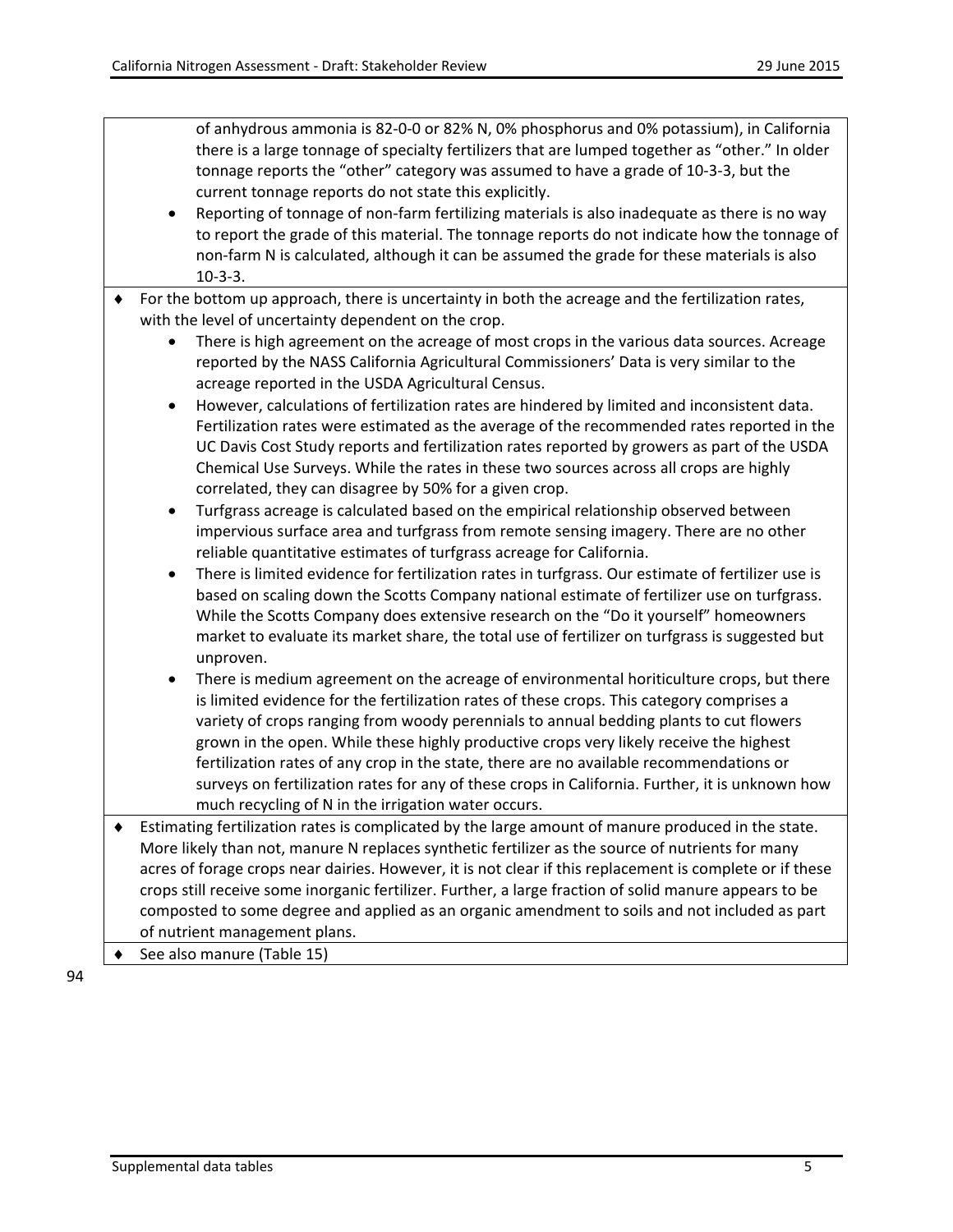of anhydrous ammonia is 82-0-0 or 82% N, 0% phosphorus and 0% potassium), in California there is a large tonnage of specialty fertilizers that are lumped together as "other." In older tonnage reports the "other" category was assumed to have a grade of 10-3-3, but the current tonnage reports do not state this explicitly.

- Reporting of tonnage of non-farm fertilizing materials is also inadequate as there is no way to report the grade of this material. The tonnage reports do not indicate how the tonnage of non-farm N is calculated, although it can be assumed the grade for these materials is also 10-3-3.
- ♦ For the bottom up approach, there is uncertainty in both the acreage and the fertilization rates, with the level of uncertainty dependent on the crop.
	- There is high agreement on the acreage of most crops in the various data sources. Acreage reported by the NASS California Agricultural Commissioners' Data is very similar to the acreage reported in the USDA Agricultural Census.
	- However, calculations of fertilization rates are hindered by limited and inconsistent data. Fertilization rates were estimated as the average of the recommended rates reported in the UC Davis Cost Study reports and fertilization rates reported by growers as part of the USDA Chemical Use Surveys. While the rates in these two sources across all crops are highly correlated, they can disagree by 50% for a given crop.
	- Turfgrass acreage is calculated based on the empirical relationship observed between impervious surface area and turfgrass from remote sensing imagery. There are no other reliable quantitative estimates of turfgrass acreage for California.
	- There is limited evidence for fertilization rates in turfgrass. Our estimate of fertilizer use is based on scaling down the Scotts Company national estimate of fertilizer use on turfgrass. While the Scotts Company does extensive research on the "Do it yourself" homeowners market to evaluate its market share, the total use of fertilizer on turfgrass is suggested but unproven.
	- There is medium agreement on the acreage of environmental horiticulture crops, but there is limited evidence for the fertilization rates of these crops. This category comprises a variety of crops ranging from woody perennials to annual bedding plants to cut flowers grown in the open. While these highly productive crops very likely receive the highest fertilization rates of any crop in the state, there are no available recommendations or surveys on fertilization rates for any of these crops in California. Further, it is unknown how much recycling of N in the irrigation water occurs.
- ♦ Estimating fertilization rates is complicated by the large amount of manure produced in the state. More likely than not, manure N replaces synthetic fertilizer as the source of nutrients for many acres of forage crops near dairies. However, it is not clear if this replacement is complete or if these crops still receive some inorganic fertilizer. Further, a large fraction of solid manure appears to be composted to some degree and applied as an organic amendment to soils and not included as part of nutrient management plans.
	- See also manure (Table 15)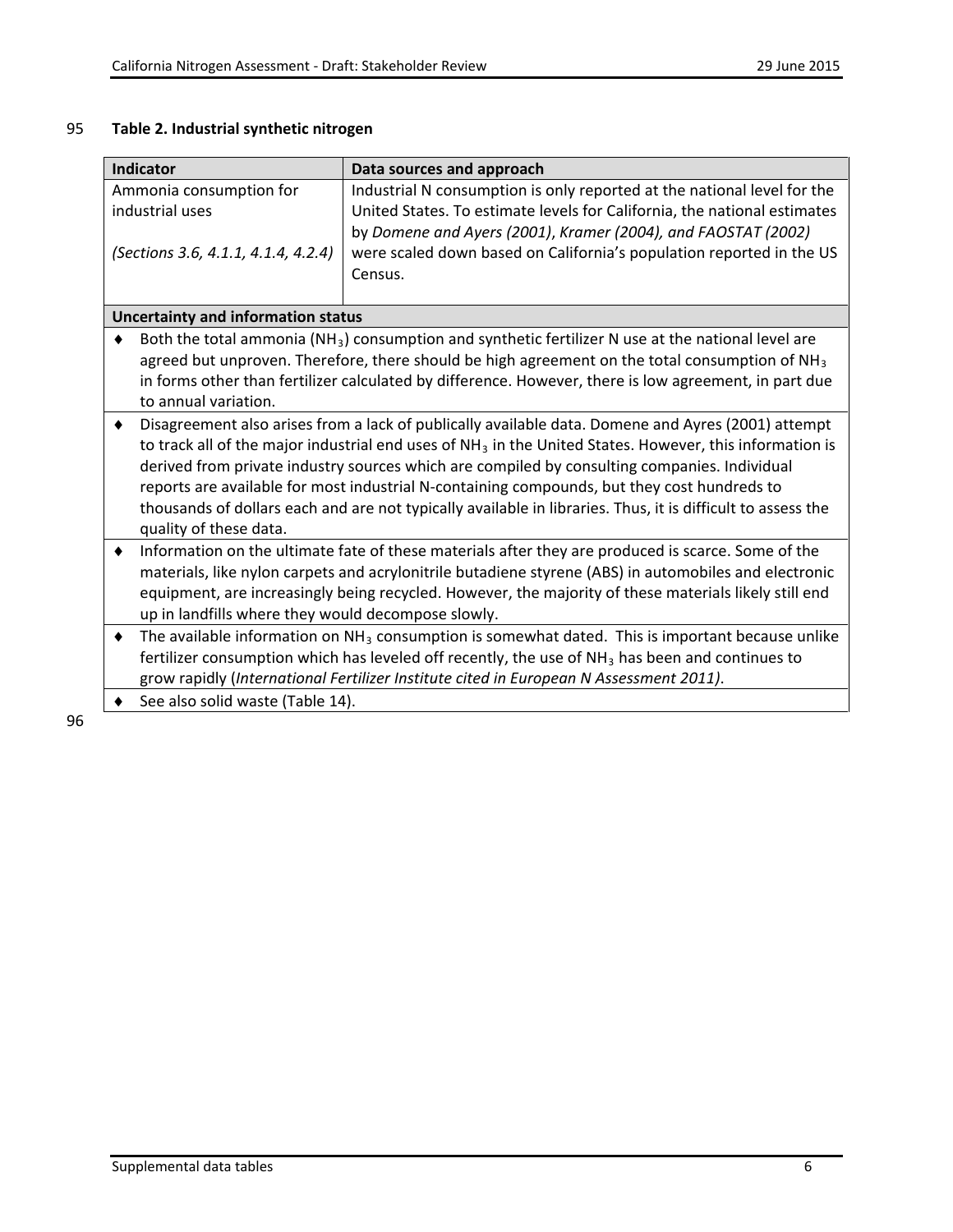# 95 **Table 2. Industrial synthetic nitrogen**

|   | <b>Indicator</b>                                                                                                                                                                                                                                                   | Data sources and approach                                                                                                                                                                   |
|---|--------------------------------------------------------------------------------------------------------------------------------------------------------------------------------------------------------------------------------------------------------------------|---------------------------------------------------------------------------------------------------------------------------------------------------------------------------------------------|
|   | Ammonia consumption for<br>Industrial N consumption is only reported at the national level for the<br>industrial uses<br>United States. To estimate levels for California, the national estimates<br>by Domene and Ayers (2001), Kramer (2004), and FAOSTAT (2002) |                                                                                                                                                                                             |
|   | (Sections 3.6, 4.1.1, 4.1.4, 4.2.4)                                                                                                                                                                                                                                | were scaled down based on California's population reported in the US<br>Census.                                                                                                             |
|   | <b>Uncertainty and information status</b>                                                                                                                                                                                                                          |                                                                                                                                                                                             |
|   |                                                                                                                                                                                                                                                                    | Both the total ammonia ( $NH3$ ) consumption and synthetic fertilizer N use at the national level are                                                                                       |
|   |                                                                                                                                                                                                                                                                    | agreed but unproven. Therefore, there should be high agreement on the total consumption of $NH3$                                                                                            |
|   |                                                                                                                                                                                                                                                                    | in forms other than fertilizer calculated by difference. However, there is low agreement, in part due                                                                                       |
|   | to annual variation.                                                                                                                                                                                                                                               |                                                                                                                                                                                             |
| ٠ |                                                                                                                                                                                                                                                                    | Disagreement also arises from a lack of publically available data. Domene and Ayres (2001) attempt                                                                                          |
|   |                                                                                                                                                                                                                                                                    | to track all of the major industrial end uses of $NH3$ in the United States. However, this information is                                                                                   |
|   |                                                                                                                                                                                                                                                                    | derived from private industry sources which are compiled by consulting companies. Individual<br>reports are available for most industrial N-containing compounds, but they cost hundreds to |
|   |                                                                                                                                                                                                                                                                    | thousands of dollars each and are not typically available in libraries. Thus, it is difficult to assess the                                                                                 |
|   | quality of these data.                                                                                                                                                                                                                                             |                                                                                                                                                                                             |
| ٠ |                                                                                                                                                                                                                                                                    | Information on the ultimate fate of these materials after they are produced is scarce. Some of the                                                                                          |
|   |                                                                                                                                                                                                                                                                    | materials, like nylon carpets and acrylonitrile butadiene styrene (ABS) in automobiles and electronic                                                                                       |
|   |                                                                                                                                                                                                                                                                    | equipment, are increasingly being recycled. However, the majority of these materials likely still end                                                                                       |
|   | up in landfills where they would decompose slowly.                                                                                                                                                                                                                 |                                                                                                                                                                                             |
| ٠ |                                                                                                                                                                                                                                                                    | The available information on $NH3$ consumption is somewhat dated. This is important because unlike                                                                                          |
|   |                                                                                                                                                                                                                                                                    | fertilizer consumption which has leveled off recently, the use of NH <sub>3</sub> has been and continues to                                                                                 |
|   |                                                                                                                                                                                                                                                                    | grow rapidly (International Fertilizer Institute cited in European N Assessment 2011).                                                                                                      |
|   | See also solid waste (Table 14).                                                                                                                                                                                                                                   |                                                                                                                                                                                             |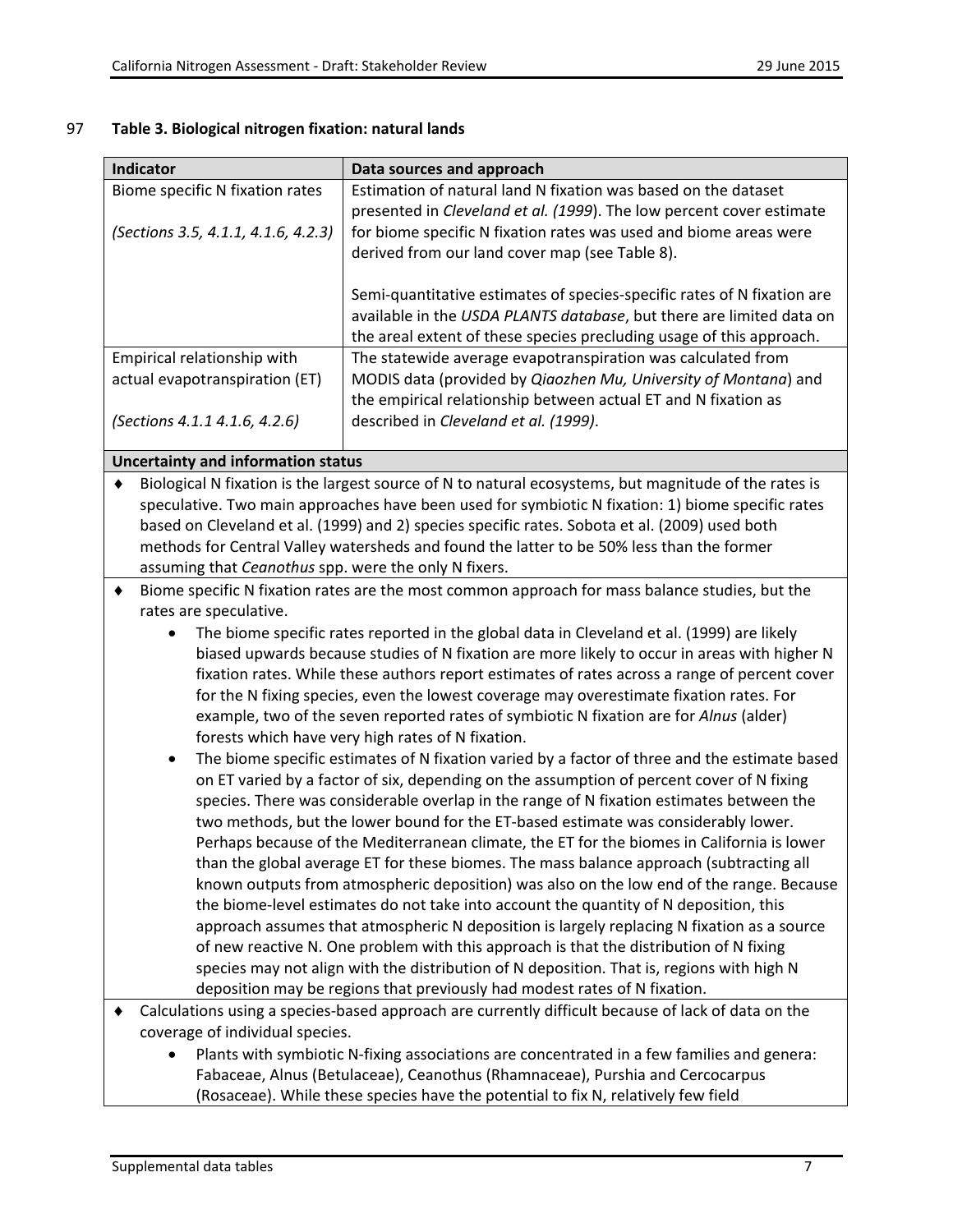## 97 **Table 3. Biological nitrogen fixation: natural lands**

| Indicator                                                                                 | Data sources and approach                                                                             |
|-------------------------------------------------------------------------------------------|-------------------------------------------------------------------------------------------------------|
| Biome specific N fixation rates                                                           | Estimation of natural land N fixation was based on the dataset                                        |
|                                                                                           | presented in Cleveland et al. (1999). The low percent cover estimate                                  |
| (Sections 3.5, 4.1.1, 4.1.6, 4.2.3)                                                       | for biome specific N fixation rates was used and biome areas were                                     |
|                                                                                           | derived from our land cover map (see Table 8).                                                        |
|                                                                                           |                                                                                                       |
|                                                                                           | Semi-quantitative estimates of species-specific rates of N fixation are                               |
|                                                                                           | available in the USDA PLANTS database, but there are limited data on                                  |
|                                                                                           | the areal extent of these species precluding usage of this approach.                                  |
| Empirical relationship with                                                               | The statewide average evapotranspiration was calculated from                                          |
| actual evapotranspiration (ET)                                                            | MODIS data (provided by Qiaozhen Mu, University of Montana) and                                       |
|                                                                                           | the empirical relationship between actual ET and N fixation as                                        |
| (Sections 4.1.1 4.1.6, 4.2.6)                                                             | described in Cleveland et al. (1999).                                                                 |
| <b>Uncertainty and information status</b>                                                 |                                                                                                       |
|                                                                                           | Biological N fixation is the largest source of N to natural ecosystems, but magnitude of the rates is |
|                                                                                           | speculative. Two main approaches have been used for symbiotic N fixation: 1) biome specific rates     |
|                                                                                           | based on Cleveland et al. (1999) and 2) species specific rates. Sobota et al. (2009) used both        |
|                                                                                           | methods for Central Valley watersheds and found the latter to be 50% less than the former             |
| assuming that Ceanothus spp. were the only N fixers.                                      |                                                                                                       |
| ٠                                                                                         | Biome specific N fixation rates are the most common approach for mass balance studies, but the        |
| rates are speculative.                                                                    |                                                                                                       |
| $\bullet$                                                                                 | The biome specific rates reported in the global data in Cleveland et al. (1999) are likely            |
|                                                                                           | biased upwards because studies of N fixation are more likely to occur in areas with higher N          |
|                                                                                           | fixation rates. While these authors report estimates of rates across a range of percent cover         |
|                                                                                           | for the N fixing species, even the lowest coverage may overestimate fixation rates. For               |
|                                                                                           | example, two of the seven reported rates of symbiotic N fixation are for Alnus (alder)                |
|                                                                                           | forests which have very high rates of N fixation.                                                     |
|                                                                                           | The biome specific estimates of N fixation varied by a factor of three and the estimate based         |
| on ET varied by a factor of six, depending on the assumption of percent cover of N fixing |                                                                                                       |
| species. There was considerable overlap in the range of N fixation estimates between the  |                                                                                                       |
| two methods, but the lower bound for the ET-based estimate was considerably lower.        |                                                                                                       |
|                                                                                           | Perhaps because of the Mediterranean climate, the ET for the biomes in California is lower            |
|                                                                                           | than the global average ET for these biomes. The mass balance approach (subtracting all               |
|                                                                                           | known outputs from atmospheric deposition) was also on the low end of the range. Because              |
|                                                                                           | the biome-level estimates do not take into account the quantity of N deposition, this                 |
|                                                                                           | approach assumes that atmospheric N deposition is largely replacing N fixation as a source            |
|                                                                                           | of new reactive N. One problem with this approach is that the distribution of N fixing                |
|                                                                                           | species may not align with the distribution of N deposition. That is, regions with high N             |
|                                                                                           | deposition may be regions that previously had modest rates of N fixation.                             |
|                                                                                           | Calculations using a species-based approach are currently difficult because of lack of data on the    |
| coverage of individual species.                                                           |                                                                                                       |
|                                                                                           | Plants with symbiotic N-fixing associations are concentrated in a few families and genera:            |
|                                                                                           | Fabaceae, Alnus (Betulaceae), Ceanothus (Rhamnaceae), Purshia and Cercocarpus                         |
|                                                                                           | (Rosaceae). While these species have the potential to fix N, relatively few field                     |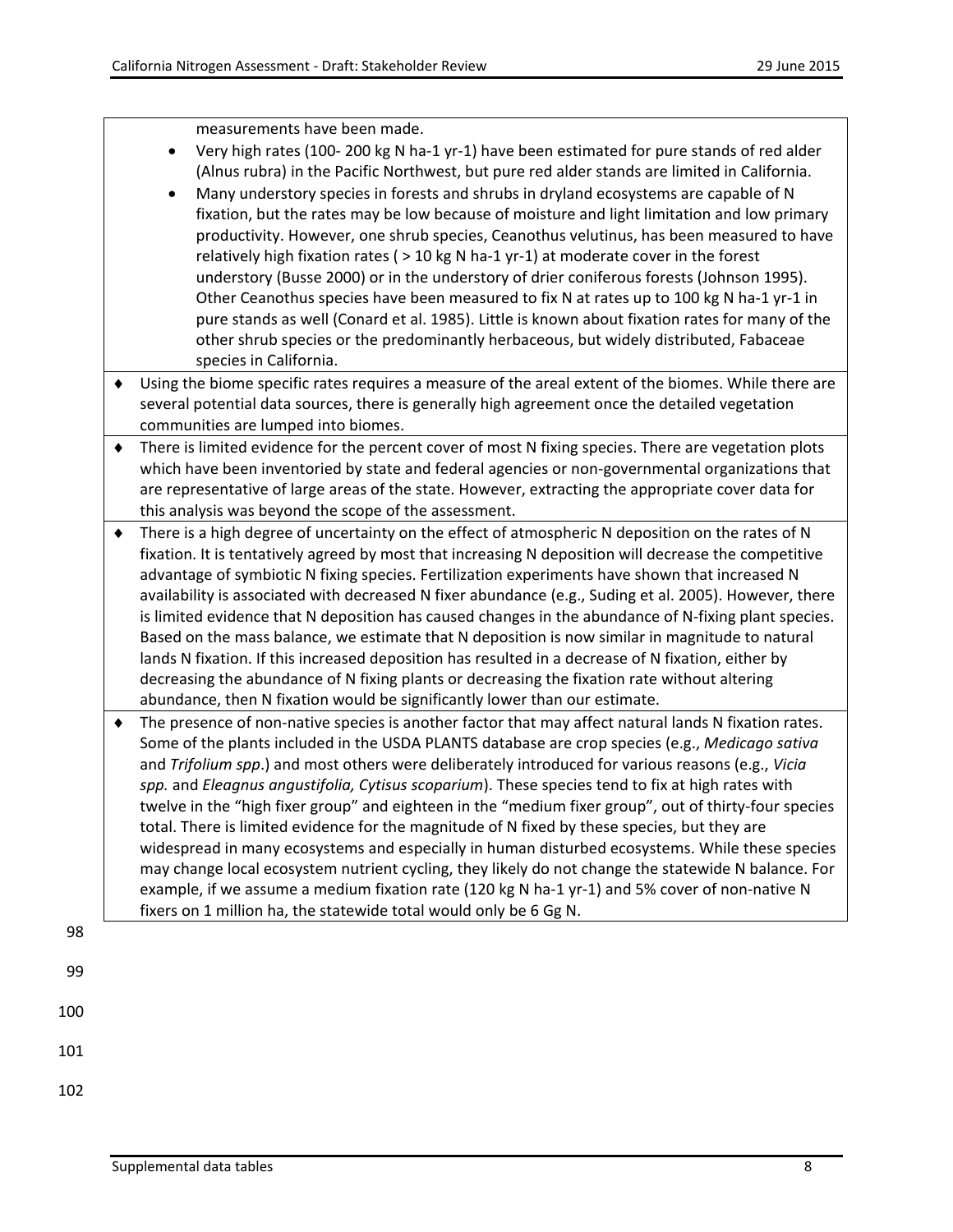measurements have been made.

- Very high rates (100- 200 kg N ha-1 yr-1) have been estimated for pure stands of red alder (Alnus rubra) in the Pacific Northwest, but pure red alder stands are limited in California.
- Many understory species in forests and shrubs in dryland ecosystems are capable of N fixation, but the rates may be low because of moisture and light limitation and low primary productivity. However, one shrub species, Ceanothus velutinus, has been measured to have relatively high fixation rates ( > 10 kg N ha-1 yr-1) at moderate cover in the forest understory (Busse 2000) or in the understory of drier coniferous forests (Johnson 1995). Other Ceanothus species have been measured to fix N at rates up to 100 kg N ha-1 yr-1 in pure stands as well (Conard et al. 1985). Little is known about fixation rates for many of the other shrub species or the predominantly herbaceous, but widely distributed, Fabaceae species in California.
- ♦ Using the biome specific rates requires a measure of the areal extent of the biomes. While there are several potential data sources, there is generally high agreement once the detailed vegetation communities are lumped into biomes.
- ♦ There is limited evidence for the percent cover of most N fixing species. There are vegetation plots which have been inventoried by state and federal agencies or non-governmental organizations that are representative of large areas of the state. However, extracting the appropriate cover data for this analysis was beyond the scope of the assessment.
- ♦ There is a high degree of uncertainty on the effect of atmospheric N deposition on the rates of N fixation. It is tentatively agreed by most that increasing N deposition will decrease the competitive advantage of symbiotic N fixing species. Fertilization experiments have shown that increased N availability is associated with decreased N fixer abundance (e.g., Suding et al. 2005). However, there is limited evidence that N deposition has caused changes in the abundance of N-fixing plant species. Based on the mass balance, we estimate that N deposition is now similar in magnitude to natural lands N fixation. If this increased deposition has resulted in a decrease of N fixation, either by decreasing the abundance of N fixing plants or decreasing the fixation rate without altering abundance, then N fixation would be significantly lower than our estimate.
- ♦ The presence of non-native species is another factor that may affect natural lands N fixation rates. Some of the plants included in the USDA PLANTS database are crop species (e.g., *Medicago sativa* and *Trifolium spp*.) and most others were deliberately introduced for various reasons (e.g., *Vicia spp.* and *Eleagnus angustifolia, Cytisus scoparium*). These species tend to fix at high rates with twelve in the "high fixer group" and eighteen in the "medium fixer group", out of thirty-four species total. There is limited evidence for the magnitude of N fixed by these species, but they are widespread in many ecosystems and especially in human disturbed ecosystems. While these species may change local ecosystem nutrient cycling, they likely do not change the statewide N balance. For example, if we assume a medium fixation rate (120 kg N ha-1 yr-1) and 5% cover of non-native N fixers on 1 million ha, the statewide total would only be 6 Gg N.

98

- 100
- 101
- 102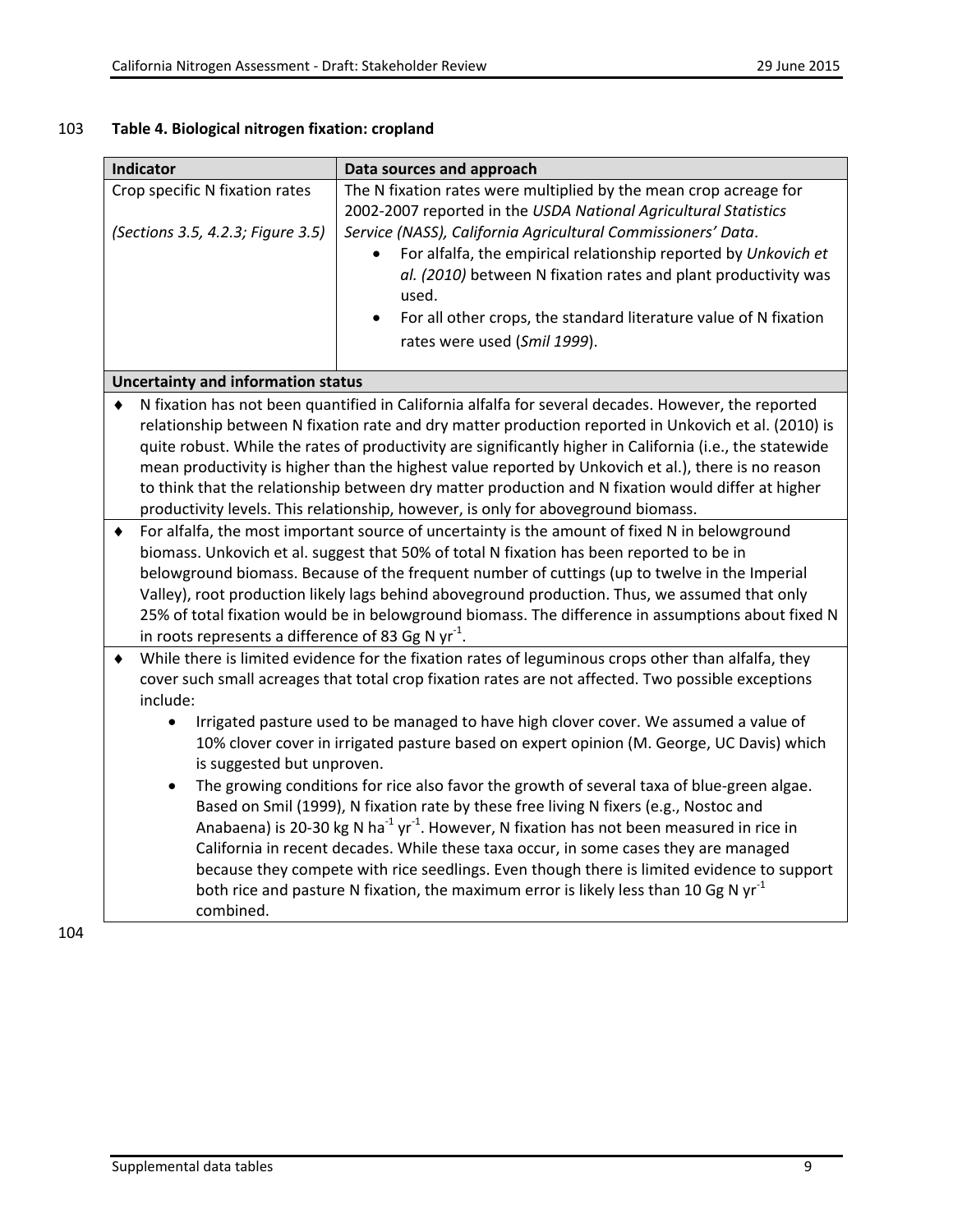| Indicator                                                           |                                                               | Data sources and approach                                                                                                                                                                                                                                                                                                                                                                                                                                                                                                                                                                                                                                                                                                                                                                                                                                                                                                                                                                            |
|---------------------------------------------------------------------|---------------------------------------------------------------|------------------------------------------------------------------------------------------------------------------------------------------------------------------------------------------------------------------------------------------------------------------------------------------------------------------------------------------------------------------------------------------------------------------------------------------------------------------------------------------------------------------------------------------------------------------------------------------------------------------------------------------------------------------------------------------------------------------------------------------------------------------------------------------------------------------------------------------------------------------------------------------------------------------------------------------------------------------------------------------------------|
| Crop specific N fixation rates<br>(Sections 3.5, 4.2.3; Figure 3.5) |                                                               | The N fixation rates were multiplied by the mean crop acreage for<br>2002-2007 reported in the USDA National Agricultural Statistics<br>Service (NASS), California Agricultural Commissioners' Data.<br>For alfalfa, the empirical relationship reported by Unkovich et<br>al. (2010) between N fixation rates and plant productivity was<br>used.                                                                                                                                                                                                                                                                                                                                                                                                                                                                                                                                                                                                                                                   |
|                                                                     |                                                               | For all other crops, the standard literature value of N fixation<br>rates were used (Smil 1999).                                                                                                                                                                                                                                                                                                                                                                                                                                                                                                                                                                                                                                                                                                                                                                                                                                                                                                     |
|                                                                     | <b>Uncertainty and information status</b>                     |                                                                                                                                                                                                                                                                                                                                                                                                                                                                                                                                                                                                                                                                                                                                                                                                                                                                                                                                                                                                      |
|                                                                     |                                                               | N fixation has not been quantified in California alfalfa for several decades. However, the reported<br>relationship between N fixation rate and dry matter production reported in Unkovich et al. (2010) is<br>quite robust. While the rates of productivity are significantly higher in California (i.e., the statewide<br>mean productivity is higher than the highest value reported by Unkovich et al.), there is no reason<br>to think that the relationship between dry matter production and N fixation would differ at higher<br>productivity levels. This relationship, however, is only for aboveground biomass.                                                                                                                                                                                                                                                                                                                                                                           |
|                                                                     | in roots represents a difference of 83 Gg N $\gamma r^{-1}$ . | For alfalfa, the most important source of uncertainty is the amount of fixed N in belowground<br>biomass. Unkovich et al. suggest that 50% of total N fixation has been reported to be in<br>belowground biomass. Because of the frequent number of cuttings (up to twelve in the Imperial<br>Valley), root production likely lags behind aboveground production. Thus, we assumed that only<br>25% of total fixation would be in belowground biomass. The difference in assumptions about fixed N                                                                                                                                                                                                                                                                                                                                                                                                                                                                                                   |
| include:<br>$\bullet$                                               | is suggested but unproven.<br>combined.                       | While there is limited evidence for the fixation rates of leguminous crops other than alfalfa, they<br>cover such small acreages that total crop fixation rates are not affected. Two possible exceptions<br>Irrigated pasture used to be managed to have high clover cover. We assumed a value of<br>10% clover cover in irrigated pasture based on expert opinion (M. George, UC Davis) which<br>The growing conditions for rice also favor the growth of several taxa of blue-green algae.<br>Based on Smil (1999), N fixation rate by these free living N fixers (e.g., Nostoc and<br>Anabaena) is 20-30 kg N ha <sup>-1</sup> yr <sup>-1</sup> . However, N fixation has not been measured in rice in<br>California in recent decades. While these taxa occur, in some cases they are managed<br>because they compete with rice seedlings. Even though there is limited evidence to support<br>both rice and pasture N fixation, the maximum error is likely less than 10 Gg N yr <sup>-1</sup> |

# 103 **Table 4. Biological nitrogen fixation: cropland**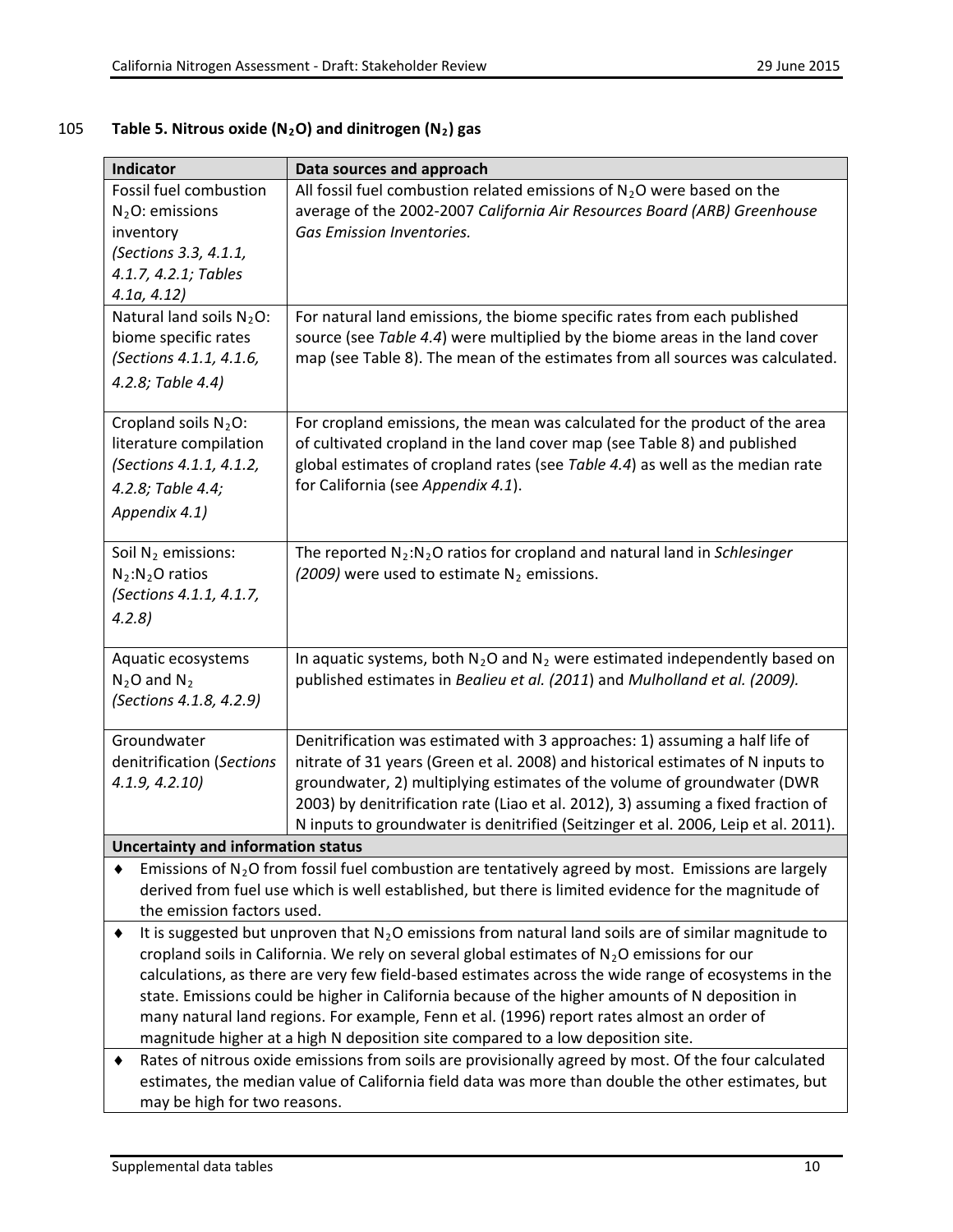**Indicator Data sources and approach**

#### Fossil fuel combustion  $N<sub>2</sub>O:$  emissions inventory *(Sections 3.3, 4.1.1, 4.1.7, 4.2.1; Tables 4.1a, 4.12)* All fossil fuel combustion related emissions of  $N<sub>2</sub>O$  were based on the average of the 2002-2007 *California Air Resources Board (ARB) Greenhouse Gas Emission Inventories.* Natural land soils  $N_2O$ : biome specific rates *(Sections 4.1.1, 4.1.6, 4.2.8; Table 4.4)* For natural land emissions, the biome specific rates from each published source (see *Table 4.4*) were multiplied by the biome areas in the land cover map (see Table 8). The mean of the estimates from all sources was calculated. Cropland soils  $N<sub>2</sub>O$ : literature compilation *(Sections 4.1.1, 4.1.2, 4.2.8; Table 4.4; Appendix 4.1)* For cropland emissions, the mean was calculated for the product of the area of cultivated cropland in the land cover map (see Table 8) and published global estimates of cropland rates (see *Table 4.4*) as well as the median rate for California (see *Appendix 4.1*). Soil  $N_2$  emissions:  $N_2:N_2O$  ratios *(Sections 4.1.1, 4.1.7, 4.2.8)* The reported N2:N2O ratios for cropland and natural land in *Schlesinger*   $(2009)$  were used to estimate N<sub>2</sub> emissions. Aquatic ecosystems  $N_2$ O and  $N_2$ *(Sections 4.1.8, 4.2.9)* In aquatic systems, both  $N_2O$  and  $N_2$  were estimated independently based on published estimates in *Bealieu et al. (2011*) and *Mulholland et al. (2009).* Groundwater denitrification (*Sections 4.1.9, 4.2.10)* Denitrification was estimated with 3 approaches: 1) assuming a half life of nitrate of 31 years (Green et al. 2008) and historical estimates of N inputs to groundwater, 2) multiplying estimates of the volume of groundwater (DWR 2003) by denitrification rate (Liao et al. 2012), 3) assuming a fixed fraction of N inputs to groundwater is denitrified (Seitzinger et al. 2006, Leip et al. 2011). **Uncertainty and information status**  $\blacklozenge$  Emissions of N<sub>2</sub>O from fossil fuel combustion are tentatively agreed by most. Emissions are largely derived from fuel use which is well established, but there is limited evidence for the magnitude of the emission factors used.  $\bullet$  It is suggested but unproven that N<sub>2</sub>O emissions from natural land soils are of similar magnitude to cropland soils in California. We rely on several global estimates of  $N<sub>2</sub>O$  emissions for our calculations, as there are very few field-based estimates across the wide range of ecosystems in the state. Emissions could be higher in California because of the higher amounts of N deposition in many natural land regions. For example, Fenn et al. (1996) report rates almost an order of magnitude higher at a high N deposition site compared to a low deposition site. ♦ Rates of nitrous oxide emissions from soils are provisionally agreed by most. Of the four calculated estimates, the median value of California field data was more than double the other estimates, but

#### 105 **Table 5. Nitrous oxide (N2O) and dinitrogen (N2) gas**

may be high for two reasons.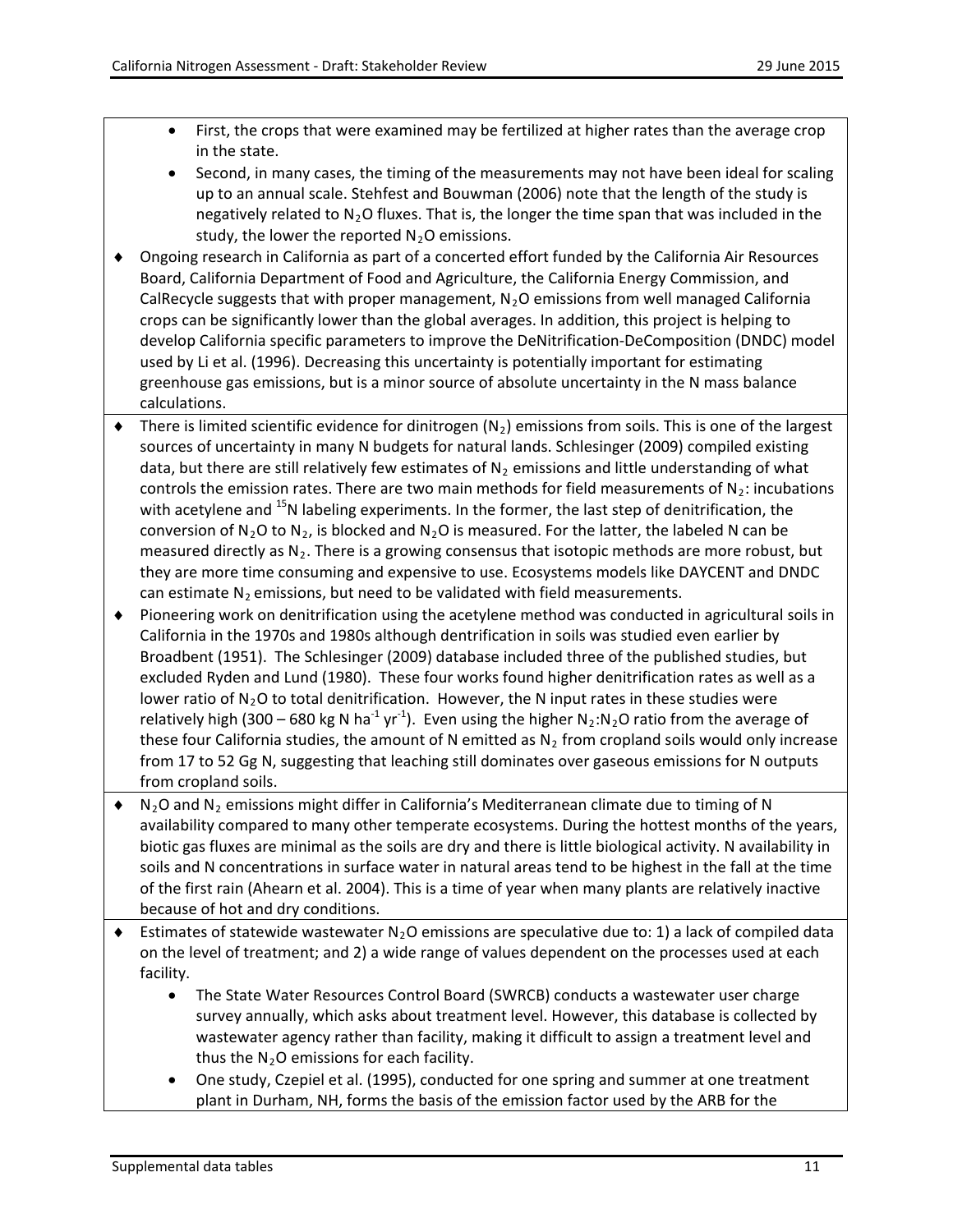- First, the crops that were examined may be fertilized at higher rates than the average crop in the state.
- Second, in many cases, the timing of the measurements may not have been ideal for scaling up to an annual scale. Stehfest and Bouwman (2006) note that the length of the study is negatively related to  $N_2O$  fluxes. That is, the longer the time span that was included in the study, the lower the reported  $N_2O$  emissions.
- ♦ Ongoing research in California as part of a concerted effort funded by the California Air Resources Board, California Department of Food and Agriculture, the California Energy Commission, and CalRecycle suggests that with proper management,  $N_2O$  emissions from well managed California crops can be significantly lower than the global averages. In addition, this project is helping to develop California specific parameters to improve the DeNitrification-DeComposition (DNDC) model used by Li et al. (1996). Decreasing this uncertainty is potentially important for estimating greenhouse gas emissions, but is a minor source of absolute uncertainty in the N mass balance calculations.
- $\blacklozenge$  There is limited scientific evidence for dinitrogen  $(N_2)$  emissions from soils. This is one of the largest sources of uncertainty in many N budgets for natural lands. Schlesinger (2009) compiled existing data, but there are still relatively few estimates of  $N_2$  emissions and little understanding of what controls the emission rates. There are two main methods for field measurements of  $N_2$ : incubations with acetylene and  $^{15}$ N labeling experiments. In the former, the last step of denitrification, the conversion of N<sub>2</sub>O to N<sub>2</sub>, is blocked and N<sub>2</sub>O is measured. For the latter, the labeled N can be measured directly as  $N_2$ . There is a growing consensus that isotopic methods are more robust, but they are more time consuming and expensive to use. Ecosystems models like DAYCENT and DNDC can estimate  $N_2$  emissions, but need to be validated with field measurements.
- ♦ Pioneering work on denitrification using the acetylene method was conducted in agricultural soils in California in the 1970s and 1980s although dentrification in soils was studied even earlier by Broadbent (1951). The Schlesinger (2009) database included three of the published studies, but excluded Ryden and Lund (1980). These four works found higher denitrification rates as well as a lower ratio of  $N_2O$  to total denitrification. However, the N input rates in these studies were relatively high (300 – 680 kg N ha<sup>-1</sup> yr<sup>-1</sup>). Even using the higher N<sub>2</sub>:N<sub>2</sub>O ratio from the average of these four California studies, the amount of N emitted as  $N_2$  from cropland soils would only increase from 17 to 52 Gg N, suggesting that leaching still dominates over gaseous emissions for N outputs from cropland soils.
- $\blacklozenge$  N<sub>2</sub>O and N<sub>2</sub> emissions might differ in California's Mediterranean climate due to timing of N availability compared to many other temperate ecosystems. During the hottest months of the years, biotic gas fluxes are minimal as the soils are dry and there is little biological activity. N availability in soils and N concentrations in surface water in natural areas tend to be highest in the fall at the time of the first rain (Ahearn et al. 2004). This is a time of year when many plants are relatively inactive because of hot and dry conditions.
- $\bullet$  Estimates of statewide wastewater N<sub>2</sub>O emissions are speculative due to: 1) a lack of compiled data on the level of treatment; and 2) a wide range of values dependent on the processes used at each facility.
	- The State Water Resources Control Board (SWRCB) conducts a wastewater user charge survey annually, which asks about treatment level. However, this database is collected by wastewater agency rather than facility, making it difficult to assign a treatment level and thus the  $N_2O$  emissions for each facility.
	- One study, Czepiel et al. (1995), conducted for one spring and summer at one treatment plant in Durham, NH, forms the basis of the emission factor used by the ARB for the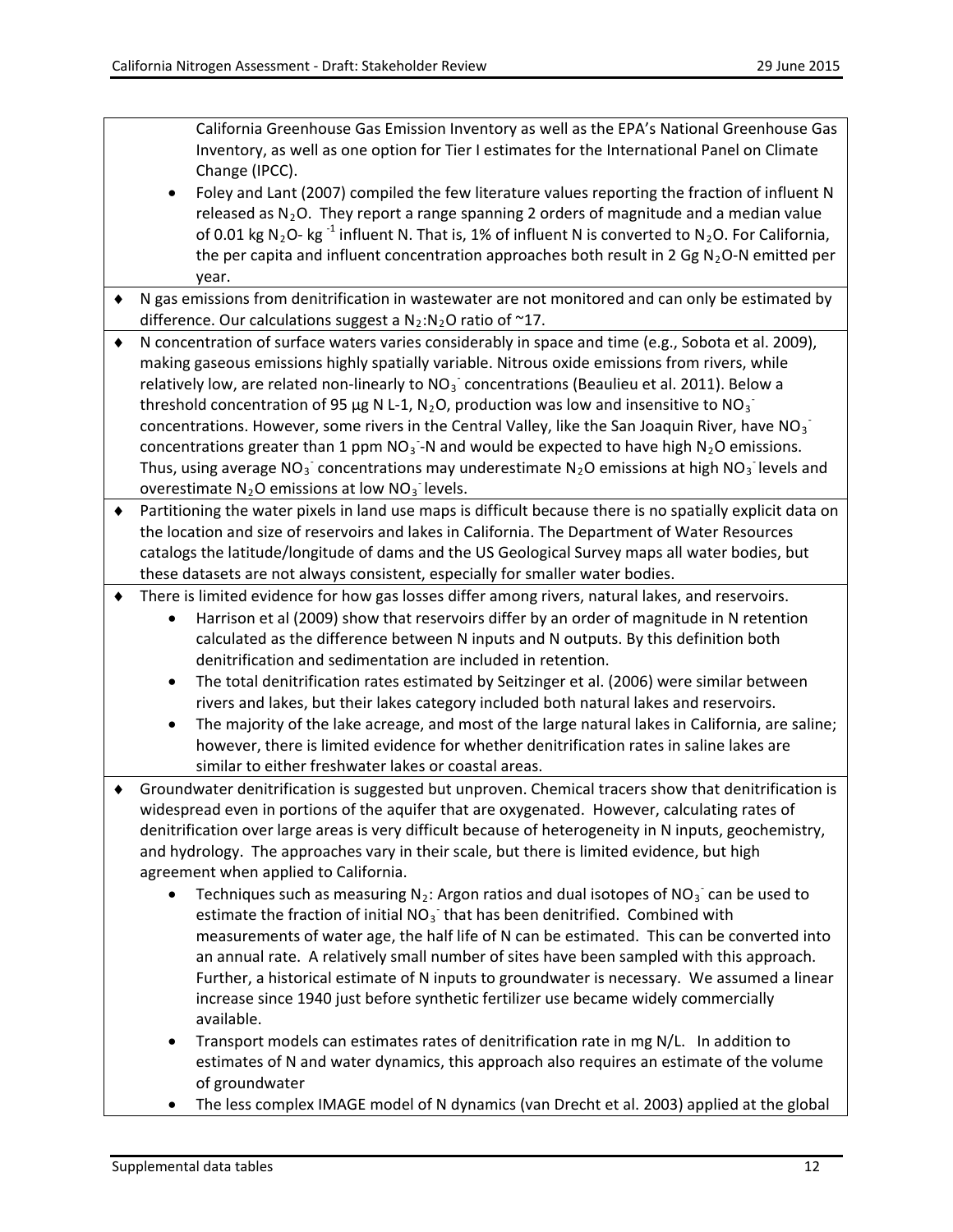California Greenhouse Gas Emission Inventory as well as the EPA's National Greenhouse Gas Inventory, as well as one option for Tier I estimates for the International Panel on Climate Change (IPCC).

- Foley and Lant (2007) compiled the few literature values reporting the fraction of influent N released as  $N_2O$ . They report a range spanning 2 orders of magnitude and a median value of 0.01 kg N<sub>2</sub>O- kg<sup>-1</sup> influent N. That is, 1% of influent N is converted to N<sub>2</sub>O. For California, the per capita and influent concentration approaches both result in 2 Gg  $N_2O-N$  emitted per year.
- ♦ N gas emissions from denitrification in wastewater are not monitored and can only be estimated by difference. Our calculations suggest a  $N_2:N_2O$  ratio of ~17.

♦ N concentration of surface waters varies considerably in space and time (e.g., Sobota et al. 2009), making gaseous emissions highly spatially variable. Nitrous oxide emissions from rivers, while relatively low, are related non-linearly to  $NO<sub>3</sub>$  concentrations (Beaulieu et al. 2011). Below a threshold concentration of 95 µg N L-1, N<sub>2</sub>O, production was low and insensitive to NO<sub>3</sub><sup>-</sup> concentrations. However, some rivers in the Central Valley, like the San Joaquin River, have NO<sub>3</sub> concentrations greater than 1 ppm NO<sub>3</sub> -N and would be expected to have high N<sub>2</sub>O emissions. Thus, using average NO<sub>3</sub> concentrations may underestimate N<sub>2</sub>O emissions at high NO<sub>3</sub> levels and overestimate  $N_2O$  emissions at low  $NO_3^-$  levels.

♦ Partitioning the water pixels in land use maps is difficult because there is no spatially explicit data on the location and size of reservoirs and lakes in California. The Department of Water Resources catalogs the latitude/longitude of dams and the US Geological Survey maps all water bodies, but these datasets are not always consistent, especially for smaller water bodies.

- ♦ There is limited evidence for how gas losses differ among rivers, natural lakes, and reservoirs.
	- Harrison et al (2009) show that reservoirs differ by an order of magnitude in N retention calculated as the difference between N inputs and N outputs. By this definition both denitrification and sedimentation are included in retention.
	- The total denitrification rates estimated by Seitzinger et al. (2006) were similar between rivers and lakes, but their lakes category included both natural lakes and reservoirs.
	- The majority of the lake acreage, and most of the large natural lakes in California, are saline; however, there is limited evidence for whether denitrification rates in saline lakes are similar to either freshwater lakes or coastal areas.
- ♦ Groundwater denitrification is suggested but unproven. Chemical tracers show that denitrification is widespread even in portions of the aquifer that are oxygenated. However, calculating rates of denitrification over large areas is very difficult because of heterogeneity in N inputs, geochemistry, and hydrology. The approaches vary in their scale, but there is limited evidence, but high agreement when applied to California.
	- Techniques such as measuring  $N_2$ : Argon ratios and dual isotopes of NO<sub>3</sub> can be used to estimate the fraction of initial  $NO<sub>3</sub>$  that has been denitrified. Combined with measurements of water age, the half life of N can be estimated. This can be converted into an annual rate. A relatively small number of sites have been sampled with this approach. Further, a historical estimate of N inputs to groundwater is necessary. We assumed a linear increase since 1940 just before synthetic fertilizer use became widely commercially available.
	- Transport models can estimates rates of denitrification rate in mg N/L. In addition to estimates of N and water dynamics, this approach also requires an estimate of the volume of groundwater
	- The less complex IMAGE model of N dynamics (van Drecht et al. 2003) applied at the global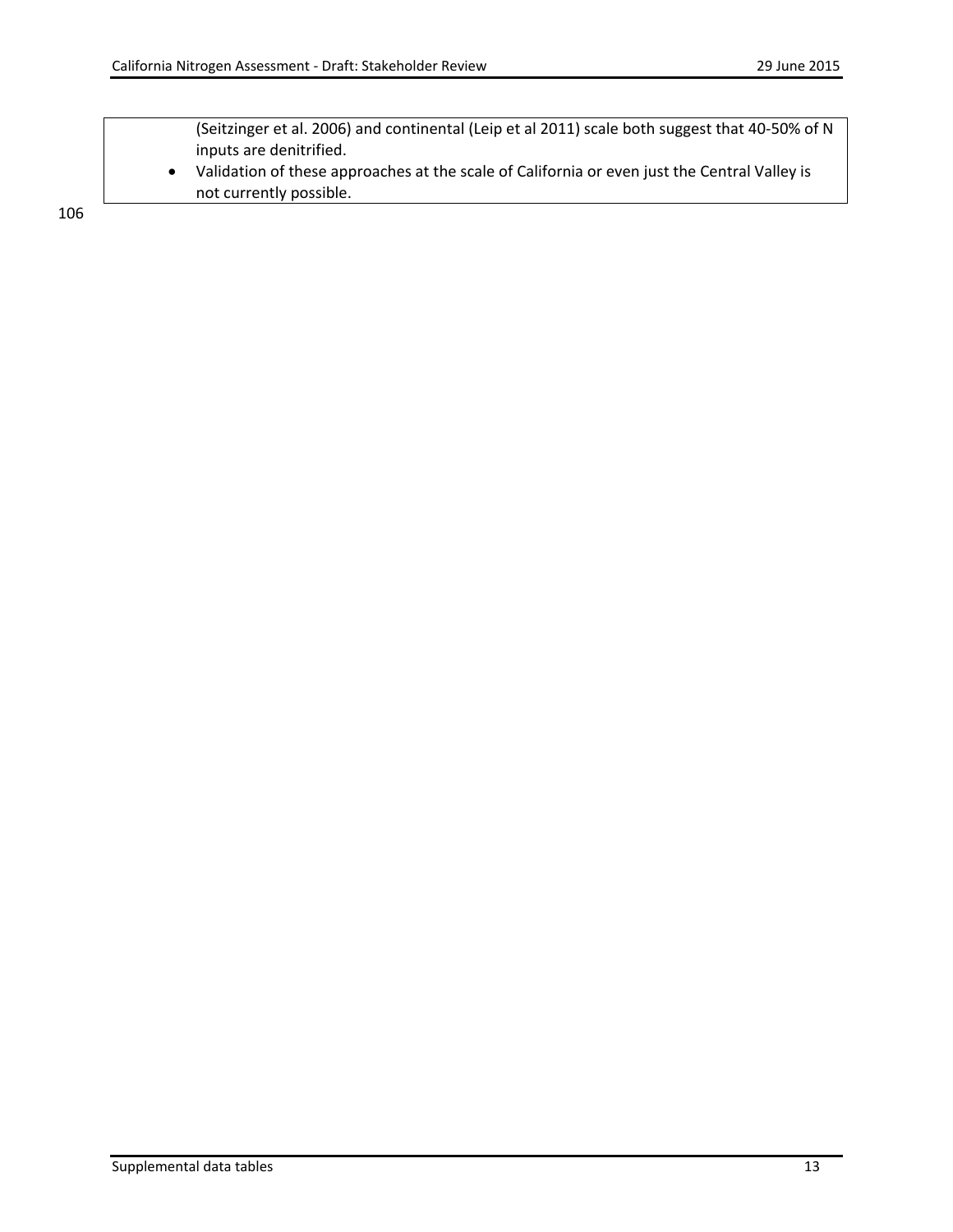(Seitzinger et al. 2006) and continental (Leip et al 2011) scale both suggest that 40-50% of N inputs are denitrified.

• Validation of these approaches at the scale of California or even just the Central Valley is not currently possible.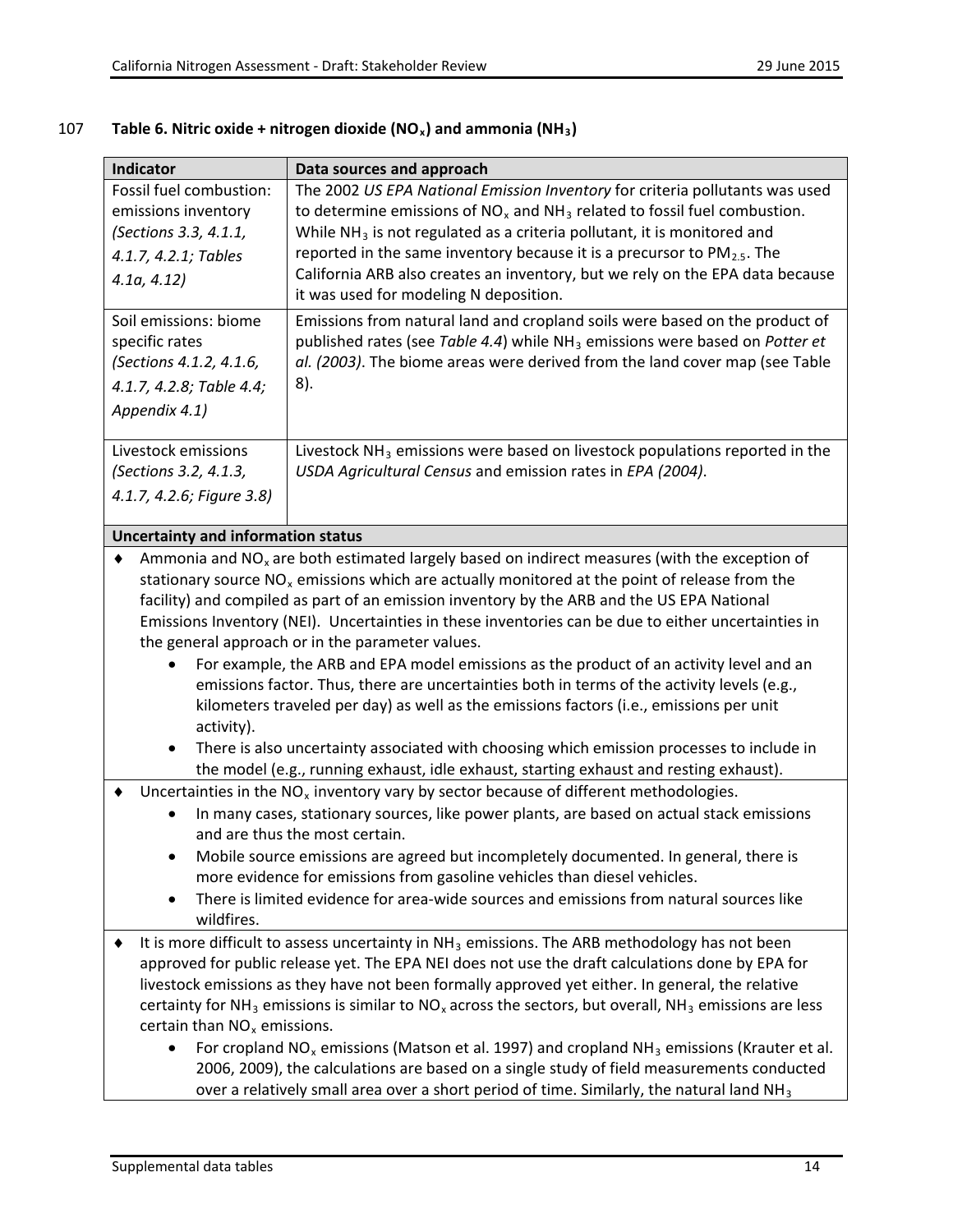| Fossil fuel combustion:<br>emissions inventory | Data sources and approach                                                                                                                                                                     |
|------------------------------------------------|-----------------------------------------------------------------------------------------------------------------------------------------------------------------------------------------------|
|                                                | The 2002 US EPA National Emission Inventory for criteria pollutants was used                                                                                                                  |
|                                                | to determine emissions of $NO_x$ and $NH_3$ related to fossil fuel combustion.                                                                                                                |
| (Sections 3.3, 4.1.1,                          | While $NH3$ is not regulated as a criteria pollutant, it is monitored and                                                                                                                     |
| 4.1.7, 4.2.1; Tables                           | reported in the same inventory because it is a precursor to $PM_{2.5}$ . The                                                                                                                  |
| 4.1a, 4.12                                     | California ARB also creates an inventory, but we rely on the EPA data because                                                                                                                 |
|                                                | it was used for modeling N deposition.                                                                                                                                                        |
| Soil emissions: biome                          | Emissions from natural land and cropland soils were based on the product of                                                                                                                   |
| specific rates                                 | published rates (see Table 4.4) while NH <sub>3</sub> emissions were based on Potter et                                                                                                       |
| (Sections 4.1.2, 4.1.6,                        | al. (2003). The biome areas were derived from the land cover map (see Table                                                                                                                   |
| 4.1.7, 4.2.8; Table 4.4;                       | 8).                                                                                                                                                                                           |
| Appendix 4.1)                                  |                                                                                                                                                                                               |
| Livestock emissions                            | Livestock NH <sub>3</sub> emissions were based on livestock populations reported in the                                                                                                       |
| (Sections 3.2, 4.1.3,                          | USDA Agricultural Census and emission rates in EPA (2004).                                                                                                                                    |
| 4.1.7, 4.2.6; Figure 3.8)                      |                                                                                                                                                                                               |
|                                                |                                                                                                                                                                                               |
| <b>Uncertainty and information status</b>      |                                                                                                                                                                                               |
|                                                | Ammonia and $NOx$ are both estimated largely based on indirect measures (with the exception of                                                                                                |
|                                                | stationary source $NOx$ emissions which are actually monitored at the point of release from the                                                                                               |
|                                                | facility) and compiled as part of an emission inventory by the ARB and the US EPA National                                                                                                    |
|                                                | Emissions Inventory (NEI). Uncertainties in these inventories can be due to either uncertainties in                                                                                           |
|                                                | the general approach or in the parameter values.                                                                                                                                              |
| ٠                                              | For example, the ARB and EPA model emissions as the product of an activity level and an                                                                                                       |
|                                                | emissions factor. Thus, there are uncertainties both in terms of the activity levels (e.g.,                                                                                                   |
|                                                | kilometers traveled per day) as well as the emissions factors (i.e., emissions per unit                                                                                                       |
| activity).                                     |                                                                                                                                                                                               |
| $\bullet$                                      | There is also uncertainty associated with choosing which emission processes to include in                                                                                                     |
|                                                | the model (e.g., running exhaust, idle exhaust, starting exhaust and resting exhaust).                                                                                                        |
|                                                | Uncertainties in the $NOx$ inventory vary by sector because of different methodologies.                                                                                                       |
|                                                | In many cases, stationary sources, like power plants, are based on actual stack emissions                                                                                                     |
|                                                | and are thus the most certain.                                                                                                                                                                |
|                                                | Mobile source emissions are agreed but incompletely documented. In general, there is                                                                                                          |
|                                                | more evidence for emissions from gasoline vehicles than diesel vehicles.                                                                                                                      |
| $\bullet$<br>wildfires.                        | There is limited evidence for area-wide sources and emissions from natural sources like                                                                                                       |
|                                                | It is more difficult to assess uncertainty in $NH3$ emissions. The ARB methodology has not been                                                                                               |
|                                                |                                                                                                                                                                                               |
|                                                |                                                                                                                                                                                               |
|                                                | approved for public release yet. The EPA NEI does not use the draft calculations done by EPA for                                                                                              |
|                                                | livestock emissions as they have not been formally approved yet either. In general, the relative                                                                                              |
|                                                | certainty for NH <sub>3</sub> emissions is similar to NO <sub>x</sub> across the sectors, but overall, NH <sub>3</sub> emissions are less                                                     |
| certain than $NOx$ emissions.<br>$\bullet$     |                                                                                                                                                                                               |
|                                                | For cropland $NO_x$ emissions (Matson et al. 1997) and cropland $NH_3$ emissions (Krauter et al.<br>2006, 2009), the calculations are based on a single study of field measurements conducted |

# 107 **Table 6. Nitric oxide + nitrogen dioxide (NOx) and ammonia (NH3)**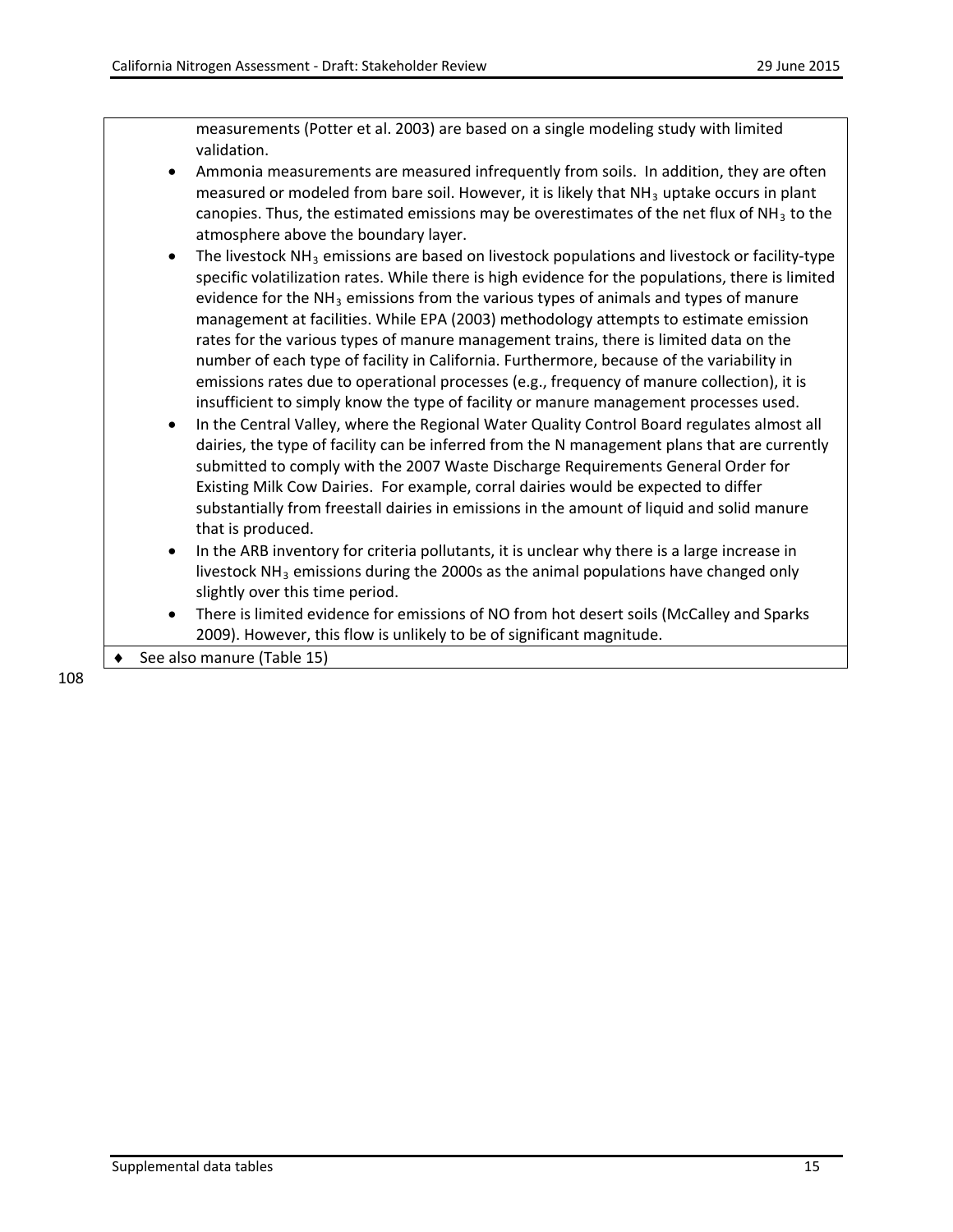measurements (Potter et al. 2003) are based on a single modeling study with limited validation.

- Ammonia measurements are measured infrequently from soils. In addition, they are often measured or modeled from bare soil. However, it is likely that  $NH<sub>3</sub>$  uptake occurs in plant canopies. Thus, the estimated emissions may be overestimates of the net flux of  $NH<sub>3</sub>$  to the atmosphere above the boundary layer.
- The livestock  $NH<sub>3</sub>$  emissions are based on livestock populations and livestock or facility-type specific volatilization rates. While there is high evidence for the populations, there is limited evidence for the  $NH<sub>3</sub>$  emissions from the various types of animals and types of manure management at facilities. While EPA (2003) methodology attempts to estimate emission rates for the various types of manure management trains, there is limited data on the number of each type of facility in California. Furthermore, because of the variability in emissions rates due to operational processes (e.g., frequency of manure collection), it is insufficient to simply know the type of facility or manure management processes used.
- In the Central Valley, where the Regional Water Quality Control Board regulates almost all dairies, the type of facility can be inferred from the N management plans that are currently submitted to comply with the 2007 Waste Discharge Requirements General Order for Existing Milk Cow Dairies. For example, corral dairies would be expected to differ substantially from freestall dairies in emissions in the amount of liquid and solid manure that is produced.
- In the ARB inventory for criteria pollutants, it is unclear why there is a large increase in livestock  $NH<sub>3</sub>$  emissions during the 2000s as the animal populations have changed only slightly over this time period.
- There is limited evidence for emissions of NO from hot desert soils (McCalley and Sparks 2009). However, this flow is unlikely to be of significant magnitude.

See also manure (Table 15)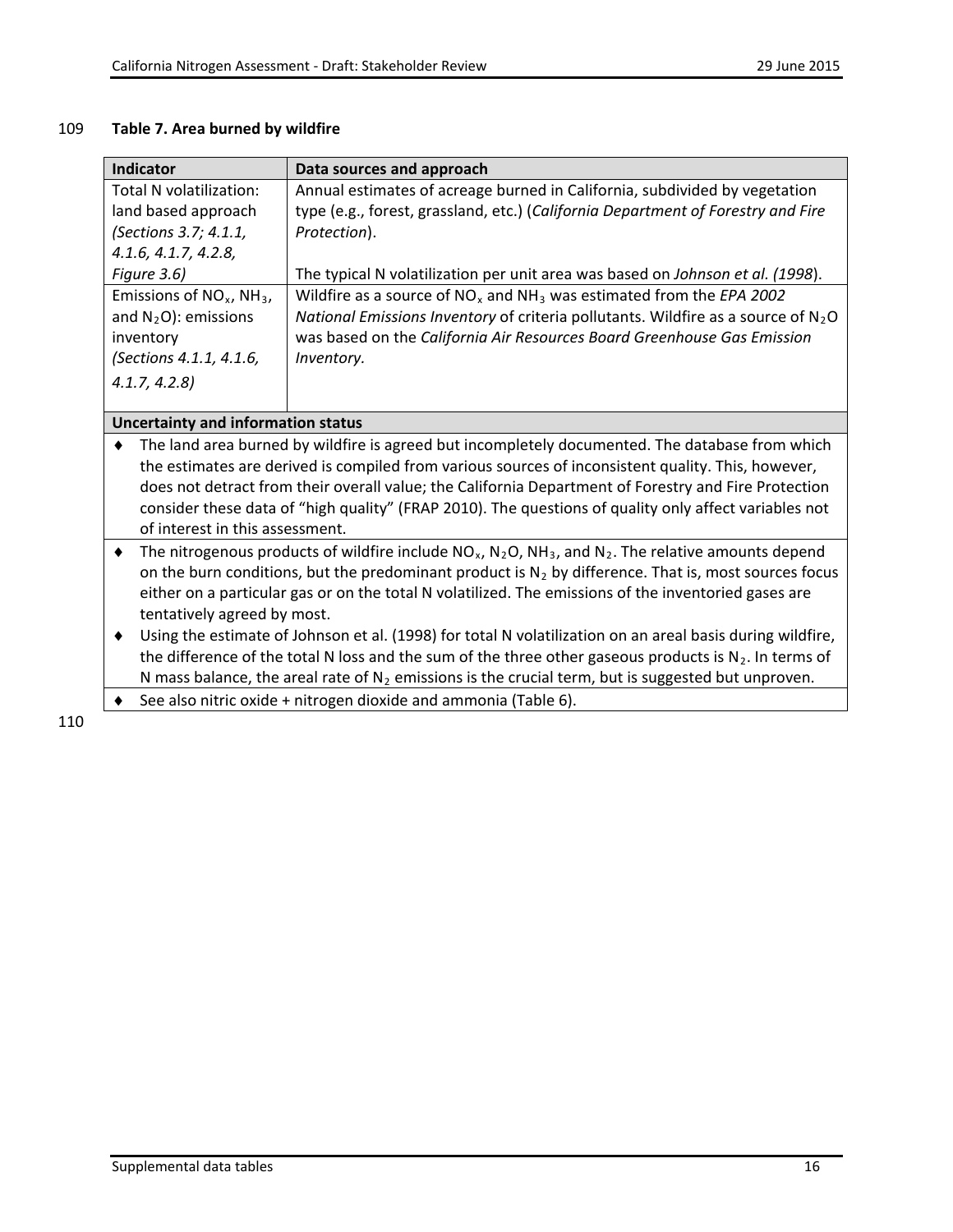#### 109 **Table 7. Area burned by wildfire**

| <b>Indicator</b>                                                                                                                                                                                                           | Data sources and approach                                                                                 |  |  |
|----------------------------------------------------------------------------------------------------------------------------------------------------------------------------------------------------------------------------|-----------------------------------------------------------------------------------------------------------|--|--|
| Total N volatilization:                                                                                                                                                                                                    | Annual estimates of acreage burned in California, subdivided by vegetation                                |  |  |
| land based approach                                                                                                                                                                                                        | type (e.g., forest, grassland, etc.) (California Department of Forestry and Fire                          |  |  |
| (Sections 3.7; 4.1.1,                                                                                                                                                                                                      | Protection).                                                                                              |  |  |
| 4.1.6, 4.1.7, 4.2.8,                                                                                                                                                                                                       |                                                                                                           |  |  |
| Figure 3.6)                                                                                                                                                                                                                | The typical N volatilization per unit area was based on Johnson et al. (1998).                            |  |  |
| Emissions of $NO_x$ , NH <sub>3</sub> ,                                                                                                                                                                                    | Wildfire as a source of $NO_x$ and $NH_3$ was estimated from the EPA 2002                                 |  |  |
| and $N_2O$ : emissions                                                                                                                                                                                                     | National Emissions Inventory of criteria pollutants. Wildfire as a source of $N_2O$                       |  |  |
| inventory                                                                                                                                                                                                                  | was based on the California Air Resources Board Greenhouse Gas Emission                                   |  |  |
| (Sections 4.1.1, 4.1.6,                                                                                                                                                                                                    | Inventory.                                                                                                |  |  |
| 4.1.7, 4.2.8                                                                                                                                                                                                               |                                                                                                           |  |  |
|                                                                                                                                                                                                                            |                                                                                                           |  |  |
| <b>Uncertainty and information status</b>                                                                                                                                                                                  |                                                                                                           |  |  |
| ٠                                                                                                                                                                                                                          | The land area burned by wildfire is agreed but incompletely documented. The database from which           |  |  |
|                                                                                                                                                                                                                            | the estimates are derived is compiled from various sources of inconsistent quality. This, however,        |  |  |
|                                                                                                                                                                                                                            | does not detract from their overall value; the California Department of Forestry and Fire Protection      |  |  |
| consider these data of "high quality" (FRAP 2010). The questions of quality only affect variables not<br>of interest in this assessment.                                                                                   |                                                                                                           |  |  |
| ٠                                                                                                                                                                                                                          |                                                                                                           |  |  |
| The nitrogenous products of wildfire include $NO_x$ , $N_2O$ , $NH_3$ , and $N_2$ . The relative amounts depend<br>on the burn conditions, but the predominant product is $N_2$ by difference. That is, most sources focus |                                                                                                           |  |  |
|                                                                                                                                                                                                                            | either on a particular gas or on the total N volatilized. The emissions of the inventoried gases are      |  |  |
|                                                                                                                                                                                                                            | tentatively agreed by most.                                                                               |  |  |
| ٠                                                                                                                                                                                                                          | Using the estimate of Johnson et al. (1998) for total N volatilization on an areal basis during wildfire, |  |  |
|                                                                                                                                                                                                                            | the difference of the total N loss and the sum of the three other gaseous products is $N_2$ . In terms of |  |  |
|                                                                                                                                                                                                                            |                                                                                                           |  |  |
|                                                                                                                                                                                                                            | N mass balance, the areal rate of $N_2$ emissions is the crucial term, but is suggested but unproven.     |  |  |
|                                                                                                                                                                                                                            | See also nitric oxide + nitrogen dioxide and ammonia (Table 6).                                           |  |  |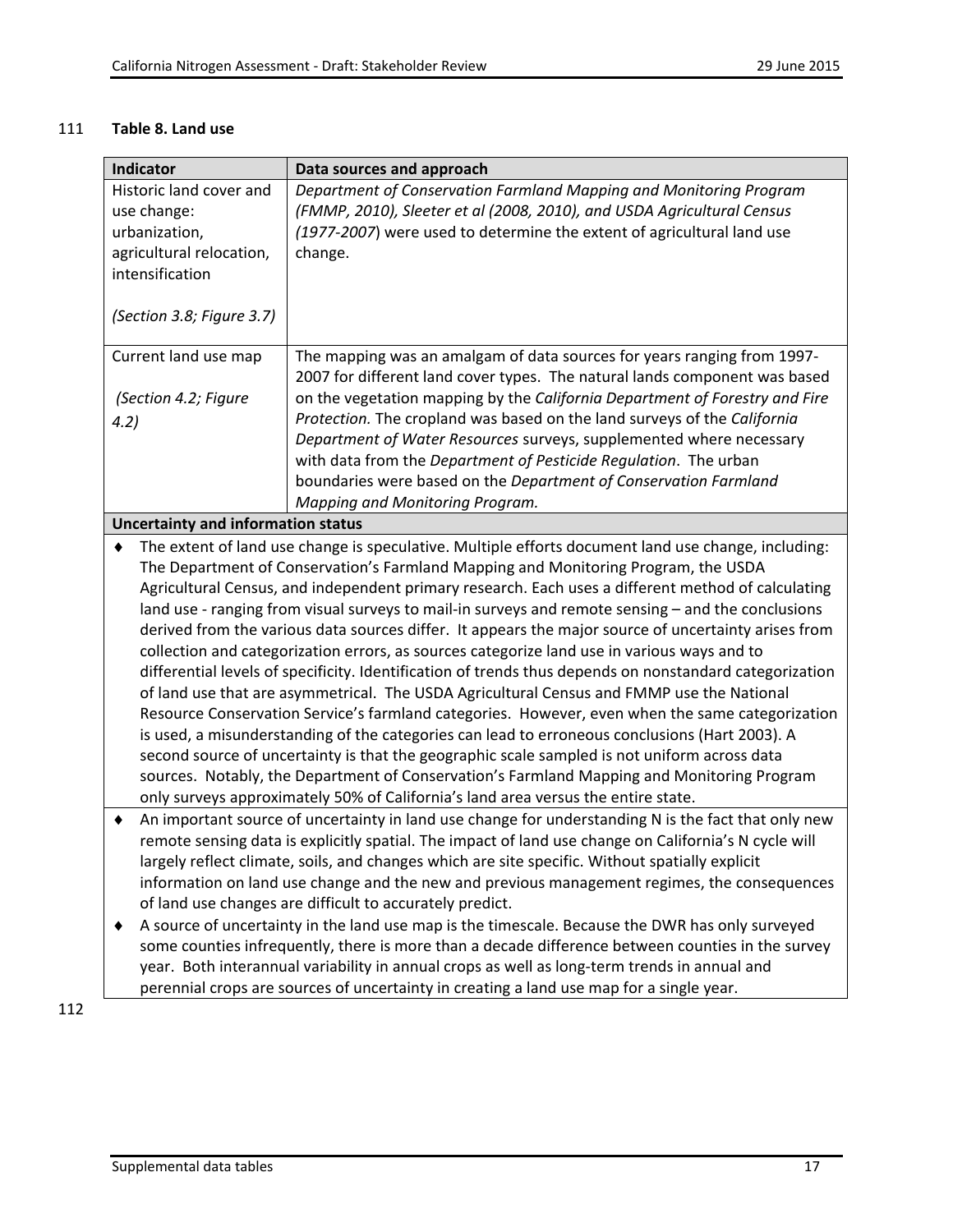## 111 **Table 8. Land use**

| Indicator                                                                                    | Data sources and approach                                                                               |  |  |
|----------------------------------------------------------------------------------------------|---------------------------------------------------------------------------------------------------------|--|--|
| Historic land cover and                                                                      | Department of Conservation Farmland Mapping and Monitoring Program                                      |  |  |
| use change:                                                                                  | (FMMP, 2010), Sleeter et al (2008, 2010), and USDA Agricultural Census                                  |  |  |
| urbanization,                                                                                | (1977-2007) were used to determine the extent of agricultural land use                                  |  |  |
| agricultural relocation,                                                                     | change.                                                                                                 |  |  |
| intensification                                                                              |                                                                                                         |  |  |
|                                                                                              |                                                                                                         |  |  |
| (Section 3.8; Figure 3.7)                                                                    |                                                                                                         |  |  |
| Current land use map                                                                         | The mapping was an amalgam of data sources for years ranging from 1997-                                 |  |  |
|                                                                                              | 2007 for different land cover types. The natural lands component was based                              |  |  |
| (Section 4.2; Figure                                                                         | on the vegetation mapping by the California Department of Forestry and Fire                             |  |  |
|                                                                                              | Protection. The cropland was based on the land surveys of the California                                |  |  |
| 4.2)                                                                                         | Department of Water Resources surveys, supplemented where necessary                                     |  |  |
|                                                                                              | with data from the Department of Pesticide Regulation. The urban                                        |  |  |
|                                                                                              | boundaries were based on the Department of Conservation Farmland                                        |  |  |
|                                                                                              | Mapping and Monitoring Program.                                                                         |  |  |
| <b>Uncertainty and information status</b>                                                    |                                                                                                         |  |  |
|                                                                                              | The extent of land use change is speculative. Multiple efforts document land use change, including:     |  |  |
|                                                                                              | The Department of Conservation's Farmland Mapping and Monitoring Program, the USDA                      |  |  |
|                                                                                              | Agricultural Census, and independent primary research. Each uses a different method of calculating      |  |  |
|                                                                                              | land use - ranging from visual surveys to mail-in surveys and remote sensing - and the conclusions      |  |  |
|                                                                                              | derived from the various data sources differ. It appears the major source of uncertainty arises from    |  |  |
|                                                                                              | collection and categorization errors, as sources categorize land use in various ways and to             |  |  |
|                                                                                              | differential levels of specificity. Identification of trends thus depends on nonstandard categorization |  |  |
|                                                                                              | of land use that are asymmetrical. The USDA Agricultural Census and FMMP use the National               |  |  |
|                                                                                              | Resource Conservation Service's farmland categories. However, even when the same categorization         |  |  |
|                                                                                              | is used, a misunderstanding of the categories can lead to erroneous conclusions (Hart 2003). A          |  |  |
| second source of uncertainty is that the geographic scale sampled is not uniform across data |                                                                                                         |  |  |
|                                                                                              | sources. Notably, the Department of Conservation's Farmland Mapping and Monitoring Program              |  |  |
|                                                                                              | only surveys approximately 50% of California's land area versus the entire state.                       |  |  |
|                                                                                              | An important source of uncertainty in land use change for understanding N is the fact that only new     |  |  |
|                                                                                              | remote sensing data is explicitly spatial. The impact of land use change on California's N cycle will   |  |  |
|                                                                                              | largely reflect climate, soils, and changes which are site specific. Without spatially explicit         |  |  |
|                                                                                              | information on land use change and the new and previous management regimes, the consequences            |  |  |
|                                                                                              | of land use changes are difficult to accurately predict.                                                |  |  |
| ٠                                                                                            | A source of uncertainty in the land use map is the timescale. Because the DWR has only surveyed         |  |  |
|                                                                                              | some counties infrequently, there is more than a decade difference between counties in the survey       |  |  |
|                                                                                              | year. Both interannual variability in annual crops as well as long-term trends in annual and            |  |  |
|                                                                                              | perennial crops are sources of uncertainty in creating a land use map for a single year.                |  |  |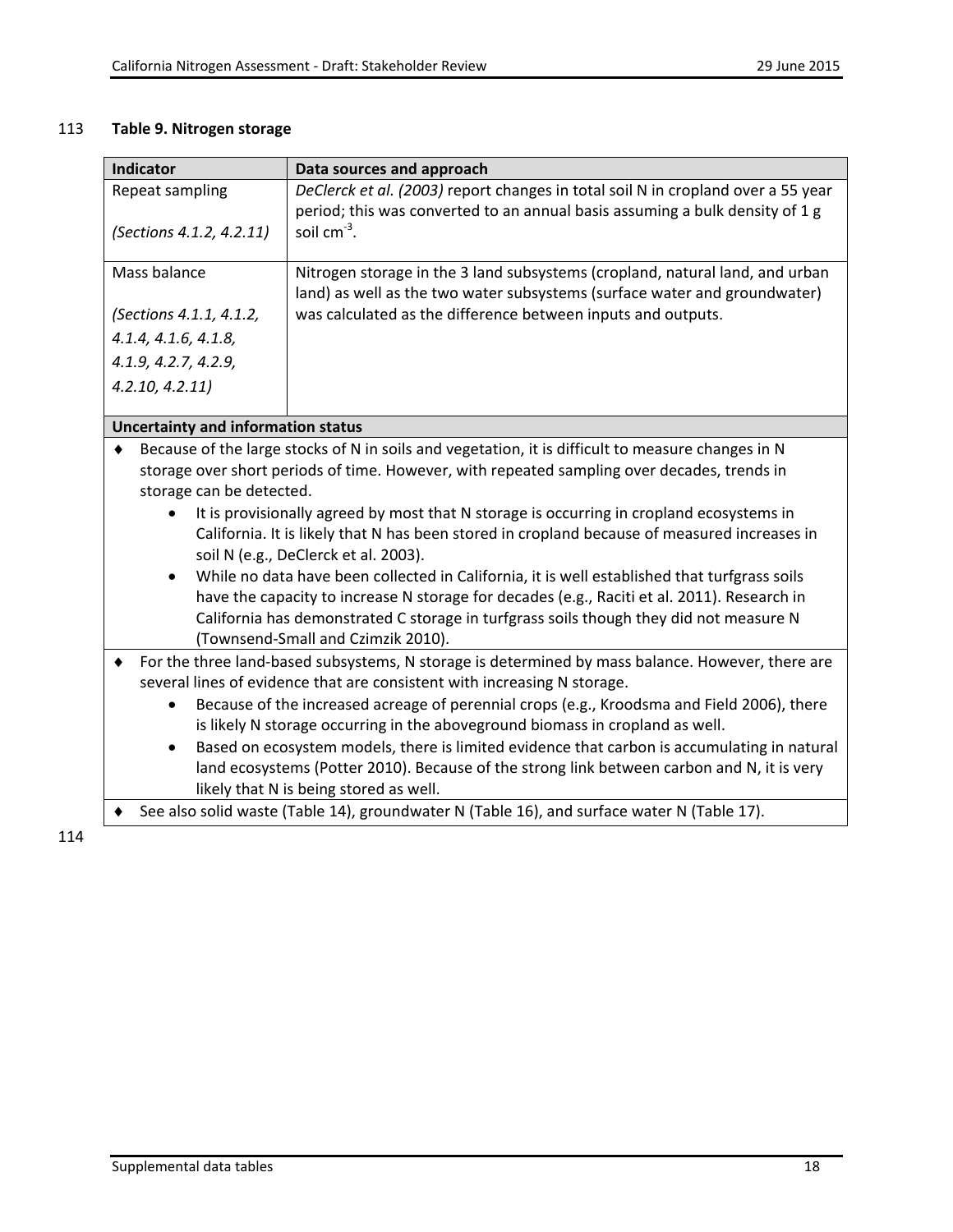## 113 **Table 9. Nitrogen storage**

| <b>Indicator</b>                                                                                 | Data sources and approach                                                                         |
|--------------------------------------------------------------------------------------------------|---------------------------------------------------------------------------------------------------|
| Repeat sampling                                                                                  | DeClerck et al. (2003) report changes in total soil N in cropland over a 55 year                  |
|                                                                                                  | period; this was converted to an annual basis assuming a bulk density of 1 g                      |
| (Sections 4.1.2, 4.2.11)                                                                         | soil $cm^{-3}$ .                                                                                  |
| Mass balance                                                                                     | Nitrogen storage in the 3 land subsystems (cropland, natural land, and urban                      |
|                                                                                                  | land) as well as the two water subsystems (surface water and groundwater)                         |
| (Sections 4.1.1, 4.1.2,                                                                          | was calculated as the difference between inputs and outputs.                                      |
| 4.1.4, 4.1.6, 4.1.8,                                                                             |                                                                                                   |
| 4.1.9, 4.2.7, 4.2.9,                                                                             |                                                                                                   |
| 4.2.10, 4.2.11                                                                                   |                                                                                                   |
|                                                                                                  |                                                                                                   |
| <b>Uncertainty and information status</b>                                                        |                                                                                                   |
|                                                                                                  | Because of the large stocks of N in soils and vegetation, it is difficult to measure changes in N |
|                                                                                                  | storage over short periods of time. However, with repeated sampling over decades, trends in       |
| storage can be detected.                                                                         |                                                                                                   |
|                                                                                                  | It is provisionally agreed by most that N storage is occurring in cropland ecosystems in          |
|                                                                                                  | California. It is likely that N has been stored in cropland because of measured increases in      |
|                                                                                                  | soil N (e.g., DeClerck et al. 2003).                                                              |
| $\bullet$                                                                                        | While no data have been collected in California, it is well established that turfgrass soils      |
| have the capacity to increase N storage for decades (e.g., Raciti et al. 2011). Research in      |                                                                                                   |
|                                                                                                  | California has demonstrated C storage in turfgrass soils though they did not measure N            |
|                                                                                                  | (Townsend-Small and Czimzik 2010).                                                                |
| For the three land-based subsystems, N storage is determined by mass balance. However, there are |                                                                                                   |
|                                                                                                  | several lines of evidence that are consistent with increasing N storage.                          |
|                                                                                                  | Because of the increased acreage of perennial crops (e.g., Kroodsma and Field 2006), there        |
|                                                                                                  | is likely N storage occurring in the aboveground biomass in cropland as well.                     |
| $\bullet$                                                                                        | Based on ecosystem models, there is limited evidence that carbon is accumulating in natural       |
|                                                                                                  | land ecosystems (Potter 2010). Because of the strong link between carbon and N, it is very        |
|                                                                                                  | likely that N is being stored as well.                                                            |
| See also solid waste (Table 14), groundwater N (Table 16), and surface water N (Table 17).       |                                                                                                   |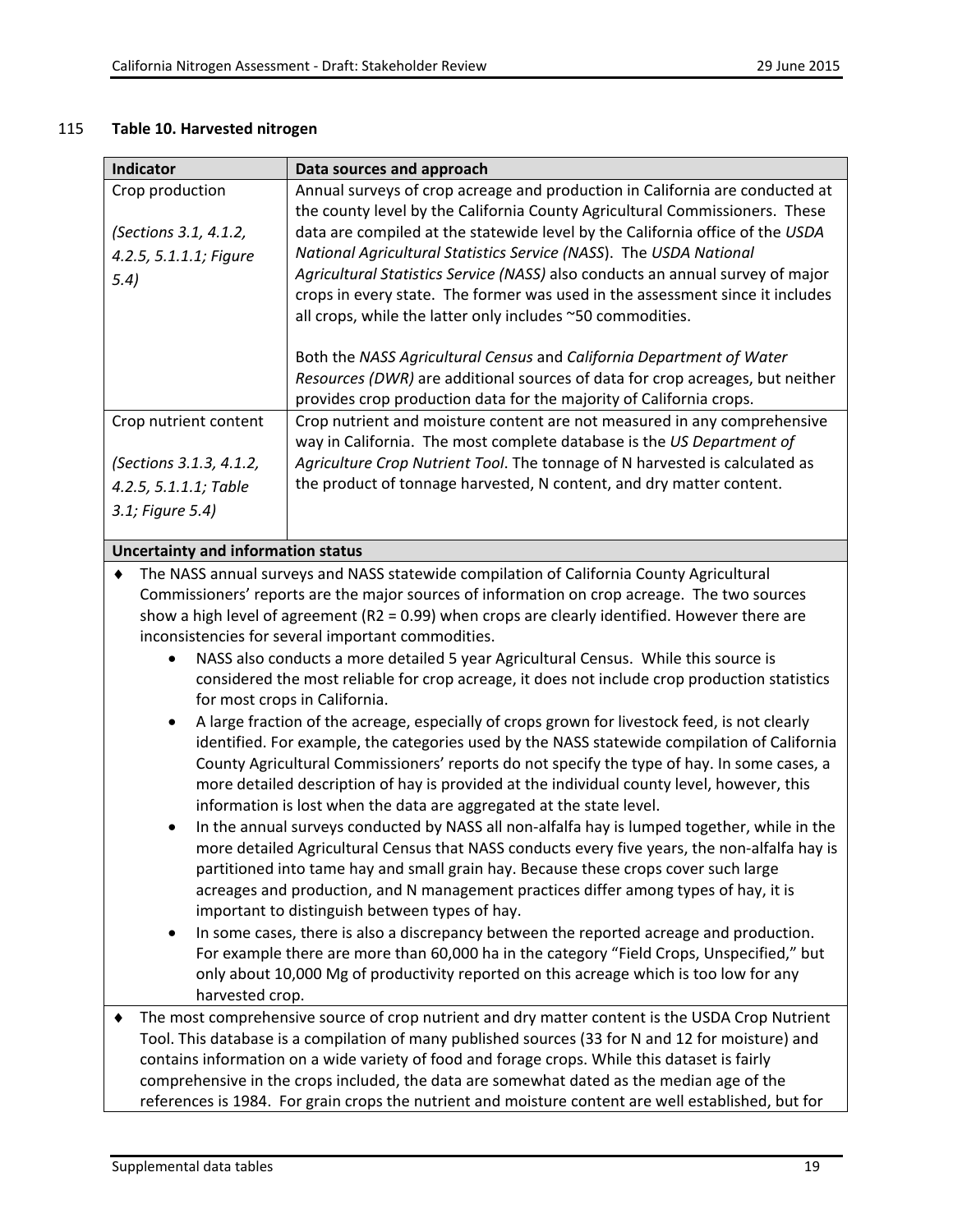#### 115 **Table 10. Harvested nitrogen**

| Indicator                                 | Data sources and approach                                                                                                                                                            |
|-------------------------------------------|--------------------------------------------------------------------------------------------------------------------------------------------------------------------------------------|
| Crop production                           | Annual surveys of crop acreage and production in California are conducted at                                                                                                         |
| (Sections 3.1, 4.1.2,                     | the county level by the California County Agricultural Commissioners. These<br>data are compiled at the statewide level by the California office of the USDA                         |
| 4.2.5, 5.1.1.1; Figure                    | National Agricultural Statistics Service (NASS). The USDA National                                                                                                                   |
| 5.4)                                      | Agricultural Statistics Service (NASS) also conducts an annual survey of major<br>crops in every state. The former was used in the assessment since it includes                      |
|                                           | all crops, while the latter only includes ~50 commodities.                                                                                                                           |
|                                           | Both the NASS Agricultural Census and California Department of Water                                                                                                                 |
|                                           | Resources (DWR) are additional sources of data for crop acreages, but neither                                                                                                        |
|                                           | provides crop production data for the majority of California crops.                                                                                                                  |
| Crop nutrient content                     | Crop nutrient and moisture content are not measured in any comprehensive                                                                                                             |
|                                           | way in California. The most complete database is the US Department of                                                                                                                |
| (Sections 3.1.3, 4.1.2,                   | Agriculture Crop Nutrient Tool. The tonnage of N harvested is calculated as                                                                                                          |
| 4.2.5, 5.1.1.1; Table                     | the product of tonnage harvested, N content, and dry matter content.                                                                                                                 |
| 3.1; Figure 5.4)                          |                                                                                                                                                                                      |
| <b>Uncertainty and information status</b> |                                                                                                                                                                                      |
| ٠                                         | The NASS annual surveys and NASS statewide compilation of California County Agricultural                                                                                             |
|                                           | Commissioners' reports are the major sources of information on crop acreage. The two sources                                                                                         |
|                                           | show a high level of agreement ( $R2 = 0.99$ ) when crops are clearly identified. However there are                                                                                  |
|                                           | inconsistencies for several important commodities.                                                                                                                                   |
|                                           | NASS also conducts a more detailed 5 year Agricultural Census. While this source is                                                                                                  |
|                                           | considered the most reliable for crop acreage, it does not include crop production statistics<br>for most crops in California.                                                       |
| $\bullet$                                 | A large fraction of the acreage, especially of crops grown for livestock feed, is not clearly                                                                                        |
|                                           | identified. For example, the categories used by the NASS statewide compilation of California                                                                                         |
|                                           | County Agricultural Commissioners' reports do not specify the type of hay. In some cases, a                                                                                          |
|                                           | more detailed description of hay is provided at the individual county level, however, this                                                                                           |
|                                           | information is lost when the data are aggregated at the state level.                                                                                                                 |
| ٠                                         | In the annual surveys conducted by NASS all non-alfalfa hay is lumped together, while in the                                                                                         |
|                                           | more detailed Agricultural Census that NASS conducts every five years, the non-alfalfa hay is                                                                                        |
|                                           | partitioned into tame hay and small grain hay. Because these crops cover such large                                                                                                  |
|                                           | acreages and production, and N management practices differ among types of hay, it is                                                                                                 |
|                                           | important to distinguish between types of hay.                                                                                                                                       |
| ٠                                         | In some cases, there is also a discrepancy between the reported acreage and production.<br>For example there are more than 60,000 ha in the category "Field Crops, Unspecified," but |
|                                           | only about 10,000 Mg of productivity reported on this acreage which is too low for any                                                                                               |
| harvested crop.                           |                                                                                                                                                                                      |
|                                           | The most comprehensive source of crop nutrient and dry matter content is the USDA Crop Nutrient                                                                                      |
|                                           | Tool. This database is a compilation of many published sources (33 for N and 12 for moisture) and                                                                                    |
|                                           | contains information on a wide variety of food and forage crops. While this dataset is fairly                                                                                        |
|                                           | comprehensive in the crops included the data are somewhat dated as the median age of the                                                                                             |

comprehensive in the crops included, the data are somewhat dated as the median age of the references is 1984. For grain crops the nutrient and moisture content are well established, but for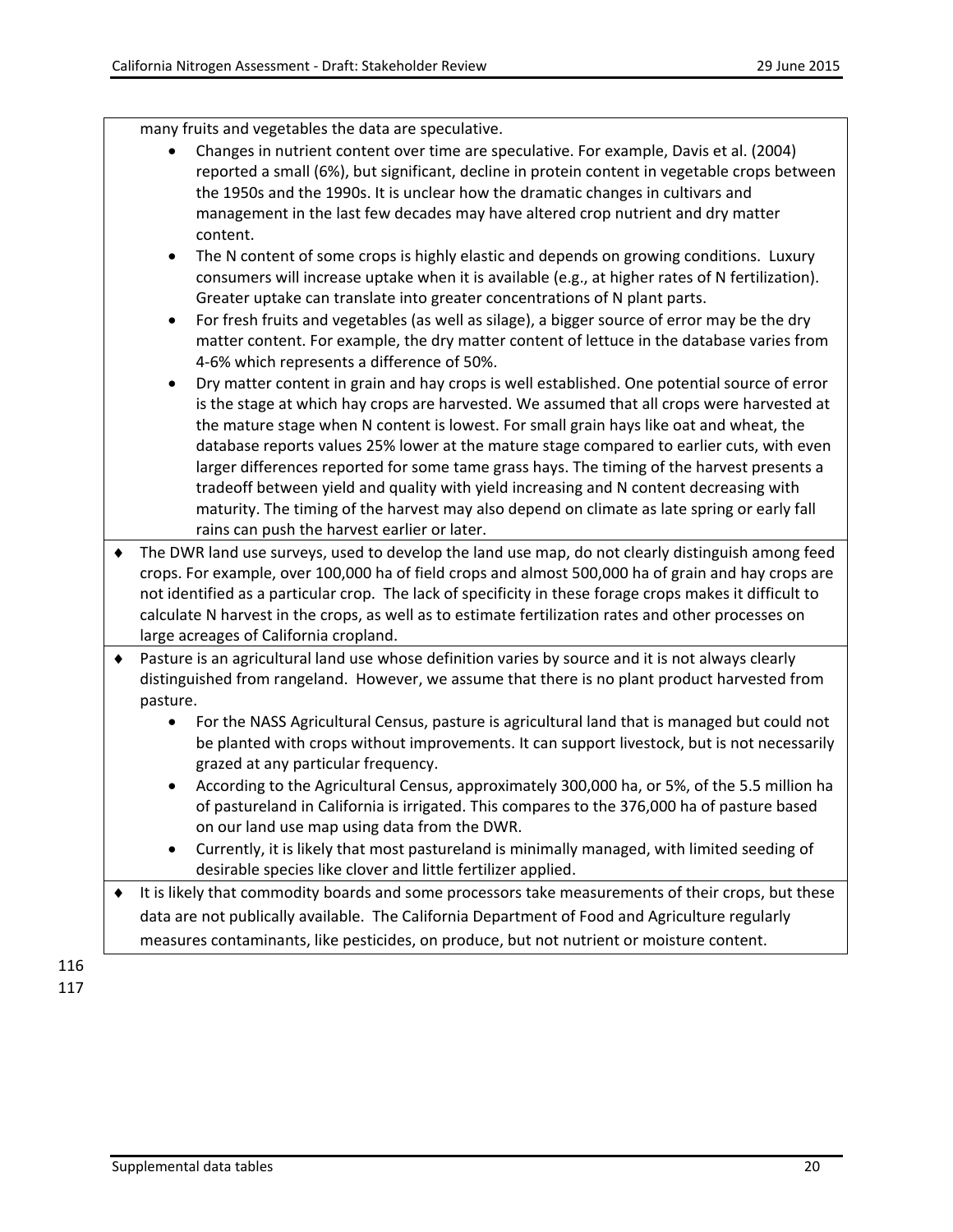many fruits and vegetables the data are speculative.

- Changes in nutrient content over time are speculative. For example, Davis et al. (2004) reported a small (6%), but significant, decline in protein content in vegetable crops between the 1950s and the 1990s. It is unclear how the dramatic changes in cultivars and management in the last few decades may have altered crop nutrient and dry matter content.
- The N content of some crops is highly elastic and depends on growing conditions. Luxury consumers will increase uptake when it is available (e.g., at higher rates of N fertilization). Greater uptake can translate into greater concentrations of N plant parts.
- For fresh fruits and vegetables (as well as silage), a bigger source of error may be the dry matter content. For example, the dry matter content of lettuce in the database varies from 4-6% which represents a difference of 50%.
- Dry matter content in grain and hay crops is well established. One potential source of error is the stage at which hay crops are harvested. We assumed that all crops were harvested at the mature stage when N content is lowest. For small grain hays like oat and wheat, the database reports values 25% lower at the mature stage compared to earlier cuts, with even larger differences reported for some tame grass hays. The timing of the harvest presents a tradeoff between yield and quality with yield increasing and N content decreasing with maturity. The timing of the harvest may also depend on climate as late spring or early fall rains can push the harvest earlier or later.
- ♦ The DWR land use surveys, used to develop the land use map, do not clearly distinguish among feed crops. For example, over 100,000 ha of field crops and almost 500,000 ha of grain and hay crops are not identified as a particular crop. The lack of specificity in these forage crops makes it difficult to calculate N harvest in the crops, as well as to estimate fertilization rates and other processes on large acreages of California cropland.
- ♦ Pasture is an agricultural land use whose definition varies by source and it is not always clearly distinguished from rangeland. However, we assume that there is no plant product harvested from pasture.
	- For the NASS Agricultural Census, pasture is agricultural land that is managed but could not be planted with crops without improvements. It can support livestock, but is not necessarily grazed at any particular frequency.
	- According to the Agricultural Census, approximately 300,000 ha, or 5%, of the 5.5 million ha of pastureland in California is irrigated. This compares to the 376,000 ha of pasture based on our land use map using data from the DWR.
	- Currently, it is likely that most pastureland is minimally managed, with limited seeding of desirable species like clover and little fertilizer applied.
- ♦ It is likely that commodity boards and some processors take measurements of their crops, but these data are not publically available. The California Department of Food and Agriculture regularly measures contaminants, like pesticides, on produce, but not nutrient or moisture content.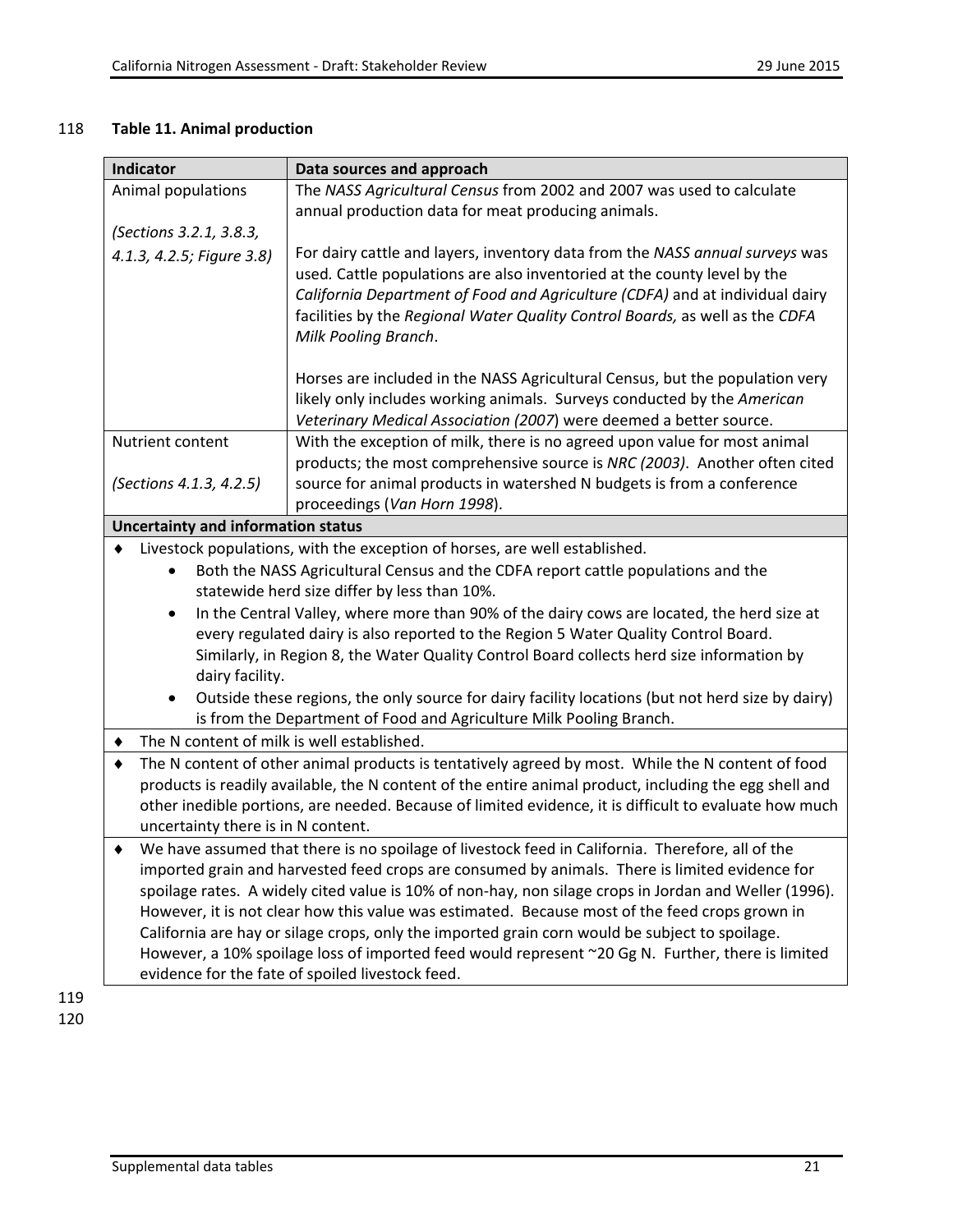## 118 **Table 11. Animal production**

| <b>Indicator</b>                                                                                                                       | Data sources and approach                                                                                                                                                                               |  |  |
|----------------------------------------------------------------------------------------------------------------------------------------|---------------------------------------------------------------------------------------------------------------------------------------------------------------------------------------------------------|--|--|
| Animal populations                                                                                                                     | The NASS Agricultural Census from 2002 and 2007 was used to calculate                                                                                                                                   |  |  |
|                                                                                                                                        | annual production data for meat producing animals.                                                                                                                                                      |  |  |
| (Sections 3.2.1, 3.8.3,                                                                                                                |                                                                                                                                                                                                         |  |  |
| 4.1.3, 4.2.5; Figure 3.8)                                                                                                              | For dairy cattle and layers, inventory data from the NASS annual surveys was                                                                                                                            |  |  |
|                                                                                                                                        | used. Cattle populations are also inventoried at the county level by the                                                                                                                                |  |  |
|                                                                                                                                        | California Department of Food and Agriculture (CDFA) and at individual dairy                                                                                                                            |  |  |
|                                                                                                                                        | facilities by the Regional Water Quality Control Boards, as well as the CDFA                                                                                                                            |  |  |
|                                                                                                                                        | Milk Pooling Branch.                                                                                                                                                                                    |  |  |
|                                                                                                                                        | Horses are included in the NASS Agricultural Census, but the population very                                                                                                                            |  |  |
|                                                                                                                                        | likely only includes working animals. Surveys conducted by the American                                                                                                                                 |  |  |
|                                                                                                                                        | Veterinary Medical Association (2007) were deemed a better source.                                                                                                                                      |  |  |
| Nutrient content                                                                                                                       | With the exception of milk, there is no agreed upon value for most animal                                                                                                                               |  |  |
|                                                                                                                                        | products; the most comprehensive source is NRC (2003). Another often cited                                                                                                                              |  |  |
| (Sections 4.1.3, 4.2.5)                                                                                                                | source for animal products in watershed N budgets is from a conference                                                                                                                                  |  |  |
|                                                                                                                                        | proceedings (Van Horn 1998).                                                                                                                                                                            |  |  |
| <b>Uncertainty and information status</b>                                                                                              |                                                                                                                                                                                                         |  |  |
|                                                                                                                                        | Livestock populations, with the exception of horses, are well established.                                                                                                                              |  |  |
|                                                                                                                                        | Both the NASS Agricultural Census and the CDFA report cattle populations and the                                                                                                                        |  |  |
| statewide herd size differ by less than 10%.                                                                                           |                                                                                                                                                                                                         |  |  |
| $\bullet$                                                                                                                              | In the Central Valley, where more than 90% of the dairy cows are located, the herd size at                                                                                                              |  |  |
|                                                                                                                                        | every regulated dairy is also reported to the Region 5 Water Quality Control Board.                                                                                                                     |  |  |
|                                                                                                                                        | Similarly, in Region 8, the Water Quality Control Board collects herd size information by                                                                                                               |  |  |
| dairy facility.                                                                                                                        |                                                                                                                                                                                                         |  |  |
| Outside these regions, the only source for dairy facility locations (but not herd size by dairy)<br>$\bullet$                          |                                                                                                                                                                                                         |  |  |
| is from the Department of Food and Agriculture Milk Pooling Branch.                                                                    |                                                                                                                                                                                                         |  |  |
| The N content of milk is well established.                                                                                             |                                                                                                                                                                                                         |  |  |
| The N content of other animal products is tentatively agreed by most. While the N content of food                                      |                                                                                                                                                                                                         |  |  |
| products is readily available, the N content of the entire animal product, including the egg shell and                                 |                                                                                                                                                                                                         |  |  |
| other inedible portions, are needed. Because of limited evidence, it is difficult to evaluate how much                                 |                                                                                                                                                                                                         |  |  |
| uncertainty there is in N content.<br>We have assumed that there is no spoilage of livestock feed in California. Therefore, all of the |                                                                                                                                                                                                         |  |  |
|                                                                                                                                        |                                                                                                                                                                                                         |  |  |
|                                                                                                                                        | imported grain and harvested feed crops are consumed by animals. There is limited evidence for<br>spoilage rates. A widely cited value is 10% of non-hay, non silage crops in Jordan and Weller (1996). |  |  |
|                                                                                                                                        | However, it is not clear how this value was estimated. Because most of the feed crops grown in                                                                                                          |  |  |
|                                                                                                                                        | California are hay or silage crops, only the imported grain corn would be subject to spoilage.                                                                                                          |  |  |
|                                                                                                                                        | However, a 10% spoilage loss of imported feed would represent ~20 Gg N. Further, there is limited                                                                                                       |  |  |
| evidence for the fate of spoiled livestock feed.                                                                                       |                                                                                                                                                                                                         |  |  |
|                                                                                                                                        |                                                                                                                                                                                                         |  |  |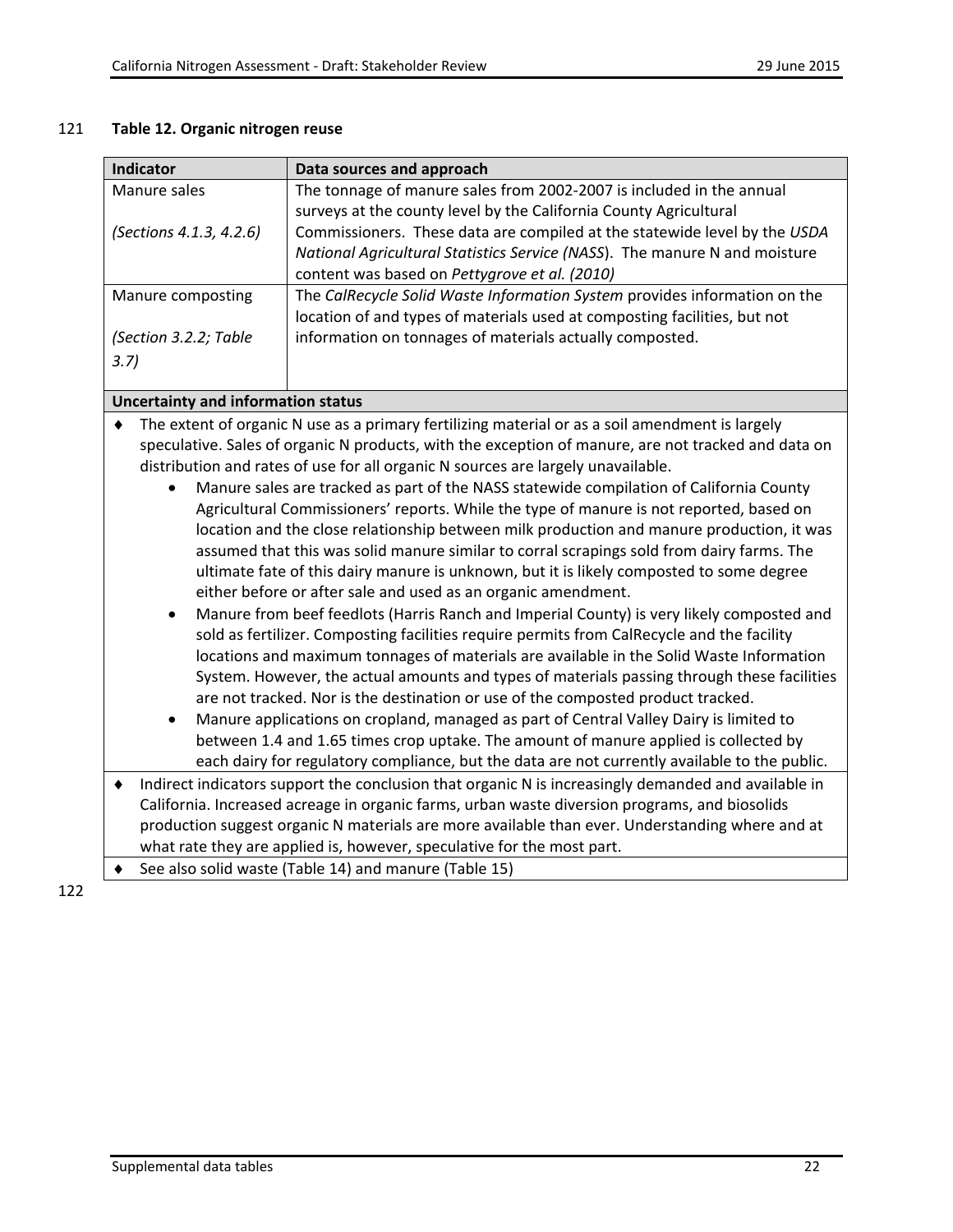### 121 **Table 12. Organic nitrogen reuse**

| The tonnage of manure sales from 2002-2007 is included in the annual<br>Manure sales<br>surveys at the county level by the California County Agricultural<br>Commissioners. These data are compiled at the statewide level by the USDA<br>(Sections 4.1.3, 4.2.6)<br>National Agricultural Statistics Service (NASS). The manure N and moisture<br>content was based on Pettygrove et al. (2010)<br>The CalRecycle Solid Waste Information System provides information on the<br>Manure composting<br>location of and types of materials used at composting facilities, but not<br>(Section 3.2.2; Table<br>information on tonnages of materials actually composted.<br>3.7<br><b>Uncertainty and information status</b><br>The extent of organic N use as a primary fertilizing material or as a soil amendment is largely<br>speculative. Sales of organic N products, with the exception of manure, are not tracked and data on<br>distribution and rates of use for all organic N sources are largely unavailable.<br>Manure sales are tracked as part of the NASS statewide compilation of California County<br>Agricultural Commissioners' reports. While the type of manure is not reported, based on<br>location and the close relationship between milk production and manure production, it was<br>assumed that this was solid manure similar to corral scrapings sold from dairy farms. The<br>ultimate fate of this dairy manure is unknown, but it is likely composted to some degree<br>either before or after sale and used as an organic amendment.<br>Manure from beef feedlots (Harris Ranch and Imperial County) is very likely composted and<br>$\bullet$<br>sold as fertilizer. Composting facilities require permits from CalRecycle and the facility<br>locations and maximum tonnages of materials are available in the Solid Waste Information<br>System. However, the actual amounts and types of materials passing through these facilities<br>are not tracked. Nor is the destination or use of the composted product tracked.<br>Manure applications on cropland, managed as part of Central Valley Dairy is limited to<br>$\bullet$<br>between 1.4 and 1.65 times crop uptake. The amount of manure applied is collected by<br>each dairy for regulatory compliance, but the data are not currently available to the public.<br>Indirect indicators support the conclusion that organic N is increasingly demanded and available in<br>٠<br>California. Increased acreage in organic farms, urban waste diversion programs, and biosolids<br>production suggest organic N materials are more available than ever. Understanding where and at<br>what rate they are applied is, however, speculative for the most part.<br>See also solid waste (Table 14) and manure (Table 15) | Indicator<br>Data sources and approach |  |  |
|---------------------------------------------------------------------------------------------------------------------------------------------------------------------------------------------------------------------------------------------------------------------------------------------------------------------------------------------------------------------------------------------------------------------------------------------------------------------------------------------------------------------------------------------------------------------------------------------------------------------------------------------------------------------------------------------------------------------------------------------------------------------------------------------------------------------------------------------------------------------------------------------------------------------------------------------------------------------------------------------------------------------------------------------------------------------------------------------------------------------------------------------------------------------------------------------------------------------------------------------------------------------------------------------------------------------------------------------------------------------------------------------------------------------------------------------------------------------------------------------------------------------------------------------------------------------------------------------------------------------------------------------------------------------------------------------------------------------------------------------------------------------------------------------------------------------------------------------------------------------------------------------------------------------------------------------------------------------------------------------------------------------------------------------------------------------------------------------------------------------------------------------------------------------------------------------------------------------------------------------------------------------------------------------------------------------------------------------------------------------------------------------------------------------------------------------------------------------------------------------------------------------------------------------------------------------------------------------------------------------------------------------------------------------------------------------------------------------------------------------------------------------------------------------------------------|----------------------------------------|--|--|
|                                                                                                                                                                                                                                                                                                                                                                                                                                                                                                                                                                                                                                                                                                                                                                                                                                                                                                                                                                                                                                                                                                                                                                                                                                                                                                                                                                                                                                                                                                                                                                                                                                                                                                                                                                                                                                                                                                                                                                                                                                                                                                                                                                                                                                                                                                                                                                                                                                                                                                                                                                                                                                                                                                                                                                                                               |                                        |  |  |
|                                                                                                                                                                                                                                                                                                                                                                                                                                                                                                                                                                                                                                                                                                                                                                                                                                                                                                                                                                                                                                                                                                                                                                                                                                                                                                                                                                                                                                                                                                                                                                                                                                                                                                                                                                                                                                                                                                                                                                                                                                                                                                                                                                                                                                                                                                                                                                                                                                                                                                                                                                                                                                                                                                                                                                                                               |                                        |  |  |
|                                                                                                                                                                                                                                                                                                                                                                                                                                                                                                                                                                                                                                                                                                                                                                                                                                                                                                                                                                                                                                                                                                                                                                                                                                                                                                                                                                                                                                                                                                                                                                                                                                                                                                                                                                                                                                                                                                                                                                                                                                                                                                                                                                                                                                                                                                                                                                                                                                                                                                                                                                                                                                                                                                                                                                                                               |                                        |  |  |
|                                                                                                                                                                                                                                                                                                                                                                                                                                                                                                                                                                                                                                                                                                                                                                                                                                                                                                                                                                                                                                                                                                                                                                                                                                                                                                                                                                                                                                                                                                                                                                                                                                                                                                                                                                                                                                                                                                                                                                                                                                                                                                                                                                                                                                                                                                                                                                                                                                                                                                                                                                                                                                                                                                                                                                                                               |                                        |  |  |
|                                                                                                                                                                                                                                                                                                                                                                                                                                                                                                                                                                                                                                                                                                                                                                                                                                                                                                                                                                                                                                                                                                                                                                                                                                                                                                                                                                                                                                                                                                                                                                                                                                                                                                                                                                                                                                                                                                                                                                                                                                                                                                                                                                                                                                                                                                                                                                                                                                                                                                                                                                                                                                                                                                                                                                                                               |                                        |  |  |
|                                                                                                                                                                                                                                                                                                                                                                                                                                                                                                                                                                                                                                                                                                                                                                                                                                                                                                                                                                                                                                                                                                                                                                                                                                                                                                                                                                                                                                                                                                                                                                                                                                                                                                                                                                                                                                                                                                                                                                                                                                                                                                                                                                                                                                                                                                                                                                                                                                                                                                                                                                                                                                                                                                                                                                                                               |                                        |  |  |
|                                                                                                                                                                                                                                                                                                                                                                                                                                                                                                                                                                                                                                                                                                                                                                                                                                                                                                                                                                                                                                                                                                                                                                                                                                                                                                                                                                                                                                                                                                                                                                                                                                                                                                                                                                                                                                                                                                                                                                                                                                                                                                                                                                                                                                                                                                                                                                                                                                                                                                                                                                                                                                                                                                                                                                                                               |                                        |  |  |
|                                                                                                                                                                                                                                                                                                                                                                                                                                                                                                                                                                                                                                                                                                                                                                                                                                                                                                                                                                                                                                                                                                                                                                                                                                                                                                                                                                                                                                                                                                                                                                                                                                                                                                                                                                                                                                                                                                                                                                                                                                                                                                                                                                                                                                                                                                                                                                                                                                                                                                                                                                                                                                                                                                                                                                                                               |                                        |  |  |
|                                                                                                                                                                                                                                                                                                                                                                                                                                                                                                                                                                                                                                                                                                                                                                                                                                                                                                                                                                                                                                                                                                                                                                                                                                                                                                                                                                                                                                                                                                                                                                                                                                                                                                                                                                                                                                                                                                                                                                                                                                                                                                                                                                                                                                                                                                                                                                                                                                                                                                                                                                                                                                                                                                                                                                                                               |                                        |  |  |
|                                                                                                                                                                                                                                                                                                                                                                                                                                                                                                                                                                                                                                                                                                                                                                                                                                                                                                                                                                                                                                                                                                                                                                                                                                                                                                                                                                                                                                                                                                                                                                                                                                                                                                                                                                                                                                                                                                                                                                                                                                                                                                                                                                                                                                                                                                                                                                                                                                                                                                                                                                                                                                                                                                                                                                                                               |                                        |  |  |
|                                                                                                                                                                                                                                                                                                                                                                                                                                                                                                                                                                                                                                                                                                                                                                                                                                                                                                                                                                                                                                                                                                                                                                                                                                                                                                                                                                                                                                                                                                                                                                                                                                                                                                                                                                                                                                                                                                                                                                                                                                                                                                                                                                                                                                                                                                                                                                                                                                                                                                                                                                                                                                                                                                                                                                                                               |                                        |  |  |
|                                                                                                                                                                                                                                                                                                                                                                                                                                                                                                                                                                                                                                                                                                                                                                                                                                                                                                                                                                                                                                                                                                                                                                                                                                                                                                                                                                                                                                                                                                                                                                                                                                                                                                                                                                                                                                                                                                                                                                                                                                                                                                                                                                                                                                                                                                                                                                                                                                                                                                                                                                                                                                                                                                                                                                                                               |                                        |  |  |
|                                                                                                                                                                                                                                                                                                                                                                                                                                                                                                                                                                                                                                                                                                                                                                                                                                                                                                                                                                                                                                                                                                                                                                                                                                                                                                                                                                                                                                                                                                                                                                                                                                                                                                                                                                                                                                                                                                                                                                                                                                                                                                                                                                                                                                                                                                                                                                                                                                                                                                                                                                                                                                                                                                                                                                                                               |                                        |  |  |
|                                                                                                                                                                                                                                                                                                                                                                                                                                                                                                                                                                                                                                                                                                                                                                                                                                                                                                                                                                                                                                                                                                                                                                                                                                                                                                                                                                                                                                                                                                                                                                                                                                                                                                                                                                                                                                                                                                                                                                                                                                                                                                                                                                                                                                                                                                                                                                                                                                                                                                                                                                                                                                                                                                                                                                                                               |                                        |  |  |
|                                                                                                                                                                                                                                                                                                                                                                                                                                                                                                                                                                                                                                                                                                                                                                                                                                                                                                                                                                                                                                                                                                                                                                                                                                                                                                                                                                                                                                                                                                                                                                                                                                                                                                                                                                                                                                                                                                                                                                                                                                                                                                                                                                                                                                                                                                                                                                                                                                                                                                                                                                                                                                                                                                                                                                                                               |                                        |  |  |
|                                                                                                                                                                                                                                                                                                                                                                                                                                                                                                                                                                                                                                                                                                                                                                                                                                                                                                                                                                                                                                                                                                                                                                                                                                                                                                                                                                                                                                                                                                                                                                                                                                                                                                                                                                                                                                                                                                                                                                                                                                                                                                                                                                                                                                                                                                                                                                                                                                                                                                                                                                                                                                                                                                                                                                                                               |                                        |  |  |
|                                                                                                                                                                                                                                                                                                                                                                                                                                                                                                                                                                                                                                                                                                                                                                                                                                                                                                                                                                                                                                                                                                                                                                                                                                                                                                                                                                                                                                                                                                                                                                                                                                                                                                                                                                                                                                                                                                                                                                                                                                                                                                                                                                                                                                                                                                                                                                                                                                                                                                                                                                                                                                                                                                                                                                                                               |                                        |  |  |
|                                                                                                                                                                                                                                                                                                                                                                                                                                                                                                                                                                                                                                                                                                                                                                                                                                                                                                                                                                                                                                                                                                                                                                                                                                                                                                                                                                                                                                                                                                                                                                                                                                                                                                                                                                                                                                                                                                                                                                                                                                                                                                                                                                                                                                                                                                                                                                                                                                                                                                                                                                                                                                                                                                                                                                                                               |                                        |  |  |
|                                                                                                                                                                                                                                                                                                                                                                                                                                                                                                                                                                                                                                                                                                                                                                                                                                                                                                                                                                                                                                                                                                                                                                                                                                                                                                                                                                                                                                                                                                                                                                                                                                                                                                                                                                                                                                                                                                                                                                                                                                                                                                                                                                                                                                                                                                                                                                                                                                                                                                                                                                                                                                                                                                                                                                                                               |                                        |  |  |
|                                                                                                                                                                                                                                                                                                                                                                                                                                                                                                                                                                                                                                                                                                                                                                                                                                                                                                                                                                                                                                                                                                                                                                                                                                                                                                                                                                                                                                                                                                                                                                                                                                                                                                                                                                                                                                                                                                                                                                                                                                                                                                                                                                                                                                                                                                                                                                                                                                                                                                                                                                                                                                                                                                                                                                                                               |                                        |  |  |
|                                                                                                                                                                                                                                                                                                                                                                                                                                                                                                                                                                                                                                                                                                                                                                                                                                                                                                                                                                                                                                                                                                                                                                                                                                                                                                                                                                                                                                                                                                                                                                                                                                                                                                                                                                                                                                                                                                                                                                                                                                                                                                                                                                                                                                                                                                                                                                                                                                                                                                                                                                                                                                                                                                                                                                                                               |                                        |  |  |
|                                                                                                                                                                                                                                                                                                                                                                                                                                                                                                                                                                                                                                                                                                                                                                                                                                                                                                                                                                                                                                                                                                                                                                                                                                                                                                                                                                                                                                                                                                                                                                                                                                                                                                                                                                                                                                                                                                                                                                                                                                                                                                                                                                                                                                                                                                                                                                                                                                                                                                                                                                                                                                                                                                                                                                                                               |                                        |  |  |
|                                                                                                                                                                                                                                                                                                                                                                                                                                                                                                                                                                                                                                                                                                                                                                                                                                                                                                                                                                                                                                                                                                                                                                                                                                                                                                                                                                                                                                                                                                                                                                                                                                                                                                                                                                                                                                                                                                                                                                                                                                                                                                                                                                                                                                                                                                                                                                                                                                                                                                                                                                                                                                                                                                                                                                                                               |                                        |  |  |
|                                                                                                                                                                                                                                                                                                                                                                                                                                                                                                                                                                                                                                                                                                                                                                                                                                                                                                                                                                                                                                                                                                                                                                                                                                                                                                                                                                                                                                                                                                                                                                                                                                                                                                                                                                                                                                                                                                                                                                                                                                                                                                                                                                                                                                                                                                                                                                                                                                                                                                                                                                                                                                                                                                                                                                                                               |                                        |  |  |
|                                                                                                                                                                                                                                                                                                                                                                                                                                                                                                                                                                                                                                                                                                                                                                                                                                                                                                                                                                                                                                                                                                                                                                                                                                                                                                                                                                                                                                                                                                                                                                                                                                                                                                                                                                                                                                                                                                                                                                                                                                                                                                                                                                                                                                                                                                                                                                                                                                                                                                                                                                                                                                                                                                                                                                                                               |                                        |  |  |
|                                                                                                                                                                                                                                                                                                                                                                                                                                                                                                                                                                                                                                                                                                                                                                                                                                                                                                                                                                                                                                                                                                                                                                                                                                                                                                                                                                                                                                                                                                                                                                                                                                                                                                                                                                                                                                                                                                                                                                                                                                                                                                                                                                                                                                                                                                                                                                                                                                                                                                                                                                                                                                                                                                                                                                                                               |                                        |  |  |
|                                                                                                                                                                                                                                                                                                                                                                                                                                                                                                                                                                                                                                                                                                                                                                                                                                                                                                                                                                                                                                                                                                                                                                                                                                                                                                                                                                                                                                                                                                                                                                                                                                                                                                                                                                                                                                                                                                                                                                                                                                                                                                                                                                                                                                                                                                                                                                                                                                                                                                                                                                                                                                                                                                                                                                                                               |                                        |  |  |
|                                                                                                                                                                                                                                                                                                                                                                                                                                                                                                                                                                                                                                                                                                                                                                                                                                                                                                                                                                                                                                                                                                                                                                                                                                                                                                                                                                                                                                                                                                                                                                                                                                                                                                                                                                                                                                                                                                                                                                                                                                                                                                                                                                                                                                                                                                                                                                                                                                                                                                                                                                                                                                                                                                                                                                                                               |                                        |  |  |
|                                                                                                                                                                                                                                                                                                                                                                                                                                                                                                                                                                                                                                                                                                                                                                                                                                                                                                                                                                                                                                                                                                                                                                                                                                                                                                                                                                                                                                                                                                                                                                                                                                                                                                                                                                                                                                                                                                                                                                                                                                                                                                                                                                                                                                                                                                                                                                                                                                                                                                                                                                                                                                                                                                                                                                                                               |                                        |  |  |
|                                                                                                                                                                                                                                                                                                                                                                                                                                                                                                                                                                                                                                                                                                                                                                                                                                                                                                                                                                                                                                                                                                                                                                                                                                                                                                                                                                                                                                                                                                                                                                                                                                                                                                                                                                                                                                                                                                                                                                                                                                                                                                                                                                                                                                                                                                                                                                                                                                                                                                                                                                                                                                                                                                                                                                                                               |                                        |  |  |
|                                                                                                                                                                                                                                                                                                                                                                                                                                                                                                                                                                                                                                                                                                                                                                                                                                                                                                                                                                                                                                                                                                                                                                                                                                                                                                                                                                                                                                                                                                                                                                                                                                                                                                                                                                                                                                                                                                                                                                                                                                                                                                                                                                                                                                                                                                                                                                                                                                                                                                                                                                                                                                                                                                                                                                                                               |                                        |  |  |
|                                                                                                                                                                                                                                                                                                                                                                                                                                                                                                                                                                                                                                                                                                                                                                                                                                                                                                                                                                                                                                                                                                                                                                                                                                                                                                                                                                                                                                                                                                                                                                                                                                                                                                                                                                                                                                                                                                                                                                                                                                                                                                                                                                                                                                                                                                                                                                                                                                                                                                                                                                                                                                                                                                                                                                                                               |                                        |  |  |
|                                                                                                                                                                                                                                                                                                                                                                                                                                                                                                                                                                                                                                                                                                                                                                                                                                                                                                                                                                                                                                                                                                                                                                                                                                                                                                                                                                                                                                                                                                                                                                                                                                                                                                                                                                                                                                                                                                                                                                                                                                                                                                                                                                                                                                                                                                                                                                                                                                                                                                                                                                                                                                                                                                                                                                                                               |                                        |  |  |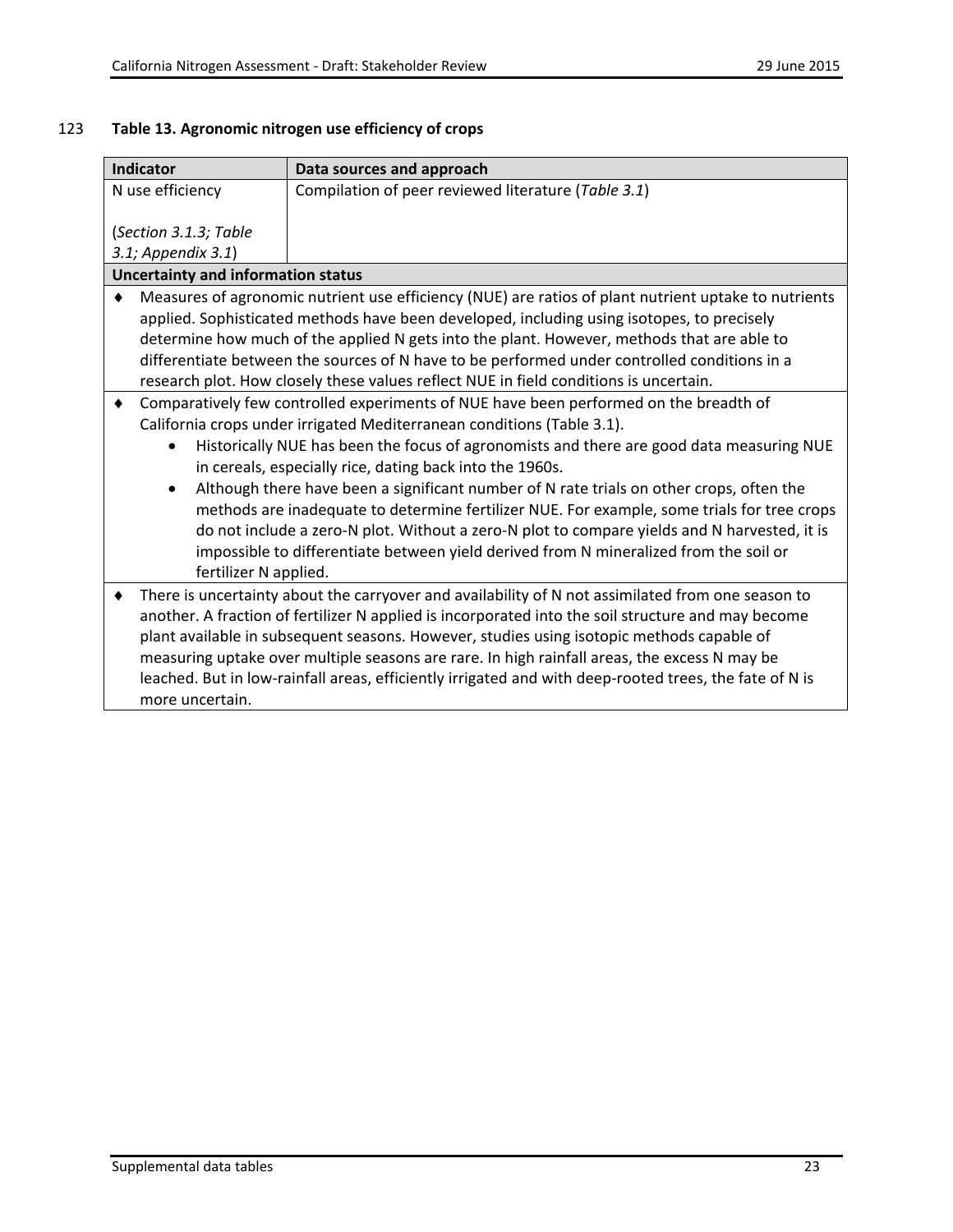# 123 **Table 13. Agronomic nitrogen use efficiency of crops**

|                                                                         | <b>Indicator</b>                                                                                      | Data sources and approach                                                                              |  |
|-------------------------------------------------------------------------|-------------------------------------------------------------------------------------------------------|--------------------------------------------------------------------------------------------------------|--|
| Compilation of peer reviewed literature (Table 3.1)<br>N use efficiency |                                                                                                       |                                                                                                        |  |
|                                                                         |                                                                                                       |                                                                                                        |  |
|                                                                         | (Section 3.1.3; Table                                                                                 |                                                                                                        |  |
|                                                                         | 3.1; Appendix 3.1)                                                                                    |                                                                                                        |  |
|                                                                         | <b>Uncertainty and information status</b>                                                             |                                                                                                        |  |
| ٠                                                                       |                                                                                                       | Measures of agronomic nutrient use efficiency (NUE) are ratios of plant nutrient uptake to nutrients   |  |
|                                                                         |                                                                                                       | applied. Sophisticated methods have been developed, including using isotopes, to precisely             |  |
|                                                                         |                                                                                                       | determine how much of the applied N gets into the plant. However, methods that are able to             |  |
|                                                                         | differentiate between the sources of N have to be performed under controlled conditions in a          |                                                                                                        |  |
|                                                                         |                                                                                                       | research plot. How closely these values reflect NUE in field conditions is uncertain.                  |  |
| ٠                                                                       | Comparatively few controlled experiments of NUE have been performed on the breadth of                 |                                                                                                        |  |
|                                                                         | California crops under irrigated Mediterranean conditions (Table 3.1).                                |                                                                                                        |  |
|                                                                         | Historically NUE has been the focus of agronomists and there are good data measuring NUE              |                                                                                                        |  |
|                                                                         | in cereals, especially rice, dating back into the 1960s.                                              |                                                                                                        |  |
|                                                                         | Although there have been a significant number of N rate trials on other crops, often the<br>$\bullet$ |                                                                                                        |  |
|                                                                         |                                                                                                       | methods are inadequate to determine fertilizer NUE. For example, some trials for tree crops            |  |
|                                                                         |                                                                                                       | do not include a zero-N plot. Without a zero-N plot to compare yields and N harvested, it is           |  |
|                                                                         |                                                                                                       | impossible to differentiate between yield derived from N mineralized from the soil or                  |  |
|                                                                         | fertilizer N applied.                                                                                 |                                                                                                        |  |
|                                                                         |                                                                                                       | There is uncertainty about the carryover and availability of N not assimilated from one season to      |  |
|                                                                         |                                                                                                       | another. A fraction of fertilizer N applied is incorporated into the soil structure and may become     |  |
|                                                                         |                                                                                                       | plant available in subsequent seasons. However, studies using isotopic methods capable of              |  |
|                                                                         |                                                                                                       | measuring uptake over multiple seasons are rare. In high rainfall areas, the excess N may be           |  |
|                                                                         |                                                                                                       | leached. But in low-rainfall areas, efficiently irrigated and with deep-rooted trees, the fate of N is |  |
|                                                                         | more uncertain.                                                                                       |                                                                                                        |  |
|                                                                         |                                                                                                       |                                                                                                        |  |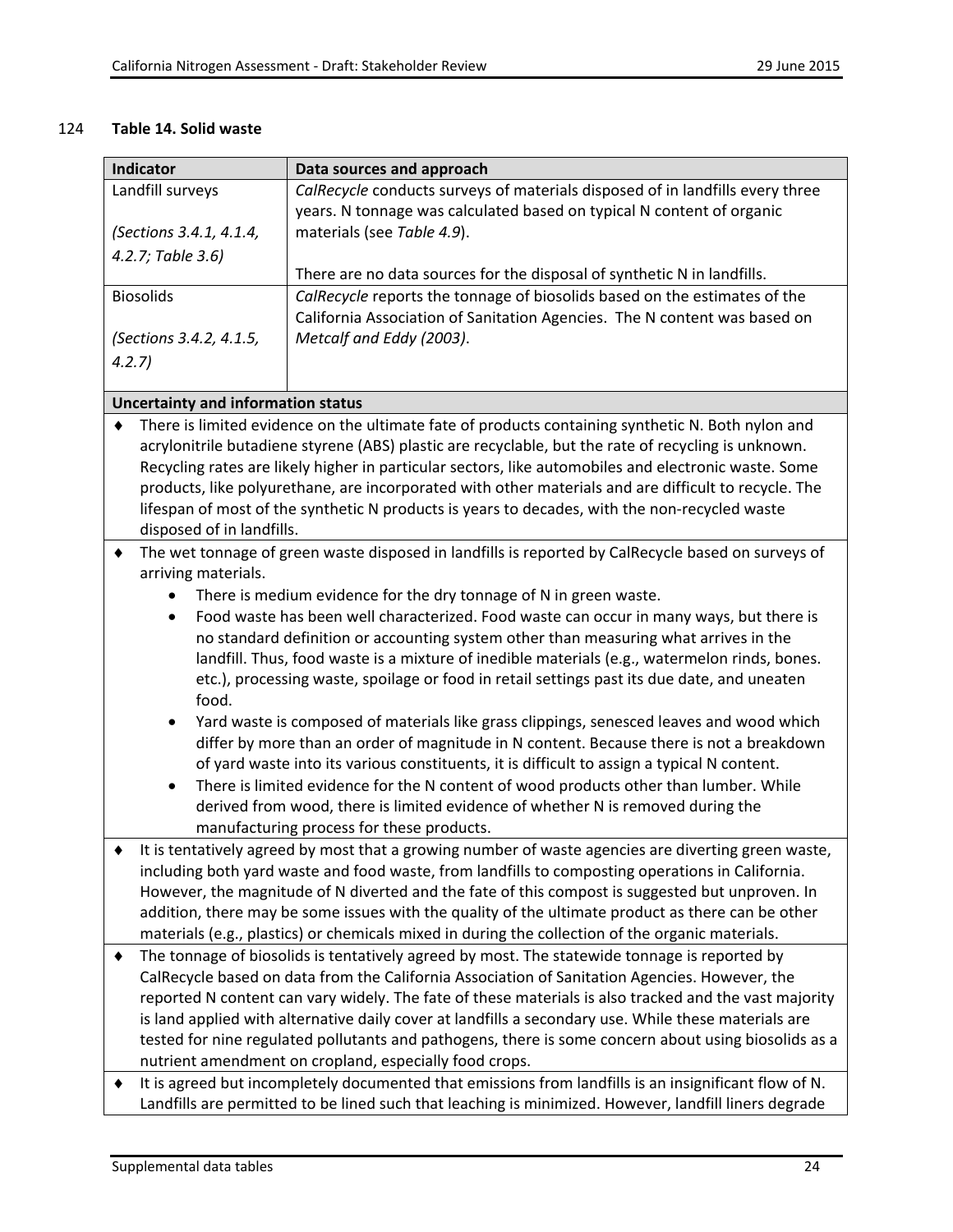#### 124 **Table 14. Solid waste**

| Indicator                                                                                                                                                                                          | Data sources and approach                                                                             |  |  |
|----------------------------------------------------------------------------------------------------------------------------------------------------------------------------------------------------|-------------------------------------------------------------------------------------------------------|--|--|
| Landfill surveys                                                                                                                                                                                   | CalRecycle conducts surveys of materials disposed of in landfills every three                         |  |  |
|                                                                                                                                                                                                    | years. N tonnage was calculated based on typical N content of organic                                 |  |  |
| (Sections 3.4.1, 4.1.4,                                                                                                                                                                            | materials (see Table 4.9).                                                                            |  |  |
| 4.2.7; Table 3.6)                                                                                                                                                                                  |                                                                                                       |  |  |
|                                                                                                                                                                                                    | There are no data sources for the disposal of synthetic N in landfills.                               |  |  |
| <b>Biosolids</b>                                                                                                                                                                                   | CalRecycle reports the tonnage of biosolids based on the estimates of the                             |  |  |
|                                                                                                                                                                                                    | California Association of Sanitation Agencies. The N content was based on                             |  |  |
| (Sections 3.4.2, 4.1.5,                                                                                                                                                                            | Metcalf and Eddy (2003).                                                                              |  |  |
| 4.2.7                                                                                                                                                                                              |                                                                                                       |  |  |
|                                                                                                                                                                                                    |                                                                                                       |  |  |
| <b>Uncertainty and information status</b>                                                                                                                                                          |                                                                                                       |  |  |
| ٠                                                                                                                                                                                                  | There is limited evidence on the ultimate fate of products containing synthetic N. Both nylon and     |  |  |
|                                                                                                                                                                                                    | acrylonitrile butadiene styrene (ABS) plastic are recyclable, but the rate of recycling is unknown.   |  |  |
|                                                                                                                                                                                                    | Recycling rates are likely higher in particular sectors, like automobiles and electronic waste. Some  |  |  |
|                                                                                                                                                                                                    | products, like polyurethane, are incorporated with other materials and are difficult to recycle. The  |  |  |
|                                                                                                                                                                                                    | lifespan of most of the synthetic N products is years to decades, with the non-recycled waste         |  |  |
| disposed of in landfills.                                                                                                                                                                          |                                                                                                       |  |  |
| ٠                                                                                                                                                                                                  | The wet tonnage of green waste disposed in landfills is reported by CalRecycle based on surveys of    |  |  |
| arriving materials.                                                                                                                                                                                |                                                                                                       |  |  |
|                                                                                                                                                                                                    |                                                                                                       |  |  |
|                                                                                                                                                                                                    | There is medium evidence for the dry tonnage of N in green waste.                                     |  |  |
|                                                                                                                                                                                                    | Food waste has been well characterized. Food waste can occur in many ways, but there is<br>$\bullet$  |  |  |
|                                                                                                                                                                                                    | no standard definition or accounting system other than measuring what arrives in the                  |  |  |
|                                                                                                                                                                                                    | landfill. Thus, food waste is a mixture of inedible materials (e.g., watermelon rinds, bones.         |  |  |
| etc.), processing waste, spoilage or food in retail settings past its due date, and uneaten                                                                                                        |                                                                                                       |  |  |
|                                                                                                                                                                                                    | food.                                                                                                 |  |  |
| $\bullet$                                                                                                                                                                                          | Yard waste is composed of materials like grass clippings, senesced leaves and wood which              |  |  |
|                                                                                                                                                                                                    | differ by more than an order of magnitude in N content. Because there is not a breakdown              |  |  |
|                                                                                                                                                                                                    | of yard waste into its various constituents, it is difficult to assign a typical N content.           |  |  |
| $\bullet$                                                                                                                                                                                          | There is limited evidence for the N content of wood products other than lumber. While                 |  |  |
|                                                                                                                                                                                                    | derived from wood, there is limited evidence of whether N is removed during the                       |  |  |
| manufacturing process for these products.                                                                                                                                                          |                                                                                                       |  |  |
| It is tentatively agreed by most that a growing number of waste agencies are diverting green waste,                                                                                                |                                                                                                       |  |  |
| including both yard waste and food waste, from landfills to composting operations in California.                                                                                                   |                                                                                                       |  |  |
|                                                                                                                                                                                                    | However, the magnitude of N diverted and the fate of this compost is suggested but unproven. In       |  |  |
| addition, there may be some issues with the quality of the ultimate product as there can be other                                                                                                  |                                                                                                       |  |  |
| materials (e.g., plastics) or chemicals mixed in during the collection of the organic materials.                                                                                                   |                                                                                                       |  |  |
|                                                                                                                                                                                                    |                                                                                                       |  |  |
| The tonnage of biosolids is tentatively agreed by most. The statewide tonnage is reported by<br>٠<br>CalRecycle based on data from the California Association of Sanitation Agencies. However, the |                                                                                                       |  |  |
| reported N content can vary widely. The fate of these materials is also tracked and the vast majority                                                                                              |                                                                                                       |  |  |
|                                                                                                                                                                                                    |                                                                                                       |  |  |
| is land applied with alternative daily cover at landfills a secondary use. While these materials are                                                                                               |                                                                                                       |  |  |
| tested for nine regulated pollutants and pathogens, there is some concern about using biosolids as a                                                                                               |                                                                                                       |  |  |
| nutrient amendment on cropland, especially food crops.                                                                                                                                             |                                                                                                       |  |  |
| It is agreed but incompletely documented that emissions from landfills is an insignificant flow of N.                                                                                              |                                                                                                       |  |  |
|                                                                                                                                                                                                    | Landfills are permitted to be lined such that leaching is minimized. However, landfill liners degrade |  |  |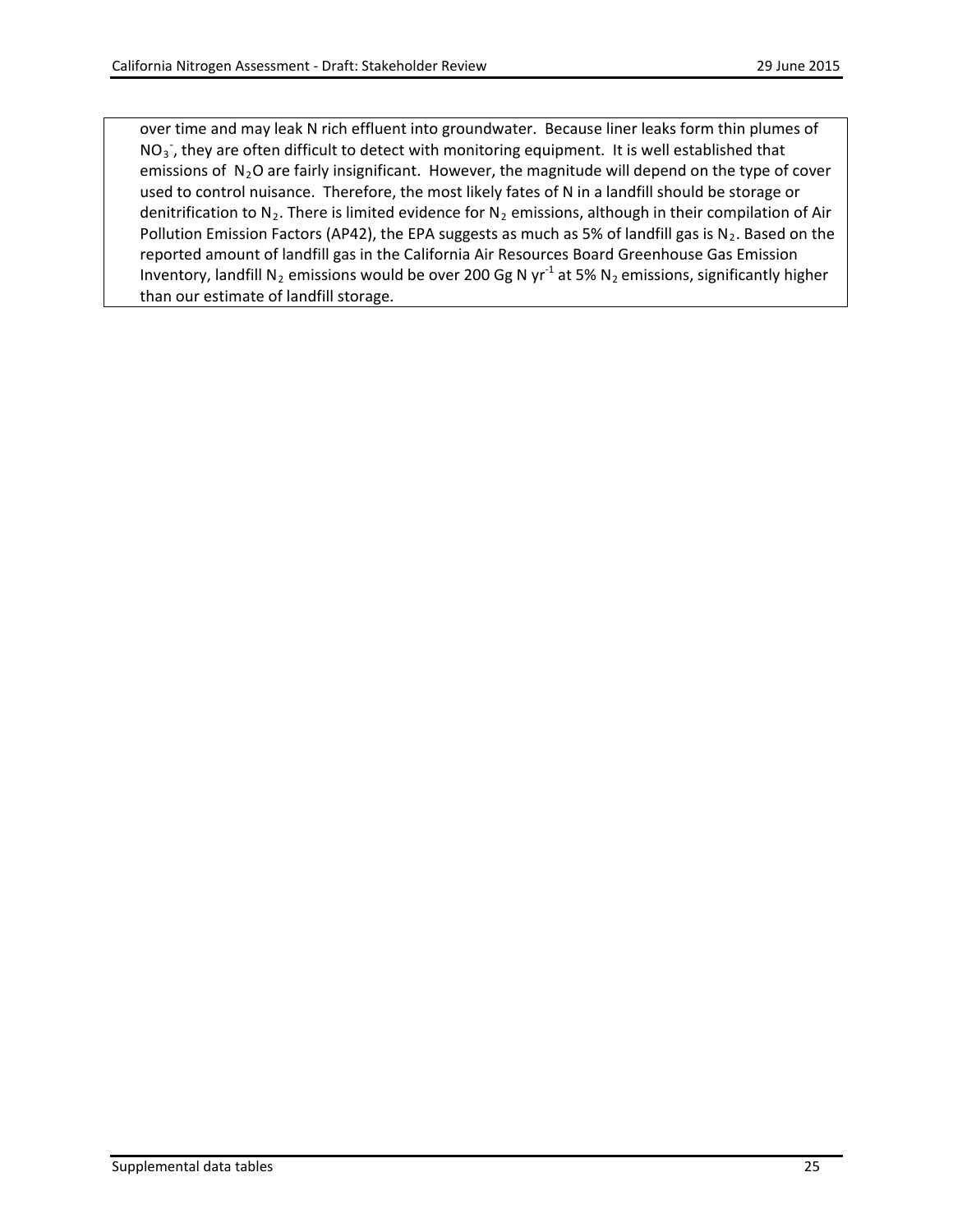over time and may leak N rich effluent into groundwater. Because liner leaks form thin plumes of  $NO<sub>3</sub>$ , they are often difficult to detect with monitoring equipment. It is well established that emissions of  $N_2O$  are fairly insignificant. However, the magnitude will depend on the type of cover used to control nuisance. Therefore, the most likely fates of N in a landfill should be storage or denitrification to N<sub>2</sub>. There is limited evidence for N<sub>2</sub> emissions, although in their compilation of Air Pollution Emission Factors (AP42), the EPA suggests as much as 5% of landfill gas is  $N_2$ . Based on the reported amount of landfill gas in the California Air Resources Board Greenhouse Gas Emission Inventory, landfill N<sub>2</sub> emissions would be over 200 Gg N yr<sup>-1</sup> at 5% N<sub>2</sub> emissions, significantly higher than our estimate of landfill storage.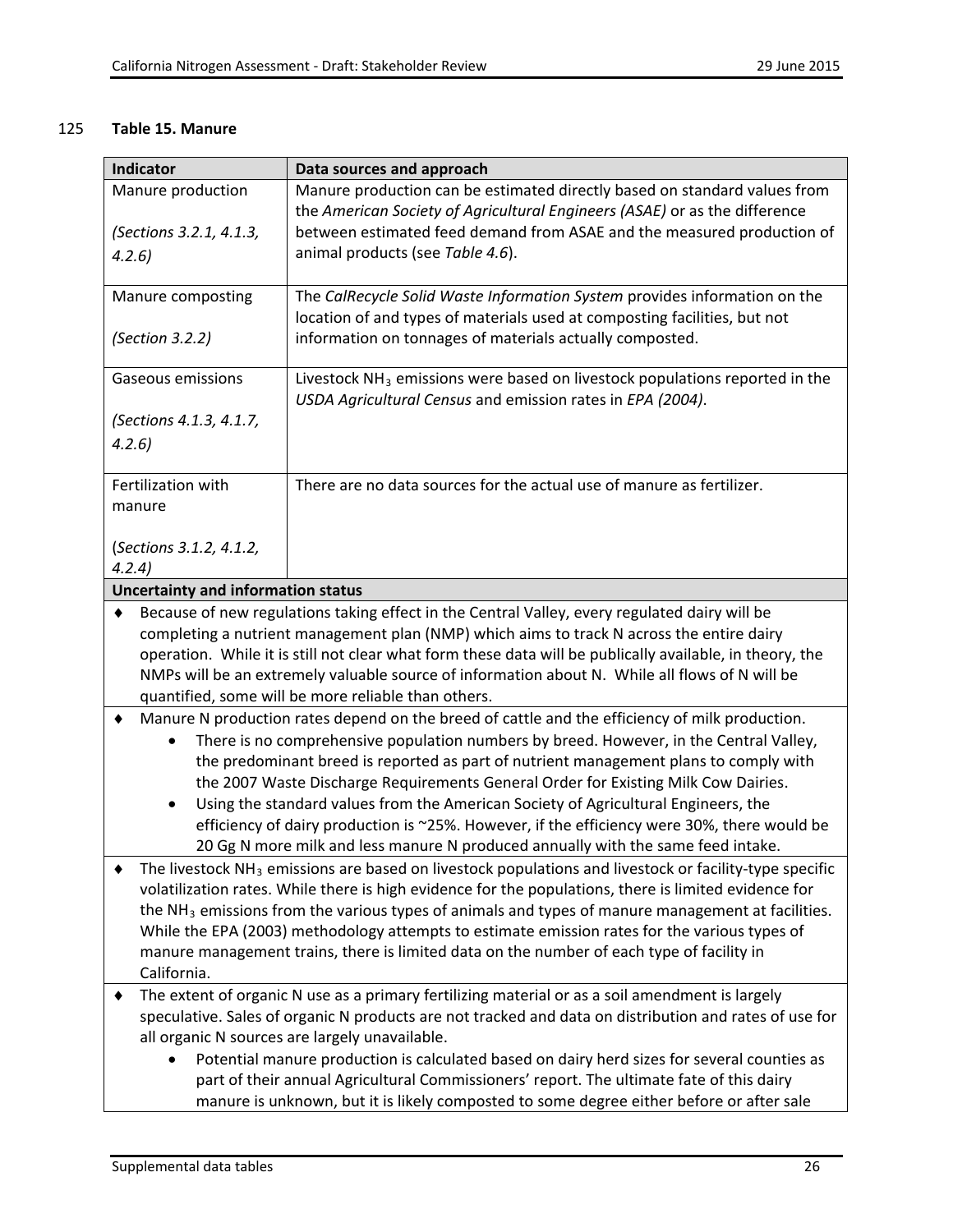## 125 **Table 15. Manure**

| <b>Indicator</b><br>Data sources and approach                                                                                                                                              |                                                                                                                                                          |  |  |
|--------------------------------------------------------------------------------------------------------------------------------------------------------------------------------------------|----------------------------------------------------------------------------------------------------------------------------------------------------------|--|--|
| Manure production<br>Manure production can be estimated directly based on standard values from                                                                                             |                                                                                                                                                          |  |  |
|                                                                                                                                                                                            | the American Society of Agricultural Engineers (ASAE) or as the difference                                                                               |  |  |
| (Sections 3.2.1, 4.1.3,                                                                                                                                                                    | between estimated feed demand from ASAE and the measured production of                                                                                   |  |  |
| animal products (see Table 4.6).<br>4.2.6                                                                                                                                                  |                                                                                                                                                          |  |  |
| Manure composting                                                                                                                                                                          | The CalRecycle Solid Waste Information System provides information on the                                                                                |  |  |
|                                                                                                                                                                                            | location of and types of materials used at composting facilities, but not                                                                                |  |  |
| (Section 3.2.2)                                                                                                                                                                            | information on tonnages of materials actually composted.                                                                                                 |  |  |
|                                                                                                                                                                                            |                                                                                                                                                          |  |  |
| Gaseous emissions                                                                                                                                                                          | Livestock NH <sub>3</sub> emissions were based on livestock populations reported in the                                                                  |  |  |
|                                                                                                                                                                                            | USDA Agricultural Census and emission rates in EPA (2004).                                                                                               |  |  |
| (Sections 4.1.3, 4.1.7,                                                                                                                                                                    |                                                                                                                                                          |  |  |
| 4.2.6                                                                                                                                                                                      |                                                                                                                                                          |  |  |
| Fertilization with                                                                                                                                                                         | There are no data sources for the actual use of manure as fertilizer.                                                                                    |  |  |
| manure                                                                                                                                                                                     |                                                                                                                                                          |  |  |
|                                                                                                                                                                                            |                                                                                                                                                          |  |  |
| (Sections 3.1.2, 4.1.2,                                                                                                                                                                    |                                                                                                                                                          |  |  |
| 4.2.4)                                                                                                                                                                                     |                                                                                                                                                          |  |  |
| <b>Uncertainty and information status</b>                                                                                                                                                  |                                                                                                                                                          |  |  |
| ٠                                                                                                                                                                                          | Because of new regulations taking effect in the Central Valley, every regulated dairy will be                                                            |  |  |
|                                                                                                                                                                                            | completing a nutrient management plan (NMP) which aims to track N across the entire dairy                                                                |  |  |
|                                                                                                                                                                                            | operation. While it is still not clear what form these data will be publically available, in theory, the                                                 |  |  |
| NMPs will be an extremely valuable source of information about N. While all flows of N will be<br>quantified, some will be more reliable than others.                                      |                                                                                                                                                          |  |  |
|                                                                                                                                                                                            |                                                                                                                                                          |  |  |
| Manure N production rates depend on the breed of cattle and the efficiency of milk production.<br>٠                                                                                        |                                                                                                                                                          |  |  |
| $\bullet$                                                                                                                                                                                  | There is no comprehensive population numbers by breed. However, in the Central Valley,                                                                   |  |  |
|                                                                                                                                                                                            | the predominant breed is reported as part of nutrient management plans to comply with                                                                    |  |  |
|                                                                                                                                                                                            | the 2007 Waste Discharge Requirements General Order for Existing Milk Cow Dairies.                                                                       |  |  |
| $\bullet$                                                                                                                                                                                  | Using the standard values from the American Society of Agricultural Engineers, the                                                                       |  |  |
| efficiency of dairy production is ~25%. However, if the efficiency were 30%, there would be                                                                                                |                                                                                                                                                          |  |  |
|                                                                                                                                                                                            | 20 Gg N more milk and less manure N produced annually with the same feed intake.                                                                         |  |  |
| The livestock $NH3$ emissions are based on livestock populations and livestock or facility-type specific                                                                                   |                                                                                                                                                          |  |  |
| volatilization rates. While there is high evidence for the populations, there is limited evidence for                                                                                      |                                                                                                                                                          |  |  |
| the $NH3$ emissions from the various types of animals and types of manure management at facilities.                                                                                        |                                                                                                                                                          |  |  |
| While the EPA (2003) methodology attempts to estimate emission rates for the various types of<br>manure management trains, there is limited data on the number of each type of facility in |                                                                                                                                                          |  |  |
| California.                                                                                                                                                                                |                                                                                                                                                          |  |  |
| The extent of organic N use as a primary fertilizing material or as a soil amendment is largely                                                                                            |                                                                                                                                                          |  |  |
| ٠                                                                                                                                                                                          |                                                                                                                                                          |  |  |
|                                                                                                                                                                                            | speculative. Sales of organic N products are not tracked and data on distribution and rates of use for<br>all organic N sources are largely unavailable. |  |  |
|                                                                                                                                                                                            | Potential manure production is calculated based on dairy herd sizes for several counties as                                                              |  |  |
| part of their annual Agricultural Commissioners' report. The ultimate fate of this dairy                                                                                                   |                                                                                                                                                          |  |  |
| manure is unknown, but it is likely composted to some degree either before or after sale                                                                                                   |                                                                                                                                                          |  |  |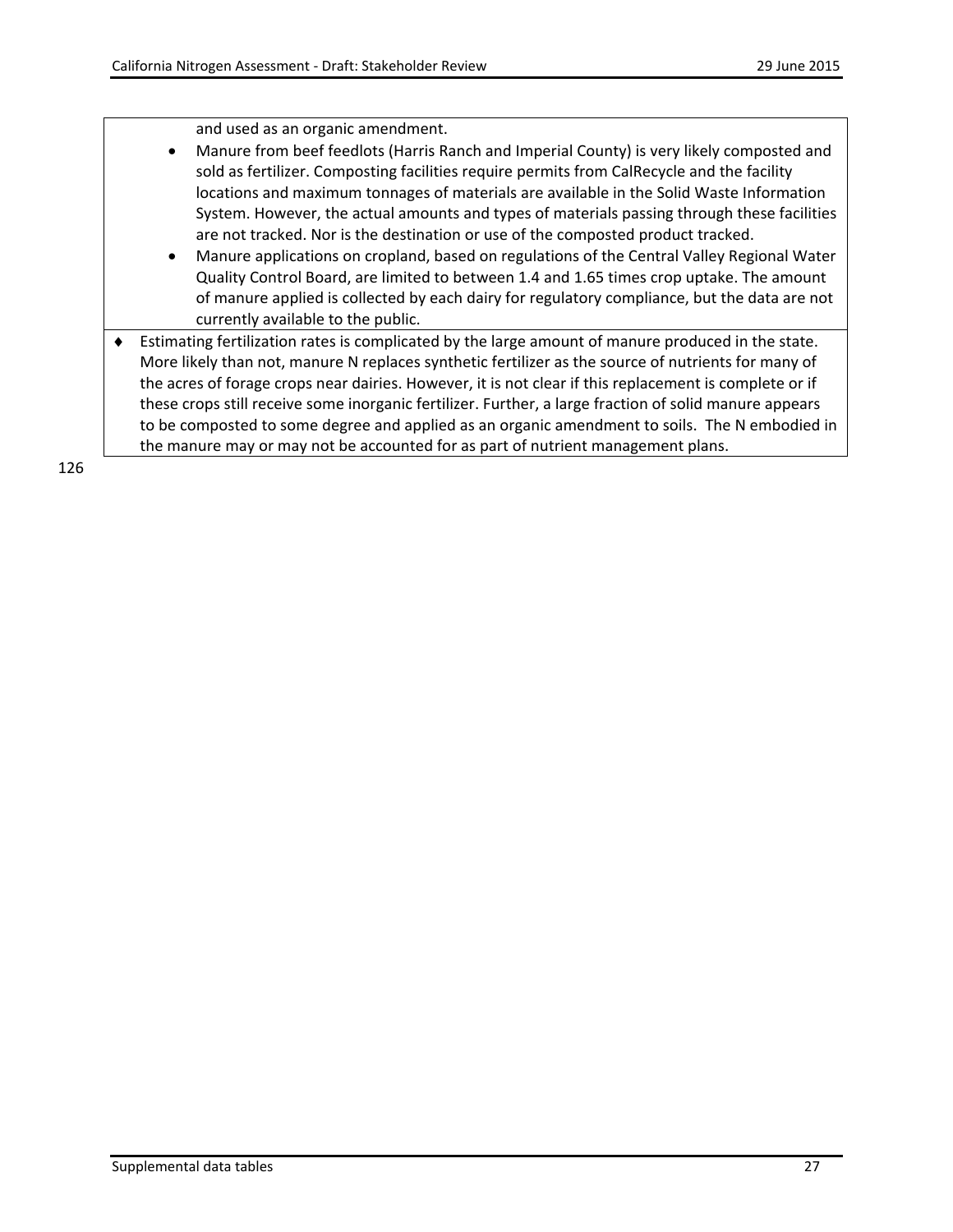and used as an organic amendment.

- Manure from beef feedlots (Harris Ranch and Imperial County) is very likely composted and sold as fertilizer. Composting facilities require permits from CalRecycle and the facility locations and maximum tonnages of materials are available in the Solid Waste Information System. However, the actual amounts and types of materials passing through these facilities are not tracked. Nor is the destination or use of the composted product tracked.
- Manure applications on cropland, based on regulations of the Central Valley Regional Water Quality Control Board, are limited to between 1.4 and 1.65 times crop uptake. The amount of manure applied is collected by each dairy for regulatory compliance, but the data are not currently available to the public.
- ♦ Estimating fertilization rates is complicated by the large amount of manure produced in the state. More likely than not, manure N replaces synthetic fertilizer as the source of nutrients for many of the acres of forage crops near dairies. However, it is not clear if this replacement is complete or if these crops still receive some inorganic fertilizer. Further, a large fraction of solid manure appears to be composted to some degree and applied as an organic amendment to soils. The N embodied in the manure may or may not be accounted for as part of nutrient management plans.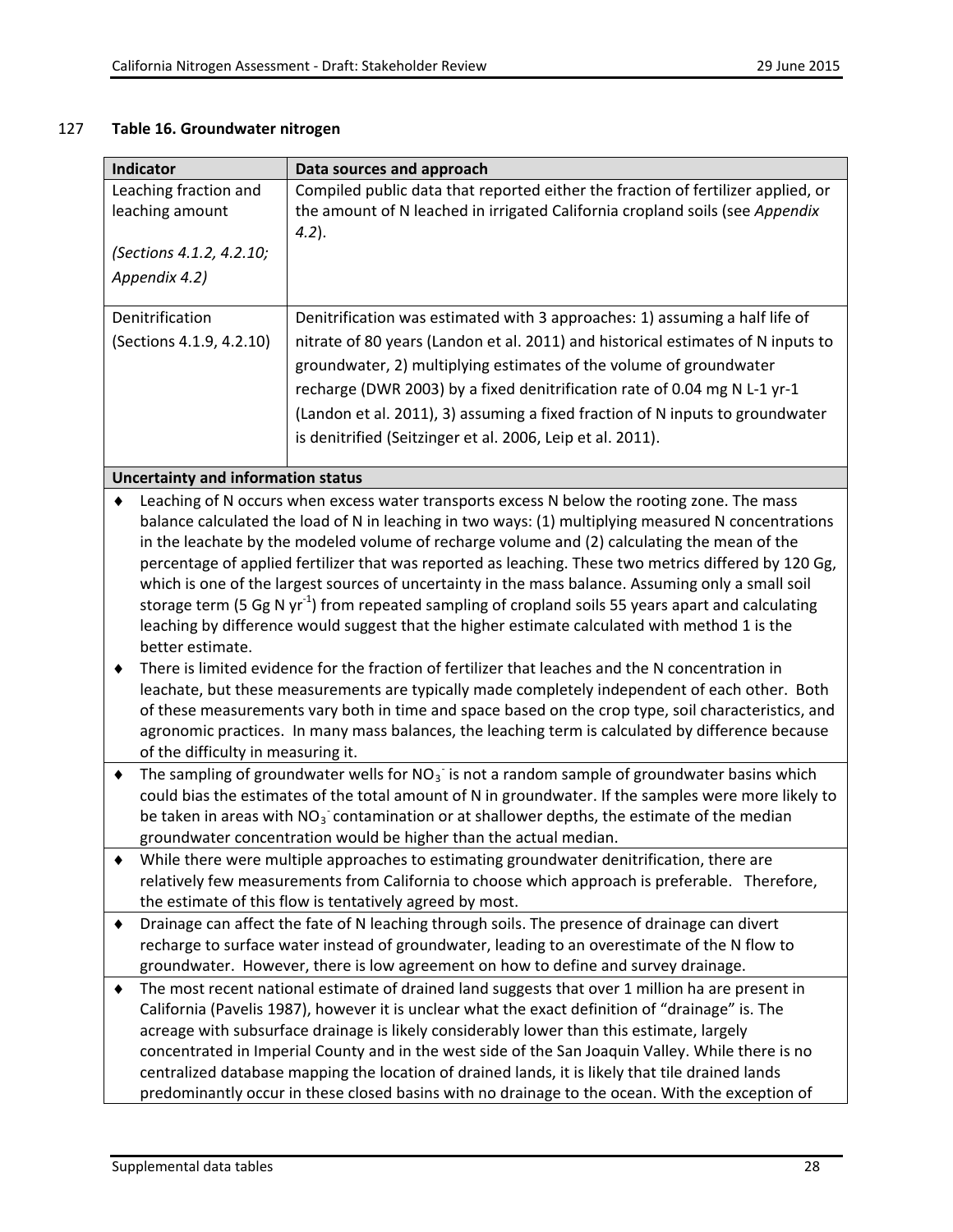## 127 **Table 16. Groundwater nitrogen**

| Compiled public data that reported either the fraction of fertilizer applied, or<br>Leaching fraction and       |                                                                                  |  |
|-----------------------------------------------------------------------------------------------------------------|----------------------------------------------------------------------------------|--|
|                                                                                                                 |                                                                                  |  |
| leaching amount<br>the amount of N leached in irrigated California cropland soils (see Appendix                 |                                                                                  |  |
| $(4.2)$ .                                                                                                       |                                                                                  |  |
| (Sections 4.1.2, 4.2.10;                                                                                        |                                                                                  |  |
| Appendix 4.2)                                                                                                   |                                                                                  |  |
|                                                                                                                 |                                                                                  |  |
| Denitrification<br>Denitrification was estimated with 3 approaches: 1) assuming a half life of                  |                                                                                  |  |
| (Sections 4.1.9, 4.2.10)                                                                                        | nitrate of 80 years (Landon et al. 2011) and historical estimates of N inputs to |  |
| groundwater, 2) multiplying estimates of the volume of groundwater                                              |                                                                                  |  |
| recharge (DWR 2003) by a fixed denitrification rate of 0.04 mg N L-1 yr-1                                       |                                                                                  |  |
| (Landon et al. 2011), 3) assuming a fixed fraction of N inputs to groundwater                                   |                                                                                  |  |
|                                                                                                                 |                                                                                  |  |
| is denitrified (Seitzinger et al. 2006, Leip et al. 2011).                                                      |                                                                                  |  |
| <b>Uncertainty and information status</b>                                                                       |                                                                                  |  |
| Leaching of N occurs when excess water transports excess N below the rooting zone. The mass                     |                                                                                  |  |
| balance calculated the load of N in leaching in two ways: (1) multiplying measured N concentrations             |                                                                                  |  |
| in the leachate by the modeled volume of recharge volume and (2) calculating the mean of the                    |                                                                                  |  |
| percentage of applied fertilizer that was reported as leaching. These two metrics differed by 120 Gg,           |                                                                                  |  |
| which is one of the largest sources of uncertainty in the mass balance. Assuming only a small soil              |                                                                                  |  |
| storage term (5 Gg N yr <sup>-1</sup> ) from repeated sampling of cropland soils 55 years apart and calculating |                                                                                  |  |
| leaching by difference would suggest that the higher estimate calculated with method 1 is the                   |                                                                                  |  |
| better estimate.                                                                                                |                                                                                  |  |
| There is limited evidence for the fraction of fertilizer that leaches and the N concentration in                |                                                                                  |  |
| leachate, but these measurements are typically made completely independent of each other. Both                  |                                                                                  |  |
| of these measurements vary both in time and space based on the crop type, soil characteristics, and             |                                                                                  |  |
| agronomic practices. In many mass balances, the leaching term is calculated by difference because               |                                                                                  |  |
| of the difficulty in measuring it.                                                                              |                                                                                  |  |
| The sampling of groundwater wells for $NO3$ is not a random sample of groundwater basins which<br>٠             |                                                                                  |  |
| could bias the estimates of the total amount of N in groundwater. If the samples were more likely to            |                                                                                  |  |
| be taken in areas with $NO3$ contamination or at shallower depths, the estimate of the median                   |                                                                                  |  |
| groundwater concentration would be higher than the actual median.                                               |                                                                                  |  |
| While there were multiple approaches to estimating groundwater denitrification, there are                       |                                                                                  |  |
| relatively few measurements from California to choose which approach is preferable. Therefore,                  |                                                                                  |  |
| the estimate of this flow is tentatively agreed by most.                                                        |                                                                                  |  |
| Drainage can affect the fate of N leaching through soils. The presence of drainage can divert<br>٠              |                                                                                  |  |
| recharge to surface water instead of groundwater, leading to an overestimate of the N flow to                   |                                                                                  |  |
| groundwater. However, there is low agreement on how to define and survey drainage.                              |                                                                                  |  |
| The most recent national estimate of drained land suggests that over 1 million ha are present in<br>٠           |                                                                                  |  |
| California (Pavelis 1987), however it is unclear what the exact definition of "drainage" is. The                |                                                                                  |  |
| acreage with subsurface drainage is likely considerably lower than this estimate, largely                       |                                                                                  |  |
| concentrated in Imperial County and in the west side of the San Joaquin Valley. While there is no               |                                                                                  |  |
| centralized database mapping the location of drained lands, it is likely that tile drained lands                |                                                                                  |  |
| predominantly occur in these closed basins with no drainage to the ocean. With the exception of                 |                                                                                  |  |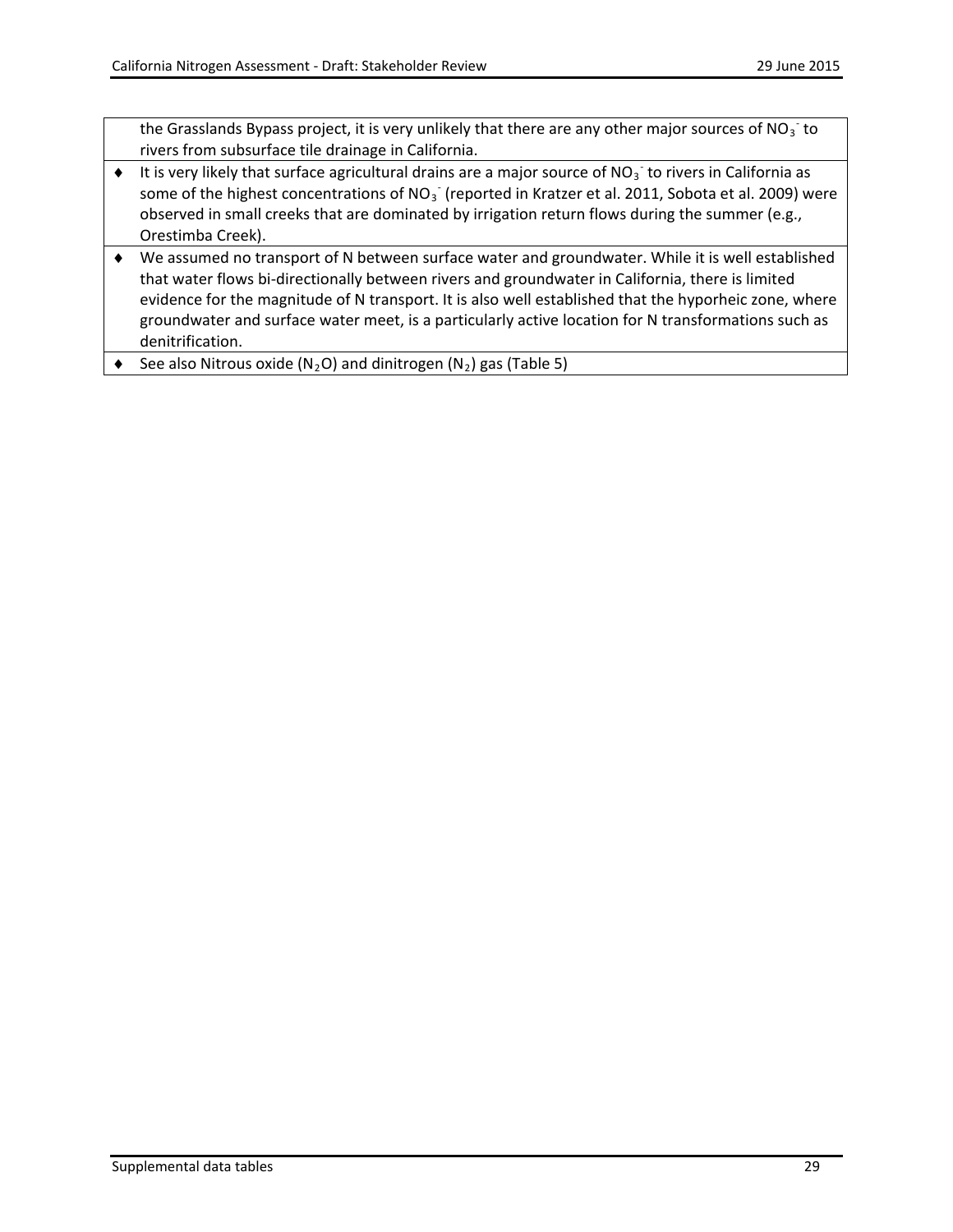the Grasslands Bypass project, it is very unlikely that there are any other major sources of NO<sub>3</sub><sup>-</sup> to rivers from subsurface tile drainage in California.

- ◆ It is very likely that surface agricultural drains are a major source of NO<sub>3</sub><sup>-</sup> to rivers in California as some of the highest concentrations of NO<sub>3</sub> (reported in Kratzer et al. 2011, Sobota et al. 2009) were observed in small creeks that are dominated by irrigation return flows during the summer (e.g., Orestimba Creek).
- ♦ We assumed no transport of N between surface water and groundwater. While it is well established that water flows bi-directionally between rivers and groundwater in California, there is limited evidence for the magnitude of N transport. It is also well established that the hyporheic zone, where groundwater and surface water meet, is a particularly active location for N transformations such as denitrification.
- $\blacklozenge$  See also Nitrous oxide (N<sub>2</sub>O) and dinitrogen (N<sub>2</sub>) gas (Table 5)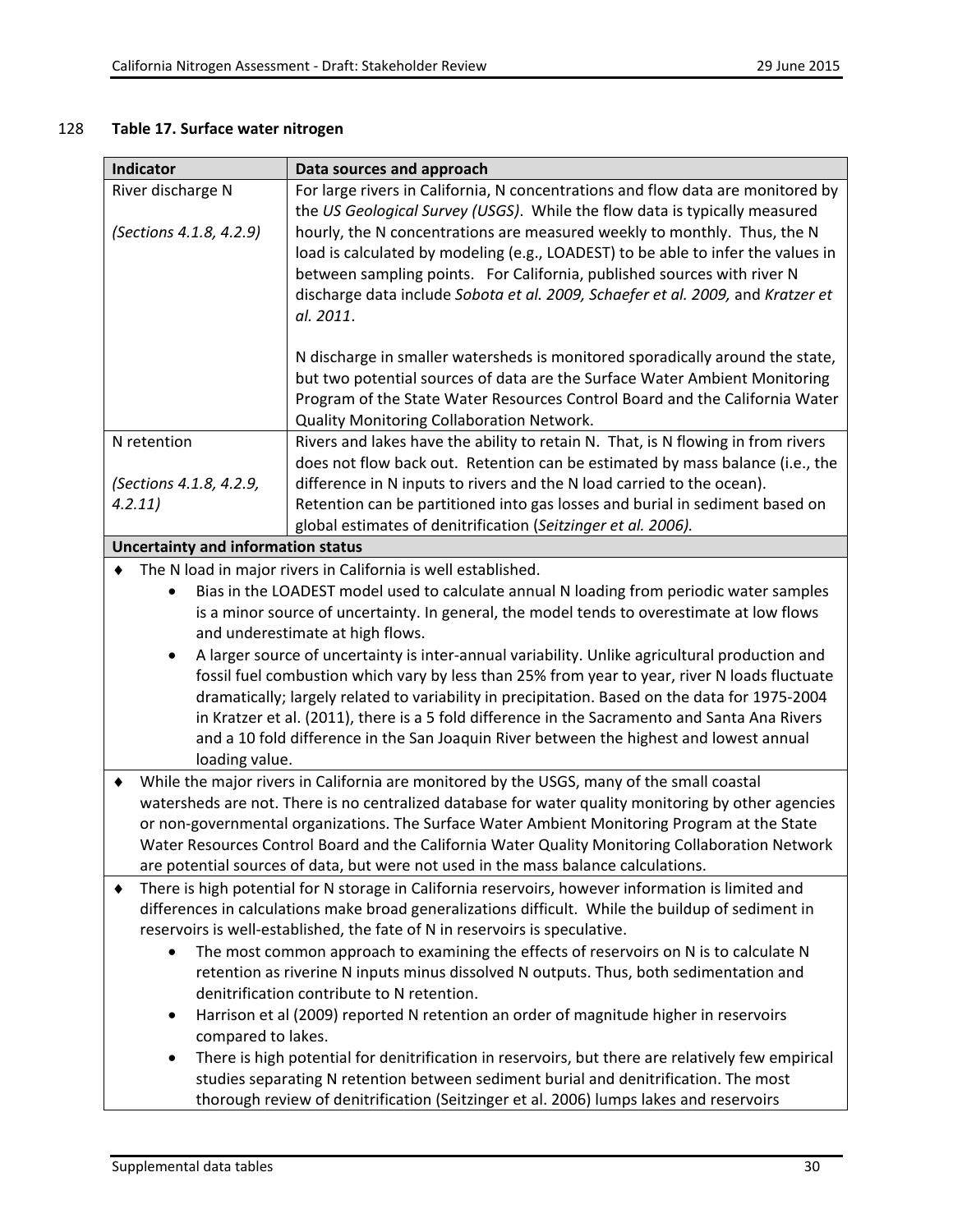## 128 **Table 17. Surface water nitrogen**

| <b>Indicator</b><br>Data sources and approach                                                                                                                                                   |                                                                                                                                                                                                  |  |  |
|-------------------------------------------------------------------------------------------------------------------------------------------------------------------------------------------------|--------------------------------------------------------------------------------------------------------------------------------------------------------------------------------------------------|--|--|
| For large rivers in California, N concentrations and flow data are monitored by<br>River discharge N                                                                                            |                                                                                                                                                                                                  |  |  |
|                                                                                                                                                                                                 | the US Geological Survey (USGS). While the flow data is typically measured                                                                                                                       |  |  |
| (Sections 4.1.8, 4.2.9)                                                                                                                                                                         | hourly, the N concentrations are measured weekly to monthly. Thus, the N                                                                                                                         |  |  |
|                                                                                                                                                                                                 | load is calculated by modeling (e.g., LOADEST) to be able to infer the values in                                                                                                                 |  |  |
|                                                                                                                                                                                                 | between sampling points. For California, published sources with river N                                                                                                                          |  |  |
|                                                                                                                                                                                                 | discharge data include Sobota et al. 2009, Schaefer et al. 2009, and Kratzer et                                                                                                                  |  |  |
|                                                                                                                                                                                                 | al. 2011.                                                                                                                                                                                        |  |  |
|                                                                                                                                                                                                 |                                                                                                                                                                                                  |  |  |
|                                                                                                                                                                                                 | N discharge in smaller watersheds is monitored sporadically around the state,                                                                                                                    |  |  |
|                                                                                                                                                                                                 | but two potential sources of data are the Surface Water Ambient Monitoring<br>Program of the State Water Resources Control Board and the California Water                                        |  |  |
|                                                                                                                                                                                                 | Quality Monitoring Collaboration Network.                                                                                                                                                        |  |  |
| N retention                                                                                                                                                                                     | Rivers and lakes have the ability to retain N. That, is N flowing in from rivers                                                                                                                 |  |  |
|                                                                                                                                                                                                 | does not flow back out. Retention can be estimated by mass balance (i.e., the                                                                                                                    |  |  |
| (Sections 4.1.8, 4.2.9,                                                                                                                                                                         | difference in N inputs to rivers and the N load carried to the ocean).                                                                                                                           |  |  |
| 4.2.11)                                                                                                                                                                                         | Retention can be partitioned into gas losses and burial in sediment based on                                                                                                                     |  |  |
| global estimates of denitrification (Seitzinger et al. 2006).                                                                                                                                   |                                                                                                                                                                                                  |  |  |
| <b>Uncertainty and information status</b>                                                                                                                                                       |                                                                                                                                                                                                  |  |  |
|                                                                                                                                                                                                 | The N load in major rivers in California is well established.                                                                                                                                    |  |  |
| $\bullet$                                                                                                                                                                                       | Bias in the LOADEST model used to calculate annual N loading from periodic water samples                                                                                                         |  |  |
|                                                                                                                                                                                                 | is a minor source of uncertainty. In general, the model tends to overestimate at low flows                                                                                                       |  |  |
|                                                                                                                                                                                                 | and underestimate at high flows.                                                                                                                                                                 |  |  |
| ٠                                                                                                                                                                                               | A larger source of uncertainty is inter-annual variability. Unlike agricultural production and                                                                                                   |  |  |
| fossil fuel combustion which vary by less than 25% from year to year, river N loads fluctuate                                                                                                   |                                                                                                                                                                                                  |  |  |
|                                                                                                                                                                                                 | dramatically; largely related to variability in precipitation. Based on the data for 1975-2004                                                                                                   |  |  |
|                                                                                                                                                                                                 | in Kratzer et al. (2011), there is a 5 fold difference in the Sacramento and Santa Ana Rivers                                                                                                    |  |  |
|                                                                                                                                                                                                 | and a 10 fold difference in the San Joaquin River between the highest and lowest annual                                                                                                          |  |  |
| loading value.                                                                                                                                                                                  |                                                                                                                                                                                                  |  |  |
| ٠                                                                                                                                                                                               | While the major rivers in California are monitored by the USGS, many of the small coastal<br>watersheds are not. There is no centralized database for water quality monitoring by other agencies |  |  |
|                                                                                                                                                                                                 |                                                                                                                                                                                                  |  |  |
| or non-governmental organizations. The Surface Water Ambient Monitoring Program at the State<br>Water Resources Control Board and the California Water Quality Monitoring Collaboration Network |                                                                                                                                                                                                  |  |  |
| are potential sources of data, but were not used in the mass balance calculations.                                                                                                              |                                                                                                                                                                                                  |  |  |
| There is high potential for N storage in California reservoirs, however information is limited and                                                                                              |                                                                                                                                                                                                  |  |  |
| differences in calculations make broad generalizations difficult. While the buildup of sediment in                                                                                              |                                                                                                                                                                                                  |  |  |
| reservoirs is well-established, the fate of N in reservoirs is speculative.                                                                                                                     |                                                                                                                                                                                                  |  |  |
| The most common approach to examining the effects of reservoirs on N is to calculate N                                                                                                          |                                                                                                                                                                                                  |  |  |
| retention as riverine N inputs minus dissolved N outputs. Thus, both sedimentation and                                                                                                          |                                                                                                                                                                                                  |  |  |
| denitrification contribute to N retention.                                                                                                                                                      |                                                                                                                                                                                                  |  |  |
| Harrison et al (2009) reported N retention an order of magnitude higher in reservoirs<br>٠                                                                                                      |                                                                                                                                                                                                  |  |  |
| compared to lakes.                                                                                                                                                                              |                                                                                                                                                                                                  |  |  |
| There is high potential for denitrification in reservoirs, but there are relatively few empirical<br>٠                                                                                          |                                                                                                                                                                                                  |  |  |
| studies separating N retention between sediment burial and denitrification. The most                                                                                                            |                                                                                                                                                                                                  |  |  |
| thorough review of denitrification (Seitzinger et al. 2006) lumps lakes and reservoirs                                                                                                          |                                                                                                                                                                                                  |  |  |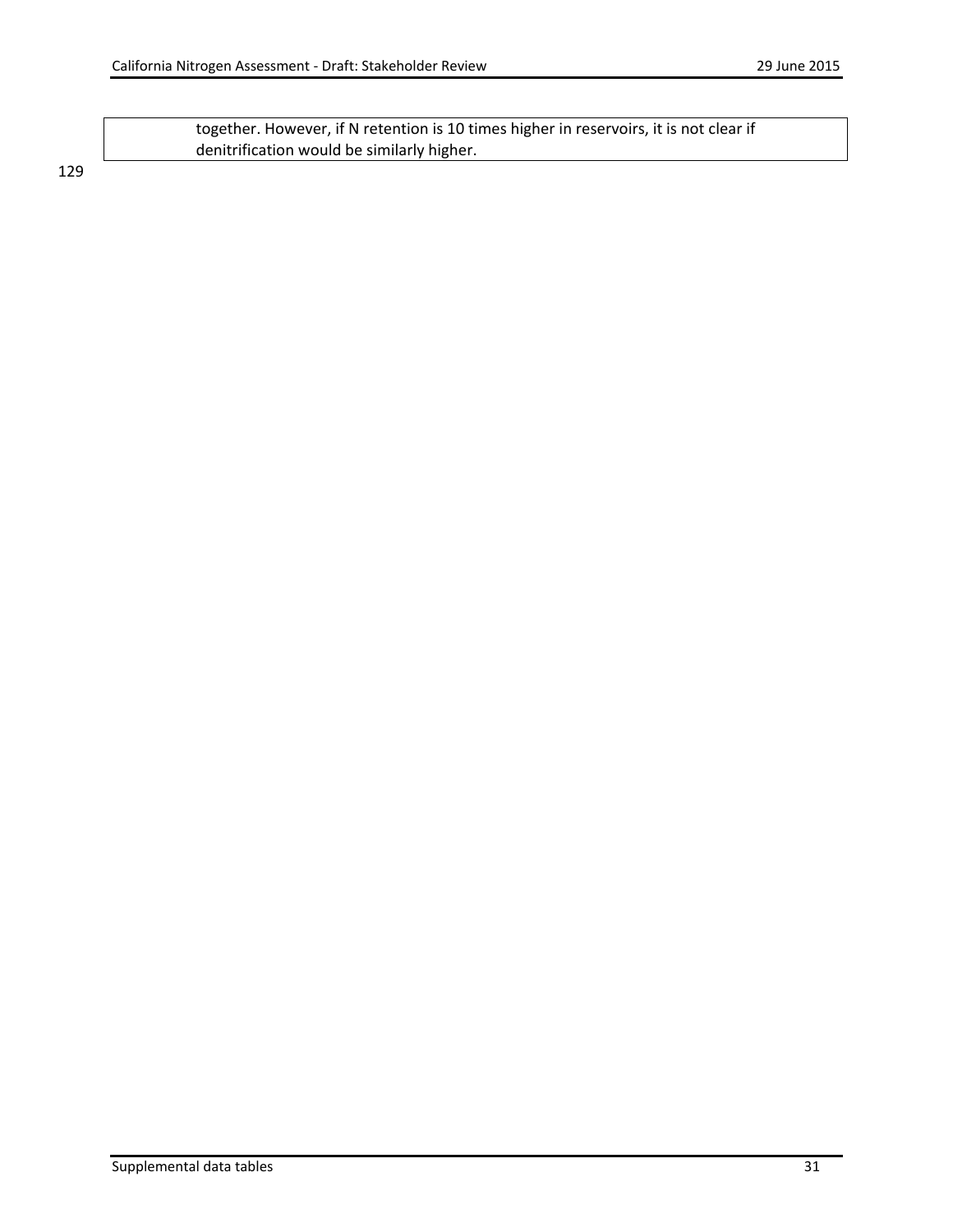together. However, if N retention is 10 times higher in reservoirs, it is not clear if denitrification would be similarly higher.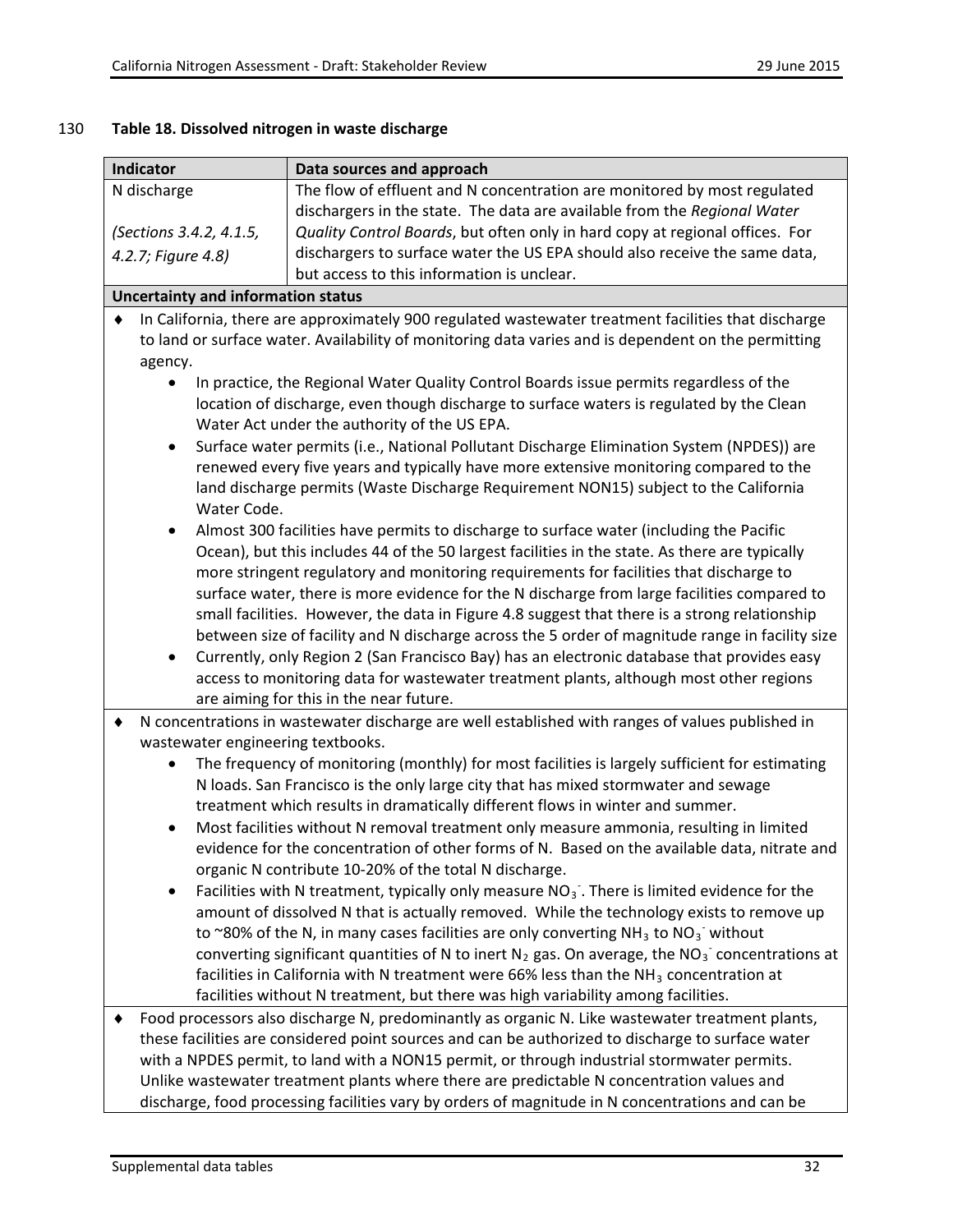## 130 **Table 18. Dissolved nitrogen in waste discharge**

| Indicator                                                                                                                                                                                                                                                                                                                                                                                                                                                                                            | Data sources and approach                                                                                                                                                                                                                                                                       |  |
|------------------------------------------------------------------------------------------------------------------------------------------------------------------------------------------------------------------------------------------------------------------------------------------------------------------------------------------------------------------------------------------------------------------------------------------------------------------------------------------------------|-------------------------------------------------------------------------------------------------------------------------------------------------------------------------------------------------------------------------------------------------------------------------------------------------|--|
| N discharge                                                                                                                                                                                                                                                                                                                                                                                                                                                                                          | The flow of effluent and N concentration are monitored by most regulated                                                                                                                                                                                                                        |  |
|                                                                                                                                                                                                                                                                                                                                                                                                                                                                                                      | dischargers in the state. The data are available from the Regional Water                                                                                                                                                                                                                        |  |
| (Sections 3.4.2, 4.1.5,                                                                                                                                                                                                                                                                                                                                                                                                                                                                              | Quality Control Boards, but often only in hard copy at regional offices. For                                                                                                                                                                                                                    |  |
| 4.2.7; Figure 4.8)                                                                                                                                                                                                                                                                                                                                                                                                                                                                                   | dischargers to surface water the US EPA should also receive the same data,                                                                                                                                                                                                                      |  |
|                                                                                                                                                                                                                                                                                                                                                                                                                                                                                                      | but access to this information is unclear.                                                                                                                                                                                                                                                      |  |
| <b>Uncertainty and information status</b>                                                                                                                                                                                                                                                                                                                                                                                                                                                            |                                                                                                                                                                                                                                                                                                 |  |
| agency.                                                                                                                                                                                                                                                                                                                                                                                                                                                                                              | In California, there are approximately 900 regulated wastewater treatment facilities that discharge<br>to land or surface water. Availability of monitoring data varies and is dependent on the permitting                                                                                      |  |
| In practice, the Regional Water Quality Control Boards issue permits regardless of the<br>location of discharge, even though discharge to surface waters is regulated by the Clean<br>Water Act under the authority of the US EPA.                                                                                                                                                                                                                                                                   |                                                                                                                                                                                                                                                                                                 |  |
| Surface water permits (i.e., National Pollutant Discharge Elimination System (NPDES)) are<br>$\bullet$<br>renewed every five years and typically have more extensive monitoring compared to the<br>land discharge permits (Waste Discharge Requirement NON15) subject to the California<br>Water Code.                                                                                                                                                                                               |                                                                                                                                                                                                                                                                                                 |  |
| $\bullet$                                                                                                                                                                                                                                                                                                                                                                                                                                                                                            | Almost 300 facilities have permits to discharge to surface water (including the Pacific<br>Ocean), but this includes 44 of the 50 largest facilities in the state. As there are typically<br>more stringent regulatory and monitoring requirements for facilities that discharge to             |  |
|                                                                                                                                                                                                                                                                                                                                                                                                                                                                                                      | surface water, there is more evidence for the N discharge from large facilities compared to<br>small facilities. However, the data in Figure 4.8 suggest that there is a strong relationship<br>between size of facility and N discharge across the 5 order of magnitude range in facility size |  |
| ٠                                                                                                                                                                                                                                                                                                                                                                                                                                                                                                    | Currently, only Region 2 (San Francisco Bay) has an electronic database that provides easy<br>access to monitoring data for wastewater treatment plants, although most other regions<br>are aiming for this in the near future.                                                                 |  |
| ٠<br>wastewater engineering textbooks.                                                                                                                                                                                                                                                                                                                                                                                                                                                               | N concentrations in wastewater discharge are well established with ranges of values published in                                                                                                                                                                                                |  |
|                                                                                                                                                                                                                                                                                                                                                                                                                                                                                                      | The frequency of monitoring (monthly) for most facilities is largely sufficient for estimating<br>N loads. San Francisco is the only large city that has mixed stormwater and sewage<br>treatment which results in dramatically different flows in winter and summer.                           |  |
|                                                                                                                                                                                                                                                                                                                                                                                                                                                                                                      | Most facilities without N removal treatment only measure ammonia, resulting in limited<br>evidence for the concentration of other forms of N. Based on the available data, nitrate and<br>organic N contribute 10-20% of the total N discharge.                                                 |  |
|                                                                                                                                                                                                                                                                                                                                                                                                                                                                                                      | Facilities with N treatment, typically only measure $NO3$ . There is limited evidence for the<br>amount of dissolved N that is actually removed. While the technology exists to remove up<br>to ~80% of the N, in many cases facilities are only converting $NH3$ to $NO3$ without              |  |
|                                                                                                                                                                                                                                                                                                                                                                                                                                                                                                      | converting significant quantities of N to inert $N_2$ gas. On average, the $NO_3^-$ concentrations at<br>facilities in California with N treatment were 66% less than the NH <sub>3</sub> concentration at<br>facilities without N treatment, but there was high variability among facilities.  |  |
| Food processors also discharge N, predominantly as organic N. Like wastewater treatment plants,<br>these facilities are considered point sources and can be authorized to discharge to surface water<br>with a NPDES permit, to land with a NON15 permit, or through industrial stormwater permits.<br>Unlike wastewater treatment plants where there are predictable N concentration values and<br>discharge, food processing facilities vary by orders of magnitude in N concentrations and can be |                                                                                                                                                                                                                                                                                                 |  |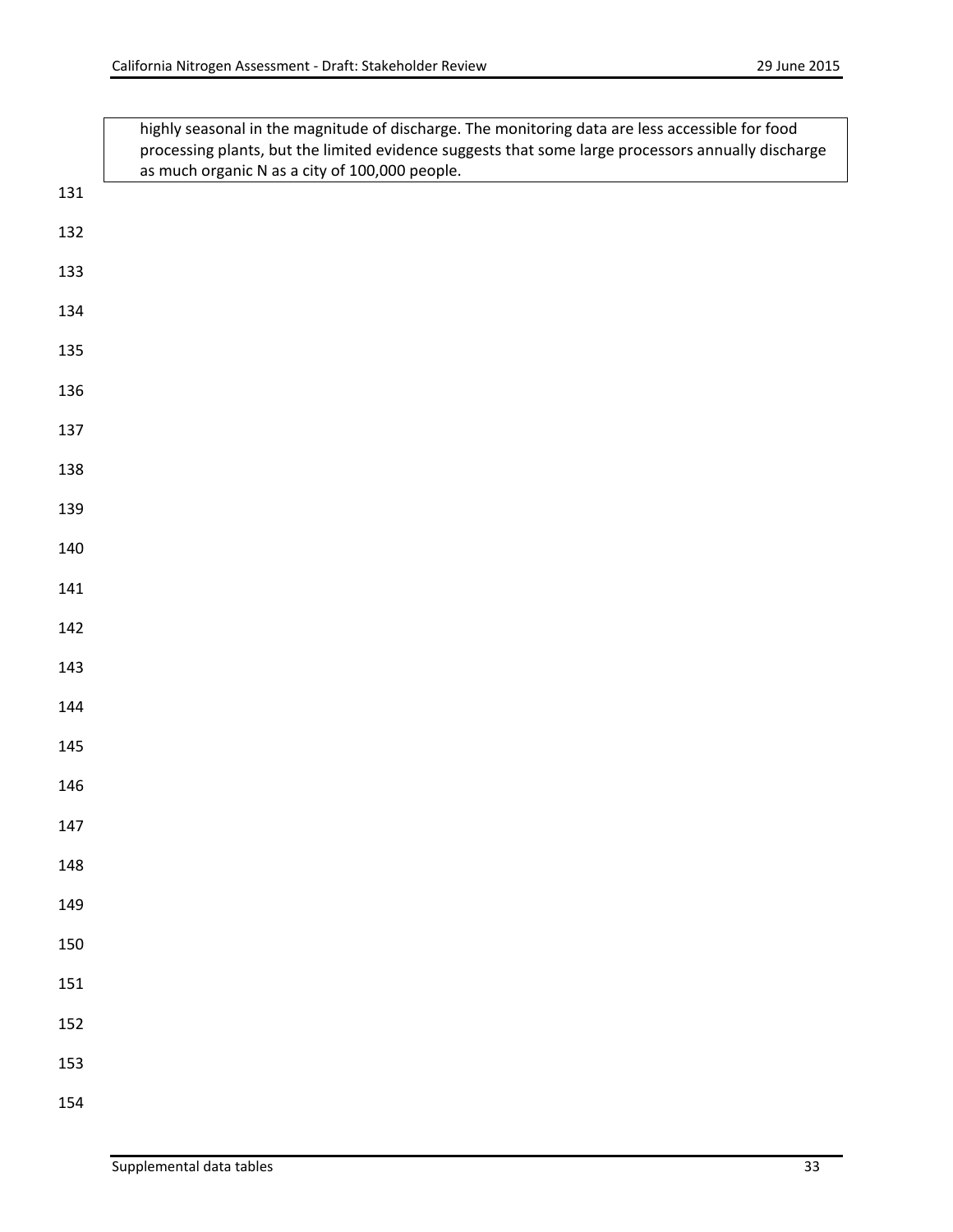|     | highly seasonal in the magnitude of discharge. The monitoring data are less accessible for food<br>processing plants, but the limited evidence suggests that some large processors annually discharge<br>as much organic N as a city of 100,000 people. |
|-----|---------------------------------------------------------------------------------------------------------------------------------------------------------------------------------------------------------------------------------------------------------|
| 131 |                                                                                                                                                                                                                                                         |
| 132 |                                                                                                                                                                                                                                                         |
| 133 |                                                                                                                                                                                                                                                         |
| 134 |                                                                                                                                                                                                                                                         |
| 135 |                                                                                                                                                                                                                                                         |
| 136 |                                                                                                                                                                                                                                                         |
| 137 |                                                                                                                                                                                                                                                         |
| 138 |                                                                                                                                                                                                                                                         |
| 139 |                                                                                                                                                                                                                                                         |
| 140 |                                                                                                                                                                                                                                                         |
| 141 |                                                                                                                                                                                                                                                         |
| 142 |                                                                                                                                                                                                                                                         |
| 143 |                                                                                                                                                                                                                                                         |
| 144 |                                                                                                                                                                                                                                                         |
| 145 |                                                                                                                                                                                                                                                         |
| 146 |                                                                                                                                                                                                                                                         |
| 147 |                                                                                                                                                                                                                                                         |
| 148 |                                                                                                                                                                                                                                                         |
| 149 |                                                                                                                                                                                                                                                         |
| 150 |                                                                                                                                                                                                                                                         |
| 151 |                                                                                                                                                                                                                                                         |
| 152 |                                                                                                                                                                                                                                                         |
| 153 |                                                                                                                                                                                                                                                         |
| 154 |                                                                                                                                                                                                                                                         |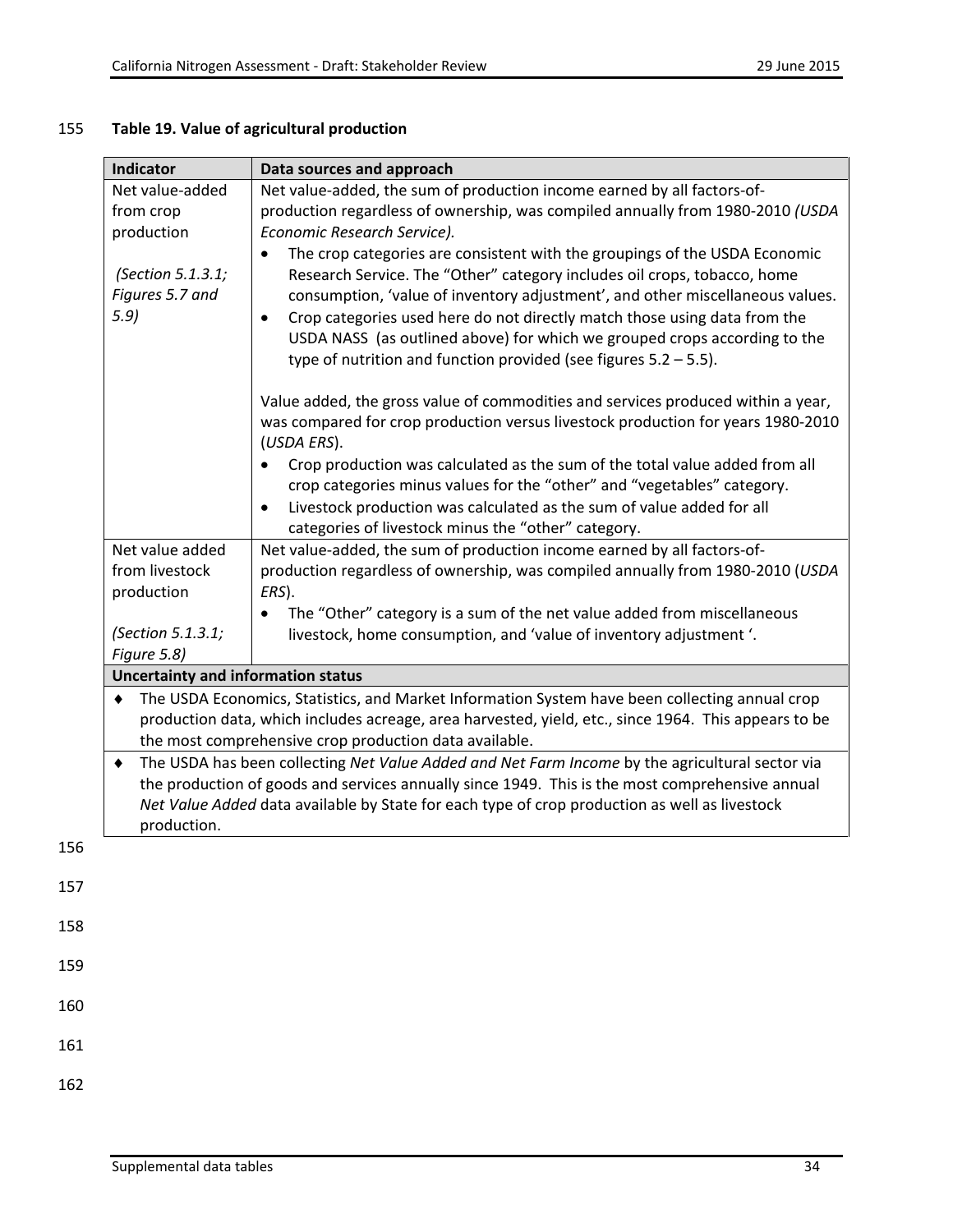# 155 **Table 19. Value of agricultural production**

| Indicator                                 | Data sources and approach                                                                            |  |  |
|-------------------------------------------|------------------------------------------------------------------------------------------------------|--|--|
| Net value-added                           | Net value-added, the sum of production income earned by all factors-of-                              |  |  |
| from crop                                 | production regardless of ownership, was compiled annually from 1980-2010 (USDA                       |  |  |
| production                                | Economic Research Service).                                                                          |  |  |
|                                           | The crop categories are consistent with the groupings of the USDA Economic                           |  |  |
| (Section 5.1.3.1;                         | Research Service. The "Other" category includes oil crops, tobacco, home                             |  |  |
| Figures 5.7 and                           | consumption, 'value of inventory adjustment', and other miscellaneous values.                        |  |  |
| 5.9                                       | Crop categories used here do not directly match those using data from the                            |  |  |
|                                           | USDA NASS (as outlined above) for which we grouped crops according to the                            |  |  |
|                                           | type of nutrition and function provided (see figures $5.2 - 5.5$ ).                                  |  |  |
|                                           |                                                                                                      |  |  |
|                                           | Value added, the gross value of commodities and services produced within a year,                     |  |  |
|                                           | was compared for crop production versus livestock production for years 1980-2010<br>(USDA ERS).      |  |  |
|                                           | Crop production was calculated as the sum of the total value added from all                          |  |  |
|                                           | crop categories minus values for the "other" and "vegetables" category.                              |  |  |
|                                           | Livestock production was calculated as the sum of value added for all                                |  |  |
|                                           | categories of livestock minus the "other" category.                                                  |  |  |
| Net value added                           | Net value-added, the sum of production income earned by all factors-of-                              |  |  |
| from livestock                            | production regardless of ownership, was compiled annually from 1980-2010 (USDA                       |  |  |
| production<br>ERS).                       |                                                                                                      |  |  |
|                                           | The "Other" category is a sum of the net value added from miscellaneous<br>$\bullet$                 |  |  |
| (Section 5.1.3.1;                         | livestock, home consumption, and 'value of inventory adjustment'.                                    |  |  |
| Figure 5.8)                               |                                                                                                      |  |  |
| <b>Uncertainty and information status</b> |                                                                                                      |  |  |
| ٠                                         | The USDA Economics, Statistics, and Market Information System have been collecting annual crop       |  |  |
|                                           | production data, which includes acreage, area harvested, yield, etc., since 1964. This appears to be |  |  |
|                                           | the most comprehensive crop production data available.                                               |  |  |
| $\bullet$                                 | The USDA has been collecting Net Value Added and Net Farm Income by the agricultural sector via      |  |  |
|                                           | the production of goods and services annually since 1949. This is the most comprehensive annual      |  |  |
|                                           | Net Value Added data available by State for each type of crop production as well as livestock        |  |  |
| production.                               |                                                                                                      |  |  |
|                                           |                                                                                                      |  |  |
|                                           |                                                                                                      |  |  |
|                                           |                                                                                                      |  |  |
|                                           |                                                                                                      |  |  |
|                                           |                                                                                                      |  |  |
|                                           |                                                                                                      |  |  |
|                                           |                                                                                                      |  |  |
|                                           |                                                                                                      |  |  |
|                                           |                                                                                                      |  |  |
|                                           |                                                                                                      |  |  |
|                                           |                                                                                                      |  |  |

156

157

158

159

160

161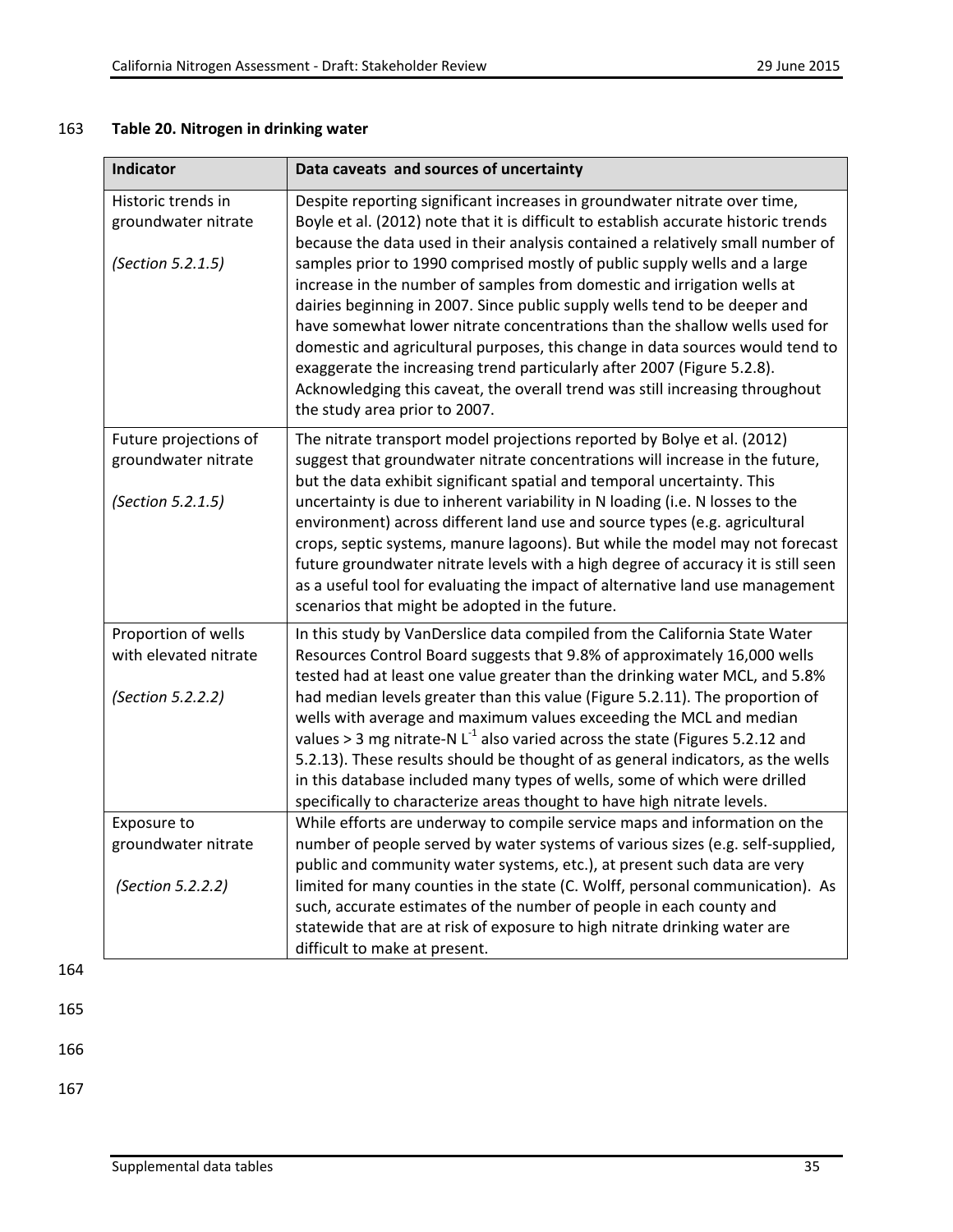## 163 **Table 20. Nitrogen in drinking water**

| Indicator                                                         | Data caveats and sources of uncertainty                                                                                                                                                                                                                                                                                                                                                                                                                                                                                                                                                                                                                                                                                                                                                                                                             |
|-------------------------------------------------------------------|-----------------------------------------------------------------------------------------------------------------------------------------------------------------------------------------------------------------------------------------------------------------------------------------------------------------------------------------------------------------------------------------------------------------------------------------------------------------------------------------------------------------------------------------------------------------------------------------------------------------------------------------------------------------------------------------------------------------------------------------------------------------------------------------------------------------------------------------------------|
| Historic trends in<br>groundwater nitrate<br>(Section 5.2.1.5)    | Despite reporting significant increases in groundwater nitrate over time,<br>Boyle et al. (2012) note that it is difficult to establish accurate historic trends<br>because the data used in their analysis contained a relatively small number of<br>samples prior to 1990 comprised mostly of public supply wells and a large<br>increase in the number of samples from domestic and irrigation wells at<br>dairies beginning in 2007. Since public supply wells tend to be deeper and<br>have somewhat lower nitrate concentrations than the shallow wells used for<br>domestic and agricultural purposes, this change in data sources would tend to<br>exaggerate the increasing trend particularly after 2007 (Figure 5.2.8).<br>Acknowledging this caveat, the overall trend was still increasing throughout<br>the study area prior to 2007. |
| Future projections of<br>groundwater nitrate<br>(Section 5.2.1.5) | The nitrate transport model projections reported by Bolye et al. (2012)<br>suggest that groundwater nitrate concentrations will increase in the future,<br>but the data exhibit significant spatial and temporal uncertainty. This<br>uncertainty is due to inherent variability in N loading (i.e. N losses to the<br>environment) across different land use and source types (e.g. agricultural<br>crops, septic systems, manure lagoons). But while the model may not forecast<br>future groundwater nitrate levels with a high degree of accuracy it is still seen<br>as a useful tool for evaluating the impact of alternative land use management<br>scenarios that might be adopted in the future.                                                                                                                                           |
| Proportion of wells<br>with elevated nitrate<br>(Section 5.2.2.2) | In this study by VanDerslice data compiled from the California State Water<br>Resources Control Board suggests that 9.8% of approximately 16,000 wells<br>tested had at least one value greater than the drinking water MCL, and 5.8%<br>had median levels greater than this value (Figure 5.2.11). The proportion of<br>wells with average and maximum values exceeding the MCL and median<br>values > 3 mg nitrate-N $L^{-1}$ also varied across the state (Figures 5.2.12 and<br>5.2.13). These results should be thought of as general indicators, as the wells<br>in this database included many types of wells, some of which were drilled<br>specifically to characterize areas thought to have high nitrate levels.                                                                                                                         |
| Exposure to<br>groundwater nitrate<br>(Section 5.2.2.2)           | While efforts are underway to compile service maps and information on the<br>number of people served by water systems of various sizes (e.g. self-supplied,<br>public and community water systems, etc.), at present such data are very<br>limited for many counties in the state (C. Wolff, personal communication). As<br>such, accurate estimates of the number of people in each county and<br>statewide that are at risk of exposure to high nitrate drinking water are<br>difficult to make at present.                                                                                                                                                                                                                                                                                                                                       |

164

165

166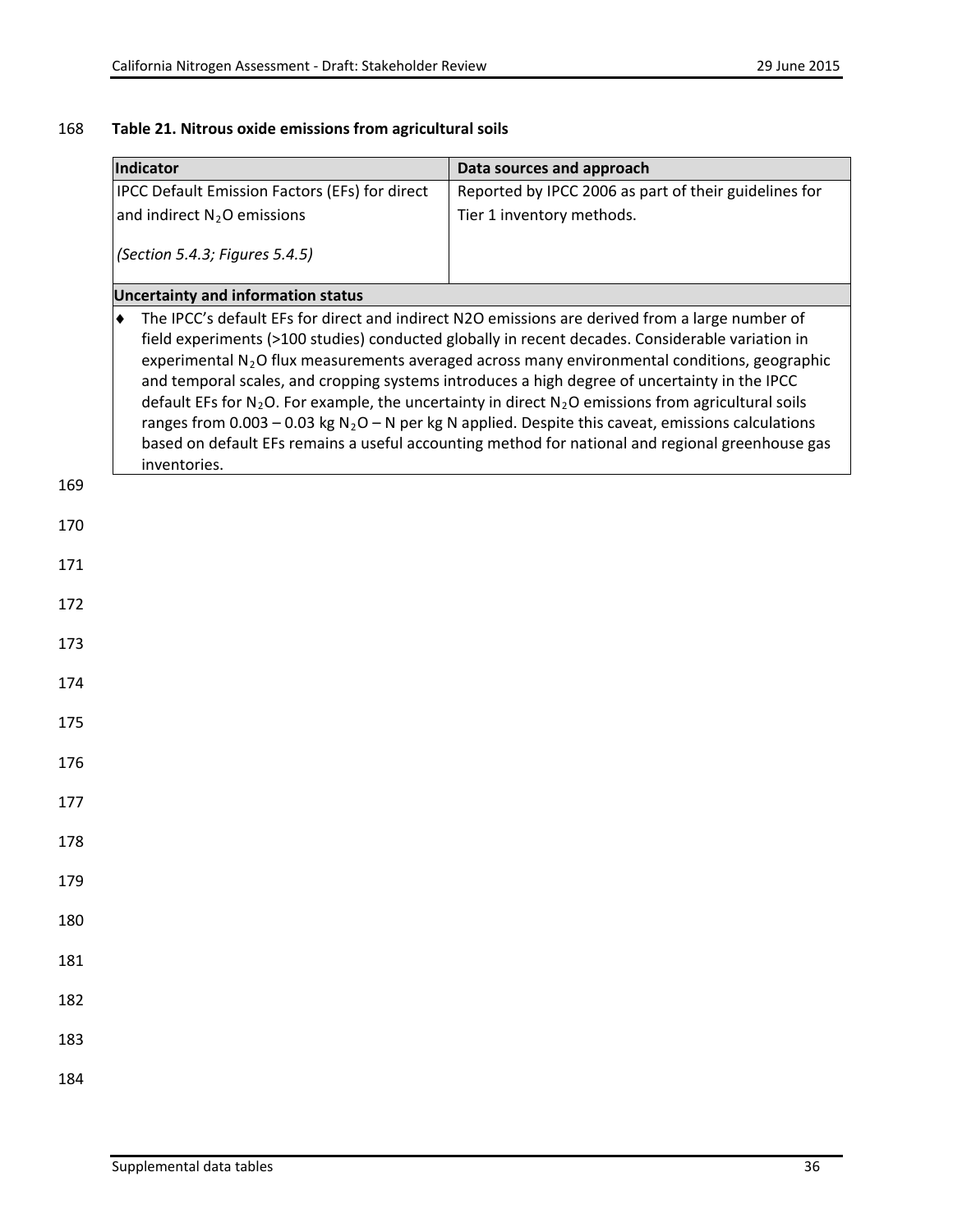## 168 **Table 21. Nitrous oxide emissions from agricultural soils**

| Indicator                                      | Data sources and approach                                                                                                                                                                                                                                                                                                                                                                                                                                                                                                                                                                                                                                                                                                                 |  |  |
|------------------------------------------------|-------------------------------------------------------------------------------------------------------------------------------------------------------------------------------------------------------------------------------------------------------------------------------------------------------------------------------------------------------------------------------------------------------------------------------------------------------------------------------------------------------------------------------------------------------------------------------------------------------------------------------------------------------------------------------------------------------------------------------------------|--|--|
| IPCC Default Emission Factors (EFs) for direct | Reported by IPCC 2006 as part of their guidelines for                                                                                                                                                                                                                                                                                                                                                                                                                                                                                                                                                                                                                                                                                     |  |  |
| and indirect $N_2O$ emissions                  | Tier 1 inventory methods.                                                                                                                                                                                                                                                                                                                                                                                                                                                                                                                                                                                                                                                                                                                 |  |  |
| (Section 5.4.3; Figures 5.4.5)                 |                                                                                                                                                                                                                                                                                                                                                                                                                                                                                                                                                                                                                                                                                                                                           |  |  |
| <b>Uncertainty and information status</b>      |                                                                                                                                                                                                                                                                                                                                                                                                                                                                                                                                                                                                                                                                                                                                           |  |  |
| ٠<br>inventories.                              | The IPCC's default EFs for direct and indirect N2O emissions are derived from a large number of<br>field experiments (>100 studies) conducted globally in recent decades. Considerable variation in<br>experimental N <sub>2</sub> O flux measurements averaged across many environmental conditions, geographic<br>and temporal scales, and cropping systems introduces a high degree of uncertainty in the IPCC<br>default EFs for $N_2O$ . For example, the uncertainty in direct $N_2O$ emissions from agricultural soils<br>ranges from 0.003 - 0.03 kg $N_2O - N$ per kg N applied. Despite this caveat, emissions calculations<br>based on default EFs remains a useful accounting method for national and regional greenhouse gas |  |  |
| 169                                            |                                                                                                                                                                                                                                                                                                                                                                                                                                                                                                                                                                                                                                                                                                                                           |  |  |
| 170                                            |                                                                                                                                                                                                                                                                                                                                                                                                                                                                                                                                                                                                                                                                                                                                           |  |  |
| 171                                            |                                                                                                                                                                                                                                                                                                                                                                                                                                                                                                                                                                                                                                                                                                                                           |  |  |
| 172                                            |                                                                                                                                                                                                                                                                                                                                                                                                                                                                                                                                                                                                                                                                                                                                           |  |  |
| 173                                            |                                                                                                                                                                                                                                                                                                                                                                                                                                                                                                                                                                                                                                                                                                                                           |  |  |
| 174                                            |                                                                                                                                                                                                                                                                                                                                                                                                                                                                                                                                                                                                                                                                                                                                           |  |  |
| 175                                            |                                                                                                                                                                                                                                                                                                                                                                                                                                                                                                                                                                                                                                                                                                                                           |  |  |
| 176                                            |                                                                                                                                                                                                                                                                                                                                                                                                                                                                                                                                                                                                                                                                                                                                           |  |  |
| 177                                            |                                                                                                                                                                                                                                                                                                                                                                                                                                                                                                                                                                                                                                                                                                                                           |  |  |
| 178                                            |                                                                                                                                                                                                                                                                                                                                                                                                                                                                                                                                                                                                                                                                                                                                           |  |  |
| 179                                            |                                                                                                                                                                                                                                                                                                                                                                                                                                                                                                                                                                                                                                                                                                                                           |  |  |
| 180                                            |                                                                                                                                                                                                                                                                                                                                                                                                                                                                                                                                                                                                                                                                                                                                           |  |  |
| 181                                            |                                                                                                                                                                                                                                                                                                                                                                                                                                                                                                                                                                                                                                                                                                                                           |  |  |
| 182                                            |                                                                                                                                                                                                                                                                                                                                                                                                                                                                                                                                                                                                                                                                                                                                           |  |  |
| 183                                            |                                                                                                                                                                                                                                                                                                                                                                                                                                                                                                                                                                                                                                                                                                                                           |  |  |
| 184                                            |                                                                                                                                                                                                                                                                                                                                                                                                                                                                                                                                                                                                                                                                                                                                           |  |  |